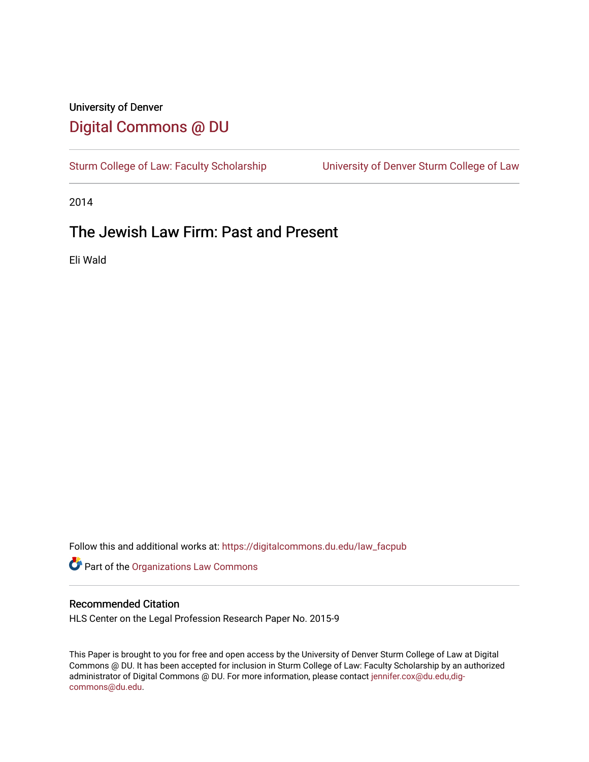# University of Denver [Digital Commons @ DU](https://digitalcommons.du.edu/)

[Sturm College of Law: Faculty Scholarship](https://digitalcommons.du.edu/law_facpub) [University of Denver Sturm College of Law](https://digitalcommons.du.edu/denver_law) 

2014

# The Jewish Law Firm: Past and Present

Eli Wald

Follow this and additional works at: [https://digitalcommons.du.edu/law\\_facpub](https://digitalcommons.du.edu/law_facpub?utm_source=digitalcommons.du.edu%2Flaw_facpub%2F28&utm_medium=PDF&utm_campaign=PDFCoverPages) 

Part of the [Organizations Law Commons](http://network.bepress.com/hgg/discipline/865?utm_source=digitalcommons.du.edu%2Flaw_facpub%2F28&utm_medium=PDF&utm_campaign=PDFCoverPages)

### Recommended Citation

HLS Center on the Legal Profession Research Paper No. 2015-9

This Paper is brought to you for free and open access by the University of Denver Sturm College of Law at Digital Commons @ DU. It has been accepted for inclusion in Sturm College of Law: Faculty Scholarship by an authorized administrator of Digital Commons @ DU. For more information, please contact [jennifer.cox@du.edu,dig](mailto:jennifer.cox@du.edu,dig-commons@du.edu)[commons@du.edu.](mailto:jennifer.cox@du.edu,dig-commons@du.edu)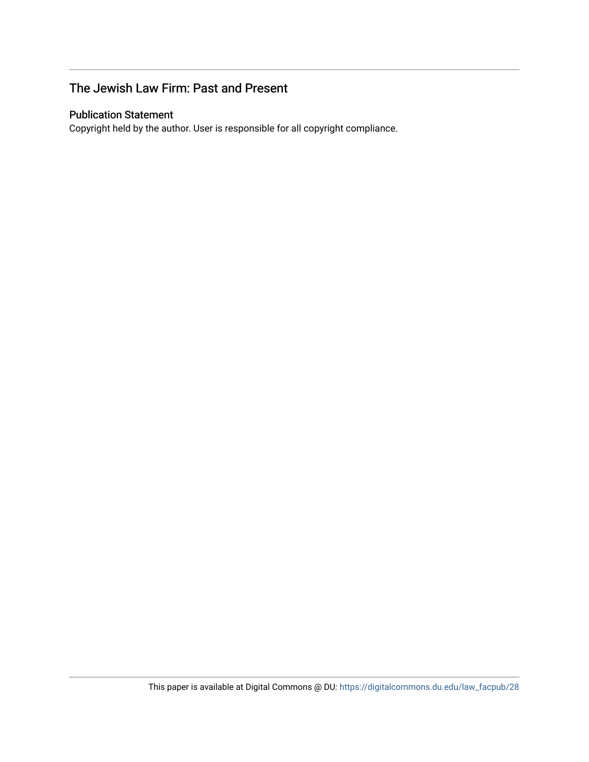# The Jewish Law Firm: Past and Present

# Publication Statement

Copyright held by the author. User is responsible for all copyright compliance.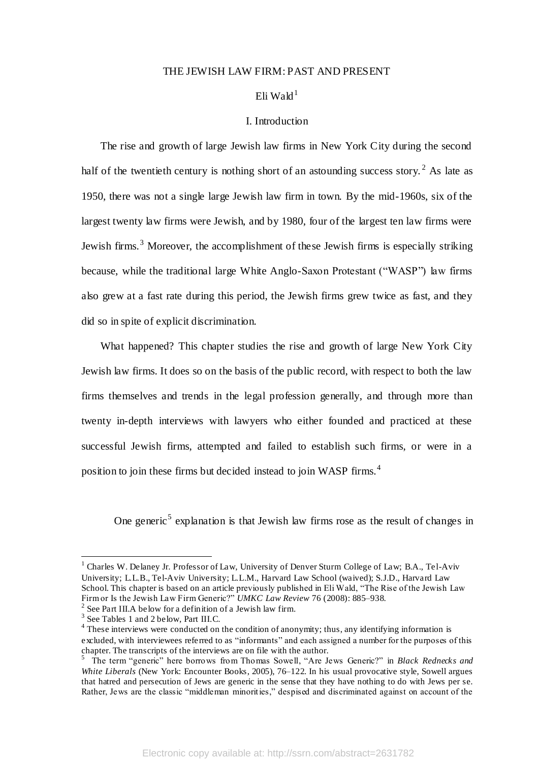#### THE JEWISH LAW FIRM: PAST AND PRESENT

# Eli Wald $^1$

#### I. Introduction

 The rise and growth of large Jewish law firms in New York City during the second half of the twentieth century is nothing short of an astounding success story.<sup>2</sup> As late as 1950, there was not a single large Jewish law firm in town. By the mid-1960s, six of the largest twenty law firms were Jewish, and by 1980, four of the largest ten law firms were Jewish firms.<sup>3</sup> Moreover, the accomplishment of these Jewish firms is especially striking because, while the traditional large White Anglo-Saxon Protestant ("WASP") law firms also grew at a fast rate during this period, the Jewish firms grew twice as fast, and they did so in spite of explicit discrimination.

 What happened? This chapter studies the rise and growth of large New York City Jewish law firms. It does so on the basis of the public record, with respect to both the law firms themselves and trends in the legal profession generally, and through more than twenty in-depth interviews with lawyers who either founded and practiced at these successful Jewish firms, attempted and failed to establish such firms, or were in a position to join these firms but decided instead to join WASP firms.<sup>4</sup>

One generic<sup>5</sup> explanation is that Jewish law firms rose as the result of changes in

<sup>&</sup>lt;sup>1</sup> Charles W. Delaney Jr. Professor of Law, University of Denver Sturm College of Law; B.A., Tel-Aviv University; L.L.B., Tel-Aviv University; L.L.M., Harvard Law School (waived); S.J.D., Harvard Law School. This chapter is based on an article previously published in Eli Wald, "The Rise of the Jewish Law Firm or Is the Jewish Law Firm Generic?" *UMKC Law Review* 76 (2008): 885–938.

 $2$  See Part III.A below for a definition of a Jewish law firm.

<sup>&</sup>lt;sup>3</sup> See Tables 1 and 2 below, Part III.C.

 $4$  These interviews were conducted on the condition of anonymity; thus, any identifying information is excluded, with interviewees referred to as "informants" and each assigned a number for the purposes of this chapter. The transcripts of the interviews are on file with the author. 5 The term "generic" here borrows from Thomas Sowell, "Are Jews Generic?" in *Black Rednecks and* 

*White Liberals* (New York: Encounter Books, 2005), 76–122. In his usual provocative style, Sowell argues that hatred and persecution of Jews are generic in the sense that they have nothing to do with Jews per se. Rather, Jews are the classic "middleman minorities," despised and discriminated against on account of the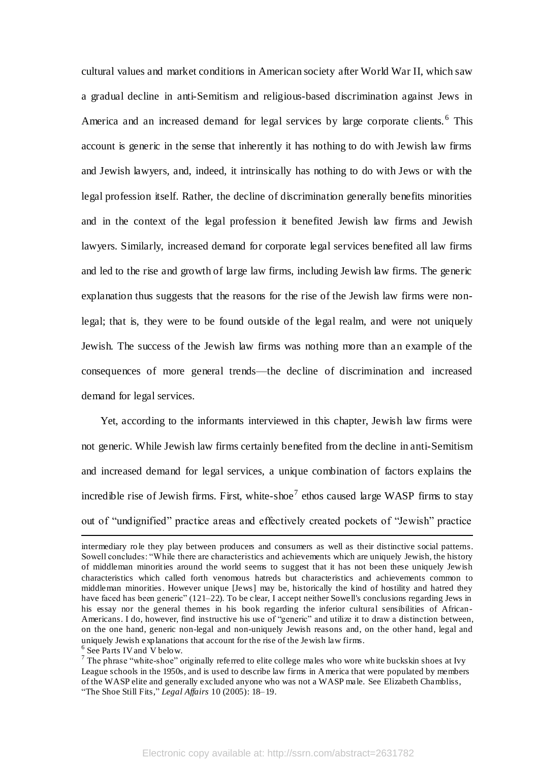cultural values and market conditions in American society after World War II, which saw a gradual decline in anti-Semitism and religious-based discrimination against Jews in America and an increased demand for legal services by large corporate clients.<sup>6</sup> This account is generic in the sense that inherently it has nothing to do with Jewish law firms and Jewish lawyers, and, indeed, it intrinsically has nothing to do with Jews or with the legal profession itself. Rather, the decline of discrimination generally benefits minorities and in the context of the legal profession it benefited Jewish law firms and Jewish lawyers. Similarly, increased demand for corporate legal services benefited all law firms and led to the rise and growth of large law firms, including Jewish law firms. The generic explanation thus suggests that the reasons for the rise of the Jewish law firms were nonlegal; that is, they were to be found outside of the legal realm, and were not uniquely Jewish. The success of the Jewish law firms was nothing more than an example of the consequences of more general trends—the decline of discrimination and increased demand for legal services.

 Yet, according to the informants interviewed in this chapter, Jewish law firms were not generic. While Jewish law firms certainly benefited from the decline in anti-Semitism and increased demand for legal services, a unique combination of factors explains the incredible rise of Jewish firms. First, white-shoe<sup>7</sup> ethos caused large WASP firms to stay out of "undignified" practice areas and effectively created pockets of "Jewish" practice  $\overline{a}$ 

intermediary role they play between producers and consumers as well as their distinctive social patterns. Sowell concludes: "While there are characteristics and achievements which are uniquely Jewish, the history of middleman minorities around the world seems to suggest that it has not been these uniquely Jewish characteristics which called forth venomous hatreds but characteristics and achievements common to middleman minorities. However unique [Jews] may be, historically the kind of hostility and hatred they have faced has been generic" (121–22). To be clear, I accept neither Sowell's conclusions regarding Jews in his essay nor the general themes in his book regarding the inferior cultural sensibilities of African-Americans. I do, however, find instructive his use of "generic" and utilize it to draw a distinction between, on the one hand, generic non-legal and non-uniquely Jewish reasons and, on the other hand, legal and uniquely Jewish explanations that account for the rise of the Jewish law firms.

<sup>&</sup>lt;sup>6</sup> See Parts IV and V below.

<sup>&</sup>lt;sup>7</sup> The phrase "white-shoe" originally referred to elite college males who wore white buckskin shoes at Ivy League schools in the 1950s, and is used to describe law firms in America that were populated by members of the WASP elite and generally excluded anyone who was not a WASP male. See Elizabeth Chambliss, "The Shoe Still Fits," *Legal Affairs* 10 (2005): 18–19.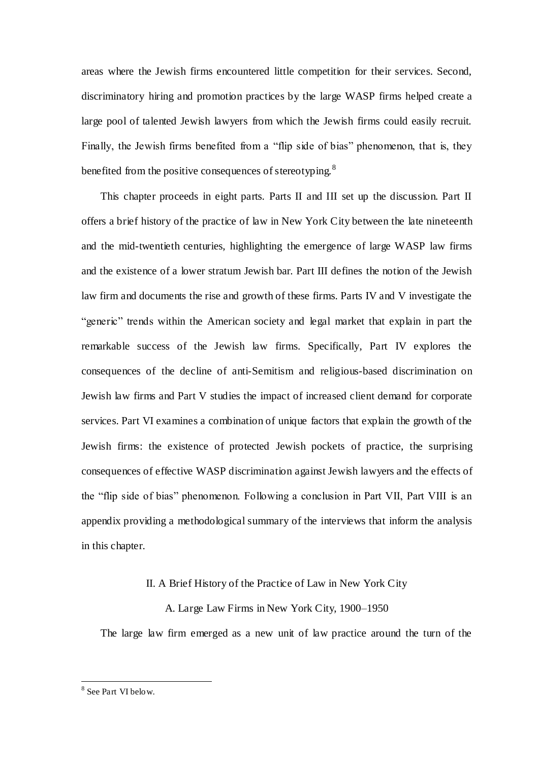areas where the Jewish firms encountered little competition for their services. Second, discriminatory hiring and promotion practices by the large WASP firms helped create a large pool of talented Jewish lawyers from which the Jewish firms could easily recruit. Finally, the Jewish firms benefited from a "flip side of bias" phenomenon, that is, they benefited from the positive consequences of stereotyping.<sup>8</sup>

 This chapter proceeds in eight parts. Parts II and III set up the discussion. Part II offers a brief history of the practice of law in New York City between the late nineteenth and the mid-twentieth centuries, highlighting the emergence of large WASP law firms and the existence of a lower stratum Jewish bar. Part III defines the notion of the Jewish law firm and documents the rise and growth of these firms. Parts IV and V investigate the "generic" trends within the American society and legal market that explain in part the remarkable success of the Jewish law firms. Specifically, Part IV explores the consequences of the decline of anti-Semitism and religious-based discrimination on Jewish law firms and Part V studies the impact of increased client demand for corporate services. Part VI examines a combination of unique factors that explain the growth of the Jewish firms: the existence of protected Jewish pockets of practice, the surprising consequences of effective WASP discrimination against Jewish lawyers and the effects of the "flip side of bias" phenomenon. Following a conclusion in Part VII, Part VIII is an appendix providing a methodological summary of the interviews that inform the analysis in this chapter.

## II. A Brief History of the Practice of Law in New York City

# A. Large Law Firms in New York City, 1900–1950

The large law firm emerged as a new unit of law practice around the turn of the

<sup>&</sup>lt;sup>8</sup> See Part VI below.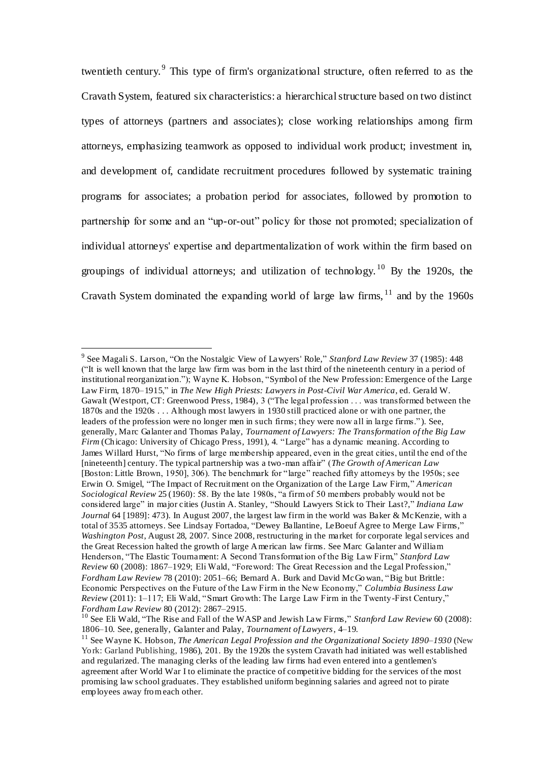twentieth century.<sup>9</sup> This type of firm's organizational structure, often referred to as the Cravath System, featured six characteristics: a hierarchical structure based on two distinct types of attorneys (partners and associates); close working relationships among firm attorneys, emphasizing teamwork as opposed to individual work product; investment in, and development of, candidate recruitment procedures followed by systematic training programs for associates; a probation period for associates, followed by promotion to partnership for some and an "up-or-out" policy for those not promoted; specialization of individual attorneys' expertise and departmentalization of work within the firm based on groupings of individual attorneys; and utilization of technology. <sup>10</sup> By the 1920s, the Cravath System dominated the expanding world of large law firms,  $11$  and by the 1960s

<sup>9</sup> See Magali S. Larson, "On the Nostalgic View of Lawyers' Role," *Stanford Law Review* 37 (1985): 448 ("It is well known that the large law firm was born in the last third of the nineteenth century in a period of institutional reorganization."); Wayne K. Hobson, "Symbol of the New Profession: Emergence of the Large Law Firm, 1870–1915," in *The New High Priests: Lawyers in Post-Civil War America*, ed. Gerald W. Gawalt (Westport, CT: Greenwood Press, 1984), 3 ("The legal profession . . . was transformed between the 1870s and the 1920s . . . Although most lawyers in 1930 still practiced alone or with one partner, the leaders of the profession were no longer men in such firms; they were now all in large firms." ). See, generally, Marc Galanter and Thomas Palay, *Tournament of Lawyers: The Transformation of the Big Law Firm* (Chicago: University of Chicago Press, 1991), 4. "Large" has a dynamic meaning. According to James Willard Hurst, "No firms of large membership appeared, even in the great cities, until the end of the [nineteenth] century. The typical partnership was a two-man affair" (*The Growth of American Law* [Boston: Little Brown, 1950], 306). The benchmark for "large" reached fifty attorneys by the 1950s; see Erwin O. Smigel, "The Impact of Recruitment on the Organization of the Large Law Firm," *American Sociological Review* 25 (1960): 58. By the late 1980s, "a firm of 50 members probably would not be considered large" in major cities (Justin A. Stanley, "Should Lawyers Stick to Their Last?," *Indiana Law Journal* 64 [1989]: 473). In August 2007, the largest law firm in the world was Baker & McKenzie, with a total of 3535 attorneys. See Lindsay Fortadoa, "Dewey Ballantine, LeBoeuf Agree to Merge Law Firms," *Washington Post*, August 28, 2007. Since 2008, restructuring in the market for corporate legal services and the Great Recession halted the growth of large American law firms. See Marc Galanter and William Henderson, "The Elastic Tournament: A Second Transformation of the Big Law Firm," *Stanford Law Review* 60 (2008): 1867–1929; Eli Wald, "Foreword: The Great Recession and the Legal Profession," *Fordham Law Review* 78 (2010): 2051–66; Bernard A. Burk and David McGo wan, "Big but Brittle: Economic Perspectives on the Future of the Law Firm in the New Economy," *Columbia Business Law Review* (2011): 1–117; Eli Wald, "Smart Growth: The Large Law Firm in the Twenty-First Century," *Fordham Law Review* 80 (2012): 2867–2915.

<sup>10</sup> See Eli Wald, "The Rise and Fall of the WASP and Jewish Law Firms," *Stanford Law Review* 60 (2008): 1806–10. See, generally, Galanter and Palay, *Tournament of Lawyers*, 4–19.

<sup>11</sup> See Wayne K. Hobson, *The American Legal Profession and the Organizational Society 1890–1930* (New York: Garland Publishing, 1986), 201. By the 1920s the system Cravath had initiated was well established and regularized. The managing clerks of the leading law firms had even entered into a gentlemen's agreement after World War I to eliminate the practice of competitive bidding for the services of the most promising law school graduates. They established uniform beginning salaries and agreed not to pirate employees away from each other.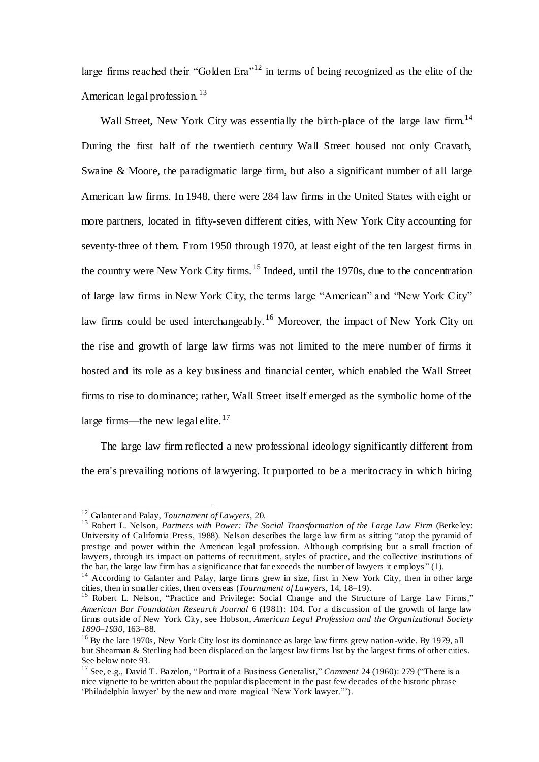large firms reached their "Golden Era"<sup>12</sup> in terms of being recognized as the elite of the American legal profession.  $13$ 

Wall Street, New York City was essentially the birth-place of the large law firm.<sup>14</sup> During the first half of the twentieth century Wall Street housed not only Cravath, Swaine & Moore, the paradigmatic large firm, but also a significant number of all large American law firms. In 1948, there were 284 law firms in the United States with eight or more partners, located in fifty-seven different cities, with New York City accounting for seventy-three of them. From 1950 through 1970, at least eight of the ten largest firms in the country were New York City firms. <sup>15</sup> Indeed, until the 1970s, due to the concentration of large law firms in New York City, the terms large "American" and "New York City" law firms could be used interchangeably. <sup>16</sup> Moreover, the impact of New York City on the rise and growth of large law firms was not limited to the mere number of firms it hosted and its role as a key business and financial center, which enabled the Wall Street firms to rise to dominance; rather, Wall Street itself emerged as the symbolic home of the large firms—the new legal elite. $17$ 

 The large law firm reflected a new professional ideology significantly different from the era's prevailing notions of lawyering. It purported to be a meritocracy in which hiring

<sup>12</sup> Galanter and Palay, *Tournament of Lawyers*, 20.

<sup>&</sup>lt;sup>13</sup> Robert L. Nelson, *Partners with Power: The Social Transformation of the Large Law Firm (Berkeley:* University of California Press, 1988). Nelson describes the large law firm as sitting "atop the pyramid of prestige and power within the American legal profession. Although comprising but a small fraction of lawyers, through its impact on patterns of recruitment, styles of practice, and the collective institutions of the bar, the large law firm has a significance that far exceeds the number of lawyers it employs " (1).

<sup>&</sup>lt;sup>14</sup> According to Galanter and Palay, large firms grew in size, first in New York City, then in other large cities, then in smaller cities, then overseas (*Tournament of Lawyers*, 14, 18–19).

<sup>&</sup>lt;sup>15</sup> Robert L. Nelson, "Practice and Privilege: Social Change and the Structure of Large Law Firms," *American Bar Foundation Research Journal* 6 (1981): 104. For a discussion of the growth of large law firms outside of New York City, see Hobson, *American Legal Profession and the Organizational Society 1890–1930*, 163–88.

<sup>&</sup>lt;sup>16</sup> By the late 1970s, New York City lost its dominance as large law firms grew nation-wide. By 1979, all but Shearman & Sterling had been displaced on the largest law firms list by the largest firms of other cities. See below note 93.

<sup>17</sup> See, e.g., David T. Bazelon, "Portrait of a Business Generalist," *Comment* 24 (1960): 279 ("There is a nice vignette to be written about the popular displacement in the past few decades of the historic phrase 'Philadelphia lawyer' by the new and more magical 'New York lawyer."').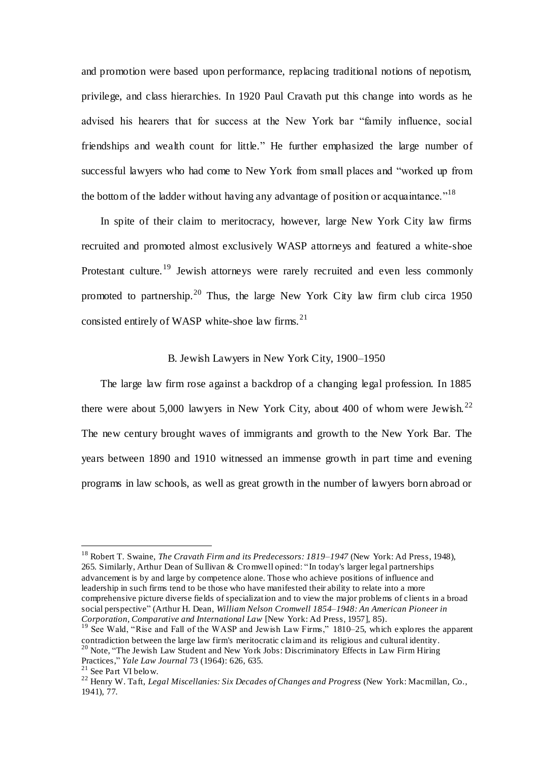and promotion were based upon performance, replacing traditional notions of nepotism, privilege, and class hierarchies. In 1920 Paul Cravath put this change into words as he advised his hearers that for success at the New York bar "family influence, social friendships and wealth count for little." He further emphasized the large number of successful lawyers who had come to New York from small places and "worked up from the bottom of the ladder without having any advantage of position or acquaintance.<sup> $18$ </sup>

 In spite of their claim to meritocracy, however, large New York City law firms recruited and promoted almost exclusively WASP attorneys and featured a white-shoe Protestant culture.<sup>19</sup> Jewish attorneys were rarely recruited and even less commonly promoted to partnership.<sup>20</sup> Thus, the large New York City law firm club circa 1950 consisted entirely of WASP white-shoe law firms. $21$ 

#### B. Jewish Lawyers in New York City, 1900–1950

 The large law firm rose against a backdrop of a changing legal profession. In 1885 there were about 5,000 lawyers in New York City, about 400 of whom were Jewish.<sup>22</sup> The new century brought waves of immigrants and growth to the New York Bar. The years between 1890 and 1910 witnessed an immense growth in part time and evening programs in law schools, as well as great growth in the number of lawyers born abroad or

<sup>18</sup> Robert T. Swaine, *The Cravath Firm and its Predecessors: 1819–1947* (New York: Ad Press, 1948), 265. Similarly, Arthur Dean of Sullivan & Cromwell opined: " In today's larger legal partnerships advancement is by and large by competence alone. Those who achieve positions of influence and leadership in such firms tend to be those who have manifested their ability to relate into a more comprehensive picture diverse fields of specialization and to view the major problems of clients in a broad social perspective" (Arthur H. Dean, *William Nelson Cromwell 1854–1948: An American Pioneer in Corporation, Comparative and International Law* [New York: Ad Press, 1957], 85).

<sup>&</sup>lt;sup>19</sup> See Wald, "Rise and Fall of the WASP and Jewish Law Firms," 1810–25, which explores the apparent contradiction between the large law firm's meritocratic claim and its religious and cultural identity.  $^{20}$  Note, "The Jewish Law Student and New York Jobs: Discriminatory Effects in Law Firm Hiring

Practices," *Yale Law Journal* 73 (1964): 626, 635.

<sup>21</sup> See Part VI below.

<sup>22</sup> Henry W. Taft, *Legal Miscellanies: Six Decades of Changes and Progress* (New York: Macmillan, Co., 1941), 77.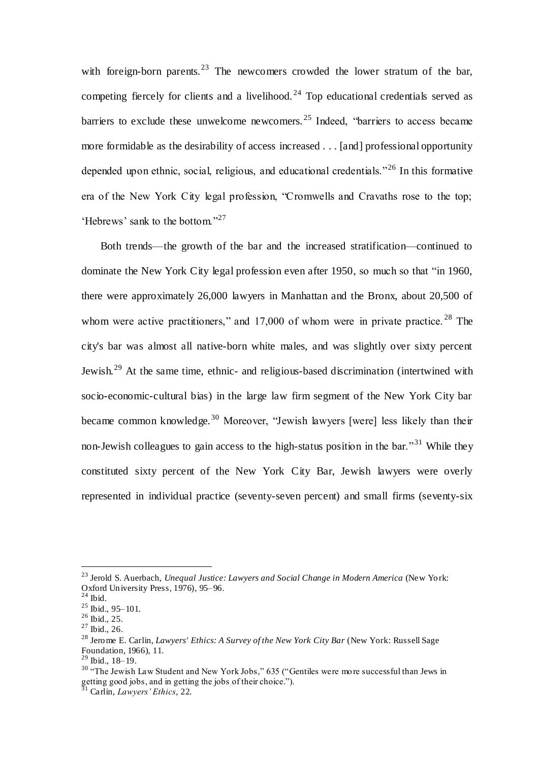with foreign-born parents.<sup>23</sup> The newcomers crowded the lower stratum of the bar, competing fiercely for clients and a livelihood.<sup>24</sup> Top educational credentials served as barriers to exclude these unwelcome newcomers. <sup>25</sup> Indeed, "barriers to access became more formidable as the desirability of access increased . . . [and] professional opportunity depended upon ethnic, social, religious, and educational credentials."<sup>26</sup> In this formative era of the New York City legal profession, "Cromwells and Cravaths rose to the top; 'Hebrews' sank to the bottom."<sup>27</sup>

 Both trends—the growth of the bar and the increased stratification—continued to dominate the New York City legal profession even after 1950, so much so that "in 1960, there were approximately 26,000 lawyers in Manhattan and the Bronx, about 20,500 of whom were active practitioners," and 17,000 of whom were in private practice.<sup>28</sup> The city's bar was almost all native-born white males, and was slightly over sixty percent Jewish.<sup>29</sup> At the same time, ethnic- and religious-based discrimination (intertwined with socio-economic-cultural bias) in the large law firm segment of the New York City bar became common knowledge.<sup>30</sup> Moreover, "Jewish lawyers [were] less likely than their non-Jewish colleagues to gain access to the high-status position in the bar.<sup>31</sup> While they constituted sixty percent of the New York City Bar, Jewish lawyers were overly represented in individual practice (seventy-seven percent) and small firms (seventy-six

<sup>23</sup> Jerold S. Auerbach, *Unequal Justice: Lawyers and Social Change in Modern America* (New York: Oxford University Press, 1976), 95-96.

 $24$  Ibid.

<sup>25</sup> Ibid., 95–101.

<sup>26</sup> Ibid., 25.

<sup>27</sup> Ibid., 26.

<sup>28</sup> Jerome E. Carlin, *Lawyers' Ethics: A Survey of the New York City Bar* (New York: Russell Sage Foundation, 1966), 11.

<sup>29</sup> Ibid., 18–19.

<sup>&</sup>lt;sup>30</sup> "The Jewish Law Student and New York Jobs," 635 ("Gentiles were more successful than Jews in getting good jobs, and in getting the jobs of their choice.").

<sup>31</sup> Carlin, *Lawyers' Ethics*, 22.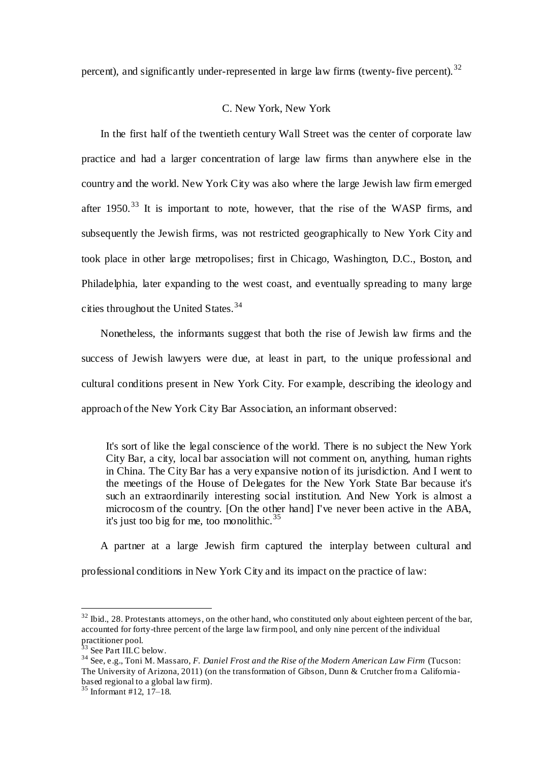percent), and significantly under-represented in large law firms (twenty-five percent).<sup>32</sup>

## C. New York, New York

 In the first half of the twentieth century Wall Street was the center of corporate law practice and had a larger concentration of large law firms than anywhere else in the country and the world. New York City was also where the large Jewish law firm emerged after  $1950$ <sup>33</sup> It is important to note, however, that the rise of the WASP firms, and subsequently the Jewish firms, was not restricted geographically to New York City and took place in other large metropolises; first in Chicago, Washington, D.C., Boston, and Philadelphia, later expanding to the west coast, and eventually spreading to many large cities throughout the United States.<sup>34</sup>

 Nonetheless, the informants suggest that both the rise of Jewish law firms and the success of Jewish lawyers were due, at least in part, to the unique professional and cultural conditions present in New York City. For example, describing the ideology and approach of the New York City Bar Association, an informant observed:

It's sort of like the legal conscience of the world. There is no subject the New York City Bar, a city, local bar association will not comment on, anything, human rights in China. The City Bar has a very expansive notion of its jurisdiction. And I went to the meetings of the House of Delegates for the New York State Bar because it's such an extraordinarily interesting social institution. And New York is almost a microcosm of the country. [On the other hand] I've never been active in the ABA, it's just too big for me, too monolithic.  $35$ 

A partner at a large Jewish firm captured the interplay between cultural and

professional conditions in New York City and its impact on the practice of law:

 $32$  Ibid., 28. Protestants attorneys, on the other hand, who constituted only about eighteen percent of the bar, accounted for forty-three percent of the large law firm pool, and only nine percent of the individual  $\frac{1}{33}$  practitioner pool.

See Part III.C below.

<sup>34</sup> See, e.g., Toni M. Massaro, *F. Daniel Frost and the Rise of the Modern American Law Firm* (Tucson: The University of Arizona, 2011) (on the transformation of Gibson, Dunn & Crutcher from a Californiabased regional to a global law firm).

 $35$  Informant #12, 17–18.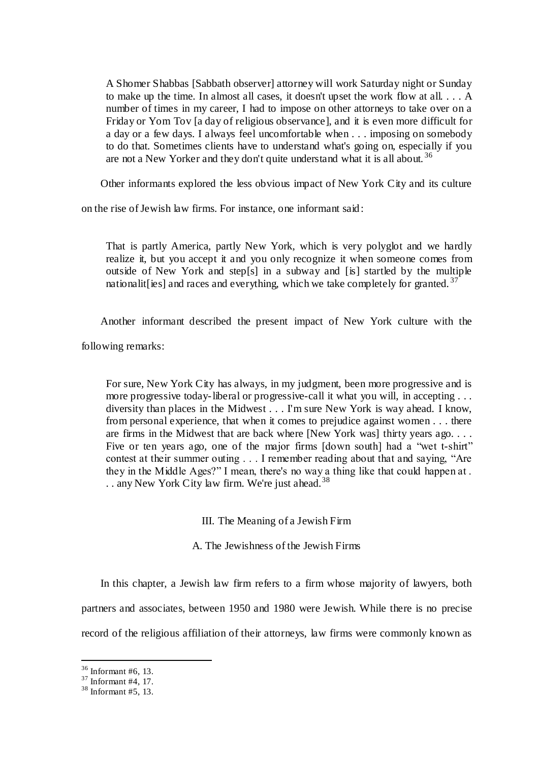A Shomer Shabbas [Sabbath observer] attorney will work Saturday night or Sunday to make up the time. In almost all cases, it doesn't upset the work flow at all. . . . A number of times in my career, I had to impose on other attorneys to take over on a Friday or Yom Tov [a day of religious observance], and it is even more difficult for a day or a few days. I always feel uncomfortable when . . . imposing on somebody to do that. Sometimes clients have to understand what's going on, especially if you are not a New Yorker and they don't quite understand what it is all about.<sup>36</sup>

Other informants explored the less obvious impact of New York City and its culture

on the rise of Jewish law firms. For instance, one informant said:

That is partly America, partly New York, which is very polyglot and we hardly realize it, but you accept it and you only recognize it when someone comes from outside of New York and step[s] in a subway and [is] startled by the multiple nationalit lies] and races and everything, which we take completely for granted.<sup>37</sup>

Another informant described the present impact of New York culture with the

following remarks:

For sure, New York City has always, in my judgment, been more progressive and is more progressive today-liberal or progressive-call it what you will, in accepting . . . diversity than places in the Midwest . . . I'm sure New York is way ahead. I know, from personal experience, that when it comes to prejudice against women . . . there are firms in the Midwest that are back where [New York was] thirty years ago. . . . Five or ten years ago, one of the major firms [down south] had a "wet t-shirt" contest at their summer outing . . . I remember reading about that and saying, "Are they in the Middle Ages?" I mean, there's no way a thing like that could happen at . .. any New York City law firm. We're just ahead.<sup>38</sup>

III. The Meaning of a Jewish Firm

A. The Jewishness of the Jewish Firms

 In this chapter, a Jewish law firm refers to a firm whose majority of lawyers, both partners and associates, between 1950 and 1980 were Jewish. While there is no precise record of the religious affiliation of their attorneys, law firms were commonly known as

 $36$  Informant #6, 13.

 $37$  Informant #4, 17.

 $38$  Informant #5, 13.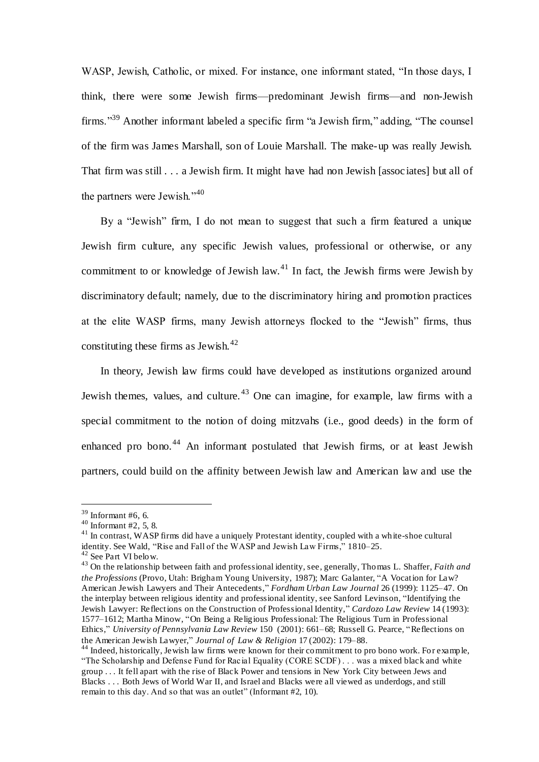WASP, Jewish, Catholic, or mixed. For instance, one informant stated, "In those days, I think, there were some Jewish firms—predominant Jewish firms—and non-Jewish firms."<sup>39</sup> Another informant labeled a specific firm "a Jewish firm," adding, "The counsel of the firm was James Marshall, son of Louie Marshall. The make-up was really Jewish. That firm was still . . . a Jewish firm. It might have had non Jewish [assoc iates] but all of the partners were Jewish."<sup>40</sup>

 By a "Jewish" firm, I do not mean to suggest that such a firm featured a unique Jewish firm culture, any specific Jewish values, professional or otherwise, or any commitment to or knowledge of Jewish law.<sup>41</sup> In fact, the Jewish firms were Jewish by discriminatory default; namely, due to the discriminatory hiring and promotion practices at the elite WASP firms, many Jewish attorneys flocked to the "Jewish" firms, thus constituting these firms as Jewish. $42$ 

 In theory, Jewish law firms could have developed as institutions organized around Jewish themes, values, and culture.  $43$  One can imagine, for example, law firms with a special commitment to the notion of doing mitzvahs (i.e., good deeds) in the form of enhanced pro bono.<sup>44</sup> An informant postulated that Jewish firms, or at least Jewish partners, could build on the affinity between Jewish law and American law and use the

 $\overline{a}$ 

<sup>41</sup> In contrast, WASP firms did have a uniquely Protestant identity, coupled with a white-shoe cultural identity. See Wald, "Rise and Fall of the WASP and Jewish Law Firms," 1810–25.

 $39$  Informant #6, 6.

 $40$  Informant #2, 5, 8.

<sup>&</sup>lt;sup>42</sup> See Part VI below.

<sup>43</sup> On the relationship between faith and professional identity, see, generally, Thomas L. Shaffer, *Faith and the Professions* (Provo, Utah: Brigham Young University, 1987); Marc Galanter, "A Vocation for Law? American Jewish Lawyers and Their Antecedents," *Fordham Urban Law Journal* 26 (1999): 1125–47. On the interplay between religious identity and professional identity, see Sanford Levinson, "Identifying the Jewish Lawyer: Reflections on the Construction of Professional Identity," *Cardozo Law Review* 14 (1993): 1577–1612; Martha Minow, "On Being a Religious Professional: The Religious Turn in Professional Ethics," *University of Pennsylvania Law Review* 150 (2001): 661–68; Russell G. Pearce, "Reflections on the American Jewish Lawyer," *Journal of Law & Religion* 17 (2002): 179–88.

<sup>&</sup>lt;sup>44</sup> Indeed, historically, Jewish law firms were known for their commitment to pro bono work. For example, "The Scholarship and Defense Fund for Racial Equality (CORE SCDF) . . . was a mixed black and white group . . . It fell apart with the rise of Black Power and tensions in New York City between Jews and Blacks . . . Both Jews of World War II, and Israel and Blacks were all viewed as underdogs, and still remain to this day. And so that was an outlet" (Informant #2, 10).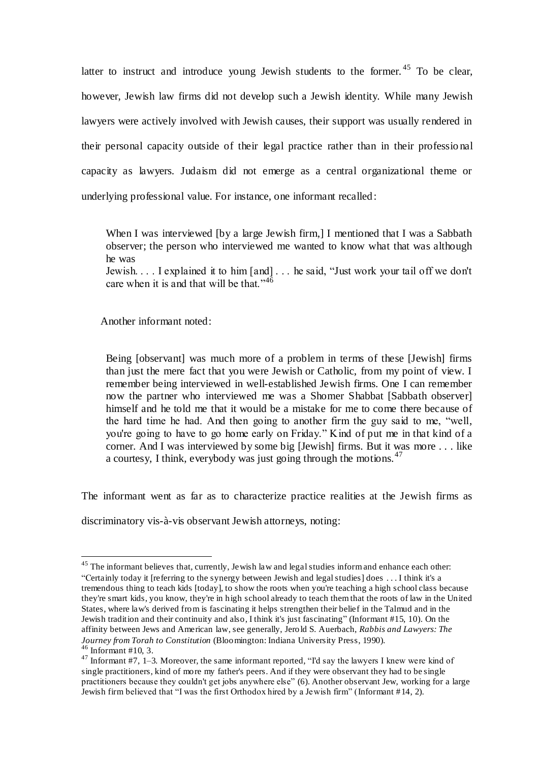latter to instruct and introduce young Jewish students to the former.  $45$  To be clear, however, Jewish law firms did not develop such a Jewish identity. While many Jewish lawyers were actively involved with Jewish causes, their support was usually rendered in their personal capacity outside of their legal practice rather than in their professio nal capacity as lawyers. Judaism did not emerge as a central organizational theme or underlying professional value. For instance, one informant recalled:

When I was interviewed [by a large Jewish firm,] I mentioned that I was a Sabbath observer; the person who interviewed me wanted to know what that was although he was

Jewish. . . . I explained it to him [and] . . . he said, "Just work your tail off we don't care when it is and that will be that."<sup>46</sup>

Another informant noted:

 $\overline{a}$ 

Being [observant] was much more of a problem in terms of these [Jewish] firms than just the mere fact that you were Jewish or Catholic, from my point of view. I remember being interviewed in well-established Jewish firms. One I can remember now the partner who interviewed me was a Shomer Shabbat [Sabbath observer] himself and he told me that it would be a mistake for me to come there because of the hard time he had. And then going to another firm the guy said to me, "well, you're going to have to go home early on Friday." Kind of put me in that kind of a corner. And I was interviewed by some big [Jewish] firms. But it was more . . . like a courtesy, I think, everybody was just going through the motions.<sup>47</sup>

The informant went as far as to characterize practice realities at the Jewish firms as

discriminatory vis-à-vis observant Jewish attorneys, noting:

<sup>&</sup>lt;sup>45</sup> The informant believes that, currently, Jewish law and legal studies inform and enhance each other: "Certainly today it [referring to the synergy between Jewish and legal studies] does . . . I think it's a tremendous thing to teach kids [today], to show the roots when you're teaching a high school class because they're smart kids, you know, they're in high school already to teach them that the roots of law in the United States, where law's derived from is fascinating it helps strengthen their belief in the Talmud and in the Jewish tradition and their continuity and also, I think it's just fascinating" (Informant #15, 10). On the affinity between Jews and American law, see generally, Jerold S. Auerbach, *Rabbis and Lawyers: The Journey from Torah to Constitution* (Bloomington: Indiana University Press, 1990).  $46$  Informant #10, 3.

 $47$  Informant #7, 1–3. Moreover, the same informant reported, "I'd say the lawyers I knew were kind of single practitioners, kind of more my father's peers. And if they were observant they had to be single practitioners because they couldn't get jobs anywhere else" (6). Another observant Jew, working for a large Jewish firm believed that "I was the first Orthodox hired by a Jewish firm" (Informant #14, 2).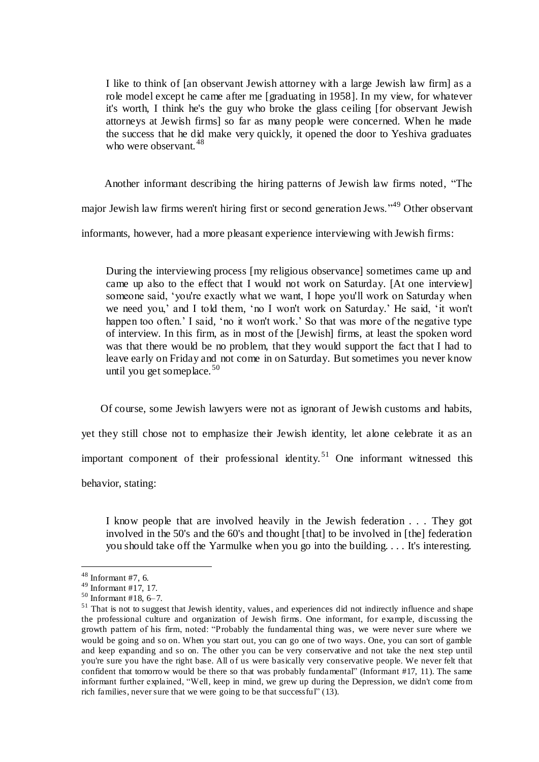I like to think of [an observant Jewish attorney with a large Jewish law firm] as a role model except he came after me [graduating in 1958]. In my view, for whatever it's worth, I think he's the guy who broke the glass ceiling [for observant Jewish attorneys at Jewish firms] so far as many people were concerned. When he made the success that he did make very quickly, it opened the door to Yeshiva graduates who were observant.  $48$ 

Another informant describing the hiring patterns of Jewish law firms noted, "The

major Jewish law firms weren't hiring first or second generation Jews."<sup>49</sup> Other observant

informants, however, had a more pleasant experience interviewing with Jewish firms:

During the interviewing process [my religious observance] sometimes came up and came up also to the effect that I would not work on Saturday. [At one interview] someone said, 'you're exactly what we want, I hope you'll work on Saturday when we need you,' and I told them, 'no I won't work on Saturday.' He said, 'it won't happen too often.' I said, 'no it won't work.' So that was more of the negative type of interview. In this firm, as in most of the [Jewish] firms, at least the spoken word was that there would be no problem, that they would support the fact that I had to leave early on Friday and not come in on Saturday. But sometimes you never know until you get someplace.  $50$ 

 Of course, some Jewish lawyers were not as ignorant of Jewish customs and habits, yet they still chose not to emphasize their Jewish identity, let alone celebrate it as an important component of their professional identity.<sup>51</sup> One informant witnessed this behavior, stating:

I know people that are involved heavily in the Jewish federation . . . They got involved in the 50's and the 60's and thought [that] to be involved in [the] federation you should take off the Yarmulke when you go into the building. . . . It's interesting.

 $48$  Informant #7, 6.

<sup>49</sup> Informant #17, 17.

 $50$  Informant #18, 6-7.

<sup>&</sup>lt;sup>51</sup> That is not to suggest that Jewish identity, values, and experiences did not indirectly influence and shape the professional culture and organization of Jewish firms. One informant, for example, discussing the growth pattern of his firm, noted: "Probably the fundamental thing was, we were never sure where we would be going and so on. When you start out, you can go one of two ways. One, you can sort of gamble and keep expanding and so on. The other you can be very conservative and not take the next step until you're sure you have the right base. All of us were basically very conservative people. We never felt that confident that tomorrow would be there so that was probably fundamental" (Informant #17, 11). The same informant further explained, "Well, keep in mind, we grew up during the Depression, we didn't come from rich families, never sure that we were going to be that successful" (13).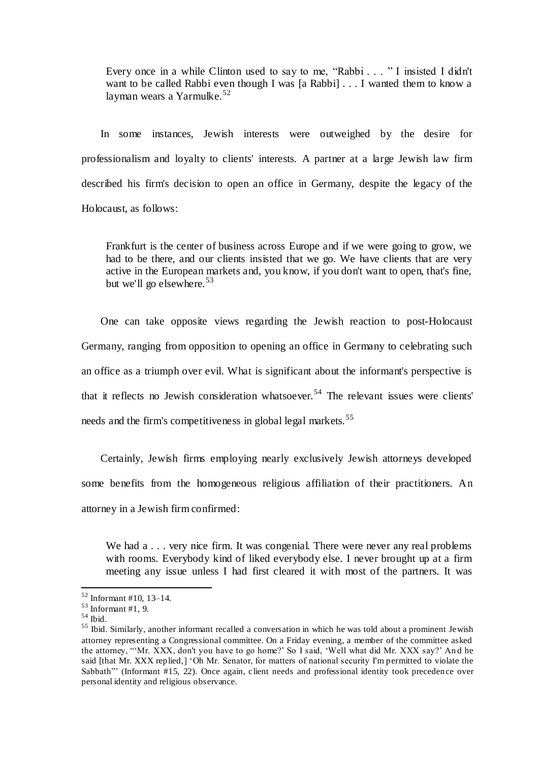Every once in a while Clinton used to say to me, "Rabbi . . . " I insisted I didn't want to be called Rabbi even though I was [a Rabbi] . . . I wanted them to know a layman wears a Yarmulke.<sup>52</sup>

 In some instances, Jewish interests were outweighed by the desire for professionalism and loyalty to clients' interests. A partner at a large Jewish law firm described his firm's decision to open an office in Germany, despite the legacy of the Holocaust, as follows:

Frankfurt is the center of business across Europe and if we were going to grow, we had to be there, and our clients insisted that we go. We have clients that are very active in the European markets and, you know, if you don't want to open, that's fine, but we'll go elsewhere.  $53$ 

 One can take opposite views regarding the Jewish reaction to post-Holocaust Germany, ranging from opposition to opening an office in Germany to celebrating such an office as a triumph over evil. What is significant about the informant's perspective is that it reflects no Jewish consideration whatsoever. <sup>54</sup> The relevant issues were clients' needs and the firm's competitiveness in global legal markets.<sup>55</sup>

 Certainly, Jewish firms employing nearly exclusively Jewish attorneys developed some benefits from the homogeneous religious affiliation of their practitioners. An attorney in a Jewish firm confirmed:

We had a . . . very nice firm. It was congenial. There were never any real problems with rooms. Everybody kind of liked everybody else. I never brought up at a firm meeting any issue unless I had first cleared it with most of the partners. It was

 $52$  Informant #10, 13–14.

 $53$  Informant #1, 9.

 $^{\rm 54}$  Ibid.

<sup>&</sup>lt;sup>55</sup> Ibid. Similarly, another informant recalled a conversation in which he was told about a prominent Jewish attorney representing a Congressional committee. On a Friday evening, a member of the committee asked the attorney, "'Mr. XXX, don't you have to go home?' So I said, 'Well what did Mr. XXX say?' An d he said [that Mr. XXX replied,] 'Oh Mr. Senator, for matters of national security I'm permitted to violate the Sabbath"' (Informant #15, 22). Once again, client needs and professional identity took precedence over personal identity and religious observance.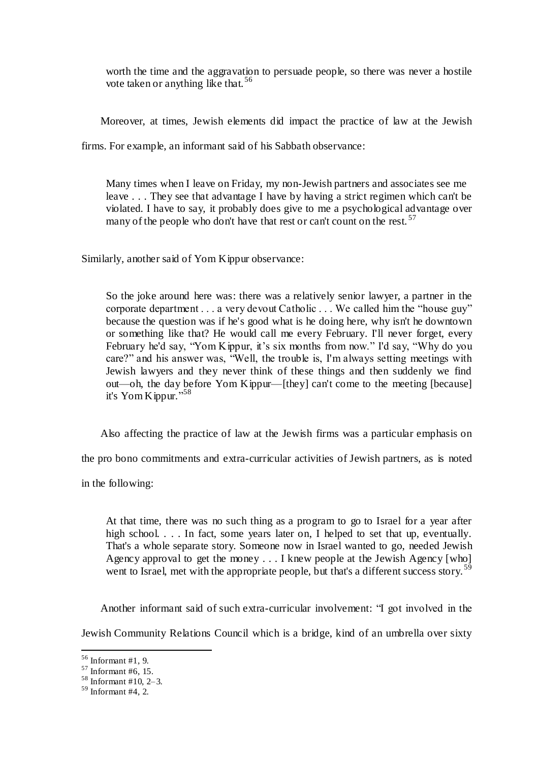worth the time and the aggravation to persuade people, so there was never a hostile vote taken or anything like that. <sup>56</sup>

Moreover, at times, Jewish elements did impact the practice of law at the Jewish

firms. For example, an informant said of his Sabbath observance:

Many times when I leave on Friday, my non-Jewish partners and associates see me leave . . . They see that advantage I have by having a strict regimen which can't be violated. I have to say, it probably does give to me a psychological advantage over many of the people who don't have that rest or can't count on the rest.  $57$ 

Similarly, another said of Yom Kippur observance:

So the joke around here was: there was a relatively senior lawyer, a partner in the corporate department . . . a very devout Catholic . . . We called him the "house guy" because the question was if he's good what is he doing here, why isn't he downtown or something like that? He would call me every February. I'll never forget, every February he'd say, "Yom Kippur, it's six months from now." I'd say, "Why do you care?" and his answer was, "Well, the trouble is, I'm always setting meetings with Jewish lawyers and they never think of these things and then suddenly we find out—oh, the day before Yom Kippur—[they] can't come to the meeting [because] it's Yom Kippur." 58

Also affecting the practice of law at the Jewish firms was a particular emphasis on

the pro bono commitments and extra-curricular activities of Jewish partners, as is noted

in the following:

At that time, there was no such thing as a program to go to Israel for a year after high school. . . . In fact, some years later on, I helped to set that up, eventually. That's a whole separate story. Someone now in Israel wanted to go, needed Jewish Agency approval to get the money . . . I knew people at the Jewish Agency [who] went to Israel, met with the appropriate people, but that's a different success story.<sup>59</sup>

Another informant said of such extra-curricular involvement: "I got involved in the

Jewish Community Relations Council which is a bridge, kind of an umbrella over sixty

<sup>56</sup> Informant #1, 9.

 $57$  Informant #6, 15.

 $58$  Informant #10, 2-3.

 $59$  Informant #4, 2.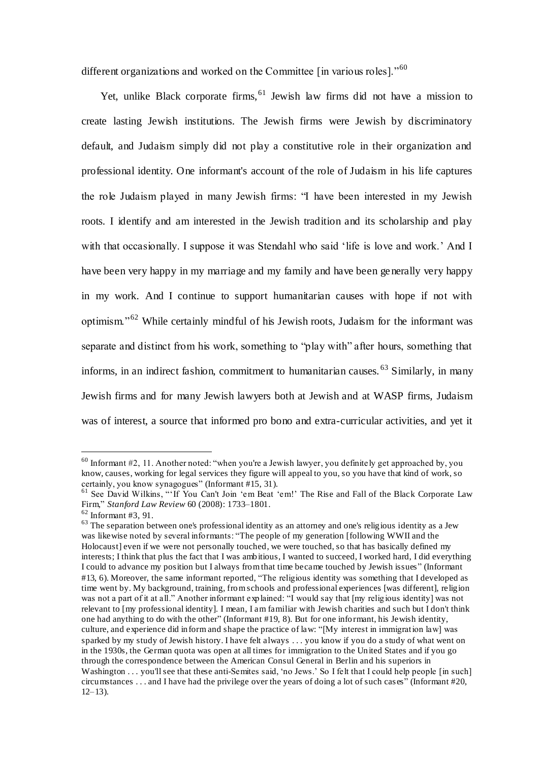different organizations and worked on the Committee [in various roles]."<sup>60</sup>

Yet, unlike Black corporate firms,  $61$  Jewish law firms did not have a mission to create lasting Jewish institutions. The Jewish firms were Jewish by discriminatory default, and Judaism simply did not play a constitutive role in their organization and professional identity. One informant's account of the role of Judaism in his life captures the role Judaism played in many Jewish firms: "I have been interested in my Jewish roots. I identify and am interested in the Jewish tradition and its scholarship and play with that occasionally. I suppose it was Stendahl who said 'life is love and work.' And I have been very happy in my marriage and my family and have been generally very happy in my work. And I continue to support humanitarian causes with hope if not with optimism."<sup>62</sup> While certainly mindful of his Jewish roots, Judaism for the informant was separate and distinct from his work, something to "play with" after hours, something that informs, in an indirect fashion, commitment to humanitarian causes. <sup>63</sup> Similarly, in many Jewish firms and for many Jewish lawyers both at Jewish and at WASP firms, Judaism was of interest, a source that informed pro bono and extra-curricular activities, and yet it

 $60$  Informant #2, 11. Another noted: "when you're a Jewish lawyer, you definitely get approached by, you know, causes, working for legal services they figure will appeal to you, so you have that kind of work, so certainly, you know synagogues" (Informant #15, 31).

<sup>&</sup>lt;sup>61</sup> See David Wilkins, "'If You Can't Join 'em Beat 'em!' The Rise and Fall of the Black Corporate Law Firm," *Stanford Law Review* 60 (2008): 1733–1801.

 $62$  Informant #3, 91.

<sup>&</sup>lt;sup>63</sup> The separation between one's professional identity as an attorney and one's religious identity as a Jew was likewise noted by several informants: "The people of my generation [following WWII and the Holocaust] even if we were not personally touched, we were touched, so that has basically defined my interests; I think that plus the fact that I was ambitious, I wanted to succeed, I worked hard, I did everything I could to advance my position but I always from that time became touched by Jewish issues" (Informant #13, 6). Moreover, the same informant reported, "The religious identity was something that I developed as time went by. My background, training, from schools and professional experiences [was different], religion was not a part of it at all." Another informant explained: "I would say that [my religious identity] was not relevant to [my professional identity]. I mean, I am familiar with Jewish charities and such but I don't think one had anything to do with the other" (Informant #19, 8). But for one informant, his Jewish identity, culture, and experience did inform and shape the practice of law: "[My interest in immigration law] was sparked by my study of Jewish history. I have felt always . . . you know if you do a study of what went on in the 1930s, the German quota was open at all times for immigration to the United States and if you go through the correspondence between the American Consul General in Berlin and his superiors in Washington . . . you'll see that these anti-Semites said, 'no Jews.' So I felt that I could help people [in such] circumstances . . . and I have had the privilege over the years of doing a lot of such cas es" (Informant #20,  $12-13$ ).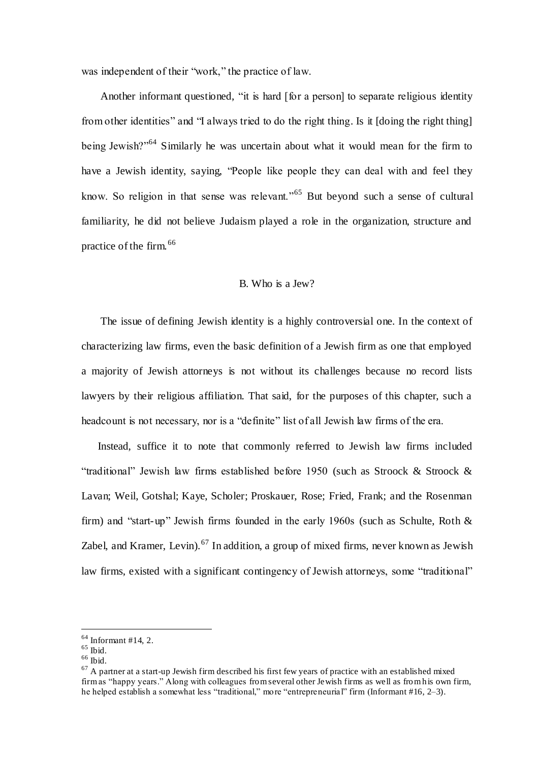was independent of their "work," the practice of law.

 Another informant questioned, "it is hard [for a person] to separate religious identity from other identities" and "I always tried to do the right thing. Is it [doing the right thing] being Jewish?"<sup>64</sup> Similarly he was uncertain about what it would mean for the firm to have a Jewish identity, saying, "People like people they can deal with and feel they know. So religion in that sense was relevant."<sup>65</sup> But beyond such a sense of cultural familiarity, he did not believe Judaism played a role in the organization, structure and practice of the firm.<sup>66</sup>

## B. Who is a Jew?

 The issue of defining Jewish identity is a highly controversial one. In the context of characterizing law firms, even the basic definition of a Jewish firm as one that employed a majority of Jewish attorneys is not without its challenges because no record lists lawyers by their religious affiliation. That said, for the purposes of this chapter, such a headcount is not necessary, nor is a "definite" list of all Jewish law firms of the era.

 Instead, suffice it to note that commonly referred to Jewish law firms included "traditional" Jewish law firms established before 1950 (such as Stroock & Stroock & Lavan; Weil, Gotshal; Kaye, Scholer; Proskauer, Rose; Fried, Frank; and the Rosenman firm) and "start-up" Jewish firms founded in the early 1960s (such as Schulte, Roth & Zabel, and Kramer, Levin).<sup>67</sup> In addition, a group of mixed firms, never known as Jewish law firms, existed with a significant contingency of Jewish attorneys, some "traditional"

 $64$  Informant #14, 2.

 $^{65}$  Ibid.

 $^{66}$  Ibid.

 $67$  A partner at a start-up Jewish firm described his first few years of practice with an established mixed firm as "happy years." Along with colleagues from several other Jewish firms as well as from his own firm, he helped establish a somewhat less "traditional," more "entrepreneurial" firm (Informant #16, 2–3).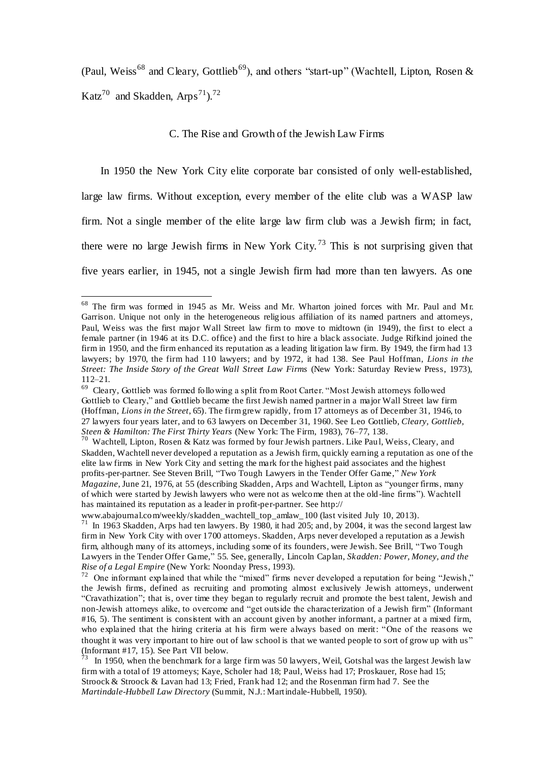(Paul, Weiss<sup>68</sup> and Cleary, Gottlieb<sup>69</sup>), and others "start-up" (Wachtell, Lipton, Rosen & Katz<sup>70</sup> and Skadden,  $Arps^{71}$ ).<sup>72</sup>

## C. The Rise and Growth of the Jewish Law Firms

 In 1950 the New York City elite corporate bar consisted of only well-established, large law firms. Without exception, every member of the elite club was a WASP law firm. Not a single member of the elite large law firm club was a Jewish firm; in fact, there were no large Jewish firms in New York City.<sup>73</sup> This is not surprising given that five years earlier, in 1945, not a single Jewish firm had more than ten lawyers. As one

 $68$  The firm was formed in 1945 as Mr. Weiss and Mr. Wharton joined forces with Mr. Paul and Mr. Garrison. Unique not only in the heterogeneous religious affiliation of its named partners and attorneys, Paul, Weiss was the first major Wall Street law firm to move to midtown (in 1949), the first to elect a female partner (in 1946 at its D.C. office) and the first to hire a black associate. Judge Rifkind joined the firm in 1950, and the firm enhanced its reputation as a leading litigation law firm. By 1949, the firm had 13 lawyers; by 1970, the firm had 110 lawyers; and by 1972, it had 138. See Paul Hoffman, *Lions in the Street: The Inside Story of the Great Wall Street Law Firms (New York: Saturday Review Press, 1973),* 112–21.

<sup>&</sup>lt;sup>69</sup> Cleary, Gottlieb was formed following a split from Root Carter. "Most Jewish attorneys followed Gottlieb to Cleary," and Gottlieb became the first Jewish named partner in a major Wall Street law firm (Hoffman, *Lions in the Street*, 65). The firm grew rapidly, from 17 attorneys as of December 31, 1946, to 27 lawyers four years later, and to 63 lawyers on December 31, 1960. See Leo Gottlieb, *Cleary, Gottlieb, Steen & Hamilton: The First Thirty Years* (New York: The Firm, 1983), 76–77, 138. 70 Wachtell, Lipton, Rosen & Katz was formed by four Jewish partners. Like Paul, Weiss, Cleary, and

Skadden, Wachtell never developed a reputation as a Jewish firm, quickly earning a reputation as one of the elite law firms in New York City and setting the mark for the highest paid associates and the highest profits-per-partner. See Steven Brill, "Two Tough Lawyers in the Tender Offer Game," *New York Magazine*, June 21, 1976, at 55 (describing Skadden, Arps and Wachtell, Lipton as "younger firms, many of which were started by Jewish lawyers who were not as welcome then at the old-line firms"). Wachtell has maintained its reputation as a leader in profit-per-partner. See http://

www.abajournal.com/weekly/skadden\_wachtell\_top\_amlaw\_100 (last visited July 10, 2013).<br><sup>71</sup> In 1963 Skadden, Arps had ten lawyers. By 1980, it had 205; and, by 2004, it was the second largest law firm in New York City with over 1700 attorneys. Skadden, Arps never developed a reputation as a Jewish firm, although many of its attorneys, including some of its founders, were Jewish. See Brill, "Two Tough Lawyers in the Tender Offer Game," 55. See, generally, Lincoln Caplan, *Skadden: Power, Money, and the Rise of a Legal Empire* (New York: Noonday Press, 1993).

<sup>&</sup>lt;sup>72</sup> One informant explained that while the "mixed" firms never developed a reputation for being "Jewish," the Jewish firms, defined as recruiting and promoting almost exclusively Jewish attorneys, underwent "Cravathization"; that is, over time they began to regularly recruit and promote the best talent, Jewish and non-Jewish attorneys alike, to overcome and "get outside the characterization of a Jewish firm" (Informant #16, 5). The sentiment is consistent with an account given by another informant, a partner at a mixed firm, who explained that the hiring criteria at his firm were always based on merit: "One of the reasons we thought it was very important to hire out of law school is that we wanted people to sort of grow up with us" (Informant #17, 15). See Part VII below.<br> $7<sup>3</sup>$  In 1050, when the banely mark for a la

<sup>&</sup>lt;sup>3</sup> In 1950, when the benchmark for a large firm was 50 lawyers, Weil, Gotshal was the largest Jewish law firm with a total of 19 attorneys; Kaye, Scholer had 18; Paul, Weiss had 17; Proskauer, Rose had 15; Stroock & Stroock & Lavan had 13; Fried, Frank had 12; and the Rosenman firm had 7. See the *Martindale-Hubbell Law Directory* (Summit, N.J.: Martindale-Hubbell, 1950).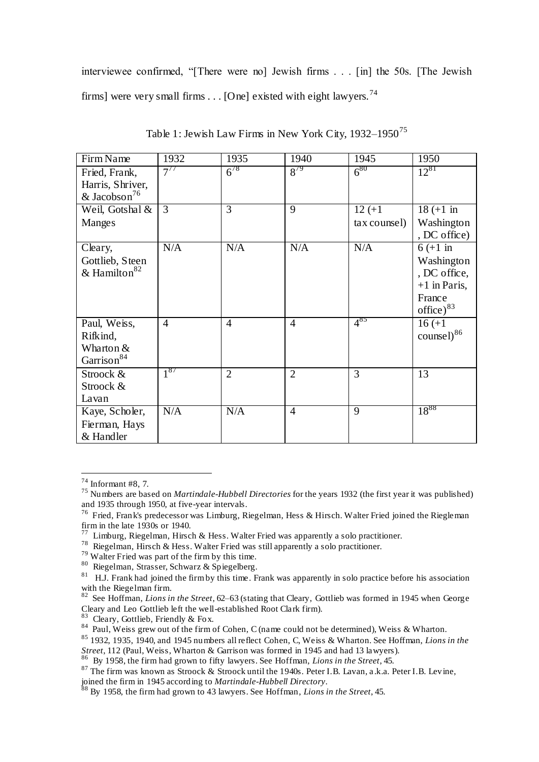interviewee confirmed, "[There were no] Jewish firms . . . [in] the 50s. [The Jewish firms] were very small firms . . . [One] existed with eight lawyers.<sup>74</sup>

| Firm Name                | 1932           | 1935           | 1940           | 1945         | 1950                   |
|--------------------------|----------------|----------------|----------------|--------------|------------------------|
| Fried, Frank,            | $7^{77}$       | $6^{78}$       | $8^{79}$       | $6^{80}$     | $12^{81}$              |
| Harris, Shriver,         |                |                |                |              |                        |
| & Jacobson <sup>76</sup> |                |                |                |              |                        |
| Weil, Gotshal &          | 3              | 3              | 9              | $12 (+1)$    | $18 (+1 \text{ in}$    |
| Manges                   |                |                |                | tax counsel) | Washington             |
|                          |                |                |                |              | , DC office)           |
| Cleary,                  | N/A            | N/A            | N/A            | N/A          | $6 (+1)$ in            |
| Gottlieb, Steen          |                |                |                |              | Washington             |
| & Hamilton <sup>82</sup> |                |                |                |              | , DC office,           |
|                          |                |                |                |              | $+1$ in Paris,         |
|                          |                |                |                |              | France                 |
|                          |                |                |                |              | office) $83$           |
| Paul, Weiss,             | $\overline{4}$ | $\overline{4}$ | $\overline{4}$ | $4^{85}$     | $16 (+1)$              |
| Rifkind,                 |                |                |                |              | counsel) <sup>86</sup> |
| Wharton &                |                |                |                |              |                        |
| Garrison <sup>84</sup>   |                |                |                |              |                        |
| Stroock &                | $1^{87}$       | $\overline{2}$ | $\overline{2}$ | 3            | 13                     |
| Stroock &                |                |                |                |              |                        |
| Lavan                    |                |                |                |              |                        |
| Kaye, Scholer,           | N/A            | N/A            | $\overline{4}$ | 9            | $18^{88}$              |
| Fierman, Hays            |                |                |                |              |                        |
| & Handler                |                |                |                |              |                        |

Table 1: Jewish Law Firms in New York City, 1932–1950<sup>75</sup>

 $\overline{a}$ 

83 Cleary, Gottlieb, Friendly & Fox.

 $74$  Informant #8, 7.

<sup>75</sup> Numbers are based on *Martindale-Hubbell Directories* for the years 1932 (the first year it was published) and 1935 through 1950, at five-year intervals.

<sup>&</sup>lt;sup>76</sup> Fried, Frank's predecessor was Limburg, Riegelman, Hess & Hirsch. Walter Fried joined the Riegleman firm in the late  $1930s$  or  $1940$ .<br>  $77\text{ I }$  imburg Piagalman Hirsg

<sup>&</sup>lt;sup>7</sup> Limburg, Riegelman, Hirsch & Hess. Walter Fried was apparently a solo practitioner.

<sup>&</sup>lt;sup>78</sup> Riegelman, Hirsch & Hess. Walter Fried was still apparently a solo practitioner.

<sup>79</sup> Walter Fried was part of the firm by this time.

<sup>80</sup> Riegelman, Strasser, Schwarz & Spiegelberg.

 $81$  H.J. Frank had joined the firm by this time. Frank was apparently in solo practice before his association with the Riegelman firm.

<sup>82</sup> See Hoffman, *Lions in the Street*, 62–63 (stating that Cleary, Gottlieb was formed in 1945 when George Cleary and Leo Gottlieb left the well-established Root Clark firm).

<sup>&</sup>lt;sup>84</sup> Paul, Weiss grew out of the firm of Cohen, C (name could not be determined), Weiss & Wharton.

<sup>85</sup> 1932, 1935, 1940, and 1945 numbers all reflect Cohen, C, Weiss & Wharton. See Hoffman, *Lions in the* 

*Street*, 112 (Paul, Weiss, Wharton & Garrison was formed in 1945 and had 13 lawyers). 86 By 1958, the firm had grown to fifty lawyers. See Hoffman, *Lions in the Street*, 45.

<sup>87</sup> The firm was known as Stroock & Stroock until the 1940s. Peter I.B. Lavan, a .k.a. Peter I.B. Levine, joined the firm in 1945 according to *Martindale-Hubbell Directory*.

<sup>88</sup> By 1958, the firm had grown to 43 lawyers. See Hoffman, *Lions in the Street*, 45.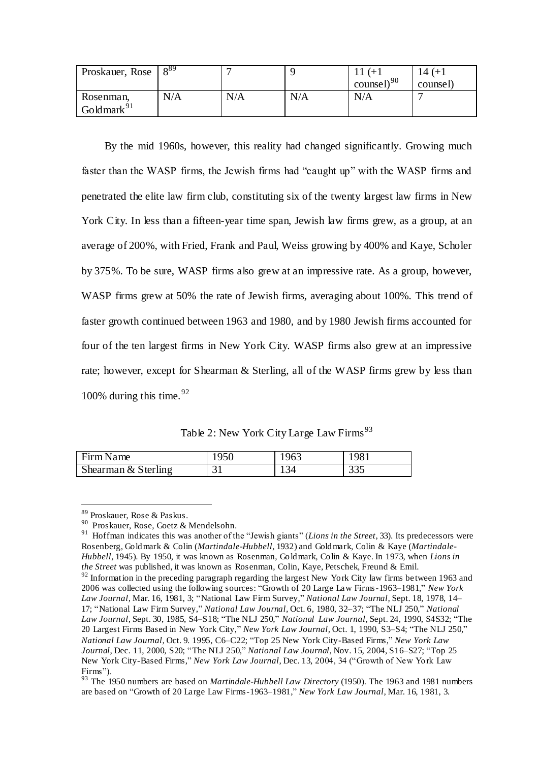| Proskauer, Rose | 089 | $\overline{\phantom{0}}$ |     |                  | 14 (+1   |
|-----------------|-----|--------------------------|-----|------------------|----------|
|                 |     |                          |     | counsel) $^{90}$ | counsel) |
| Rosenman,       | N/A | N/A                      | N/A | N/A              |          |
| Goldmark $91$   |     |                          |     |                  |          |

 By the mid 1960s, however, this reality had changed significantly. Growing much faster than the WASP firms, the Jewish firms had "caught up" with the WASP firms and penetrated the elite law firm club, constituting six of the twenty largest law firms in New York City. In less than a fifteen-year time span, Jewish law firms grew, as a group, at an average of 200%, with Fried, Frank and Paul, Weiss growing by 400% and Kaye, Scholer by 375%. To be sure, WASP firms also grew at an impressive rate. As a group, however, WASP firms grew at 50% the rate of Jewish firms, averaging about 100%. This trend of faster growth continued between 1963 and 1980, and by 1980 Jewish firms accounted for four of the ten largest firms in New York City. WASP firms also grew at an impressive rate; however, except for Shearman & Sterling, all of the WASP firms grew by less than 100% during this time.  $92$ 

Table 2: New York City Large Law Firms<sup>93</sup>

| Firm Name           |                        | 1963 | 981          |
|---------------------|------------------------|------|--------------|
| Shearman & Sterling | $\mathcal{L}_{1}$<br>ັ | 134  | 335<br>ں ں ر |

<sup>89</sup> Proskauer, Rose & Paskus.

<sup>&</sup>lt;sup>90</sup> Proskauer, Rose, Goetz & Mendelsohn.

<sup>&</sup>lt;sup>91</sup> Hoffman indicates this was another of the "Jewish giants" (*Lions in the Street*, 33). Its predecessors were Rosenberg, Goldmark & Colin (*Martindale-Hubbell*, 1932) and Goldmark, Colin & Kaye (*Martindale-Hubbell*, 1945). By 1950, it was known as Rosenman, Goldmark, Colin & Kaye. In 1973, when *Lions in the Street* was published, it was known as Rosenman, Colin, Kaye, Petschek, Freund & Emil.  $92$  Information in the preceding paragraph regarding the largest New York City law firms between 1963 and 2006 was collected using the following sources: "Growth of 20 Large Law Firms-1963–1981," *New York Law Journal,* Mar. 16, 1981, 3; "National Law Firm Survey," *National Law Journal,* Sept. 18, 1978, 14– 17; "National Law Firm Survey," *National Law Journal,* Oct. 6, 1980, 32–37; "The NLJ 250," *National Law Journal,* Sept. 30, 1985, S4–S18; "The NLJ 250," *National Law Journal,* Sept. 24, 1990, S4S32; "The 20 Largest Firms Based in New York City," *New York Law Journal,* Oct. 1, 1990, S3–S4; "The NLJ 250," *National Law Journal,* Oct. 9. 1995, C6–C22; "Top 25 New York City-Based Firms," *New York Law Journal*, Dec. 11, 2000, S20; "The NLJ 250," *National Law Journal,* Nov. 15, 2004, S16–S27; "Top 25 New York City-Based Firms," *New York Law Journal*, Dec. 13, 2004, 34 ("Growth of New York Law Firms").

<sup>93</sup> The 1950 numbers are based on *Martindale-Hubbell Law Directory* (1950). The 1963 and 1981 numbers are based on "Growth of 20 Large Law Firms-1963–1981," *New York Law Journal,* Mar. 16, 1981, 3.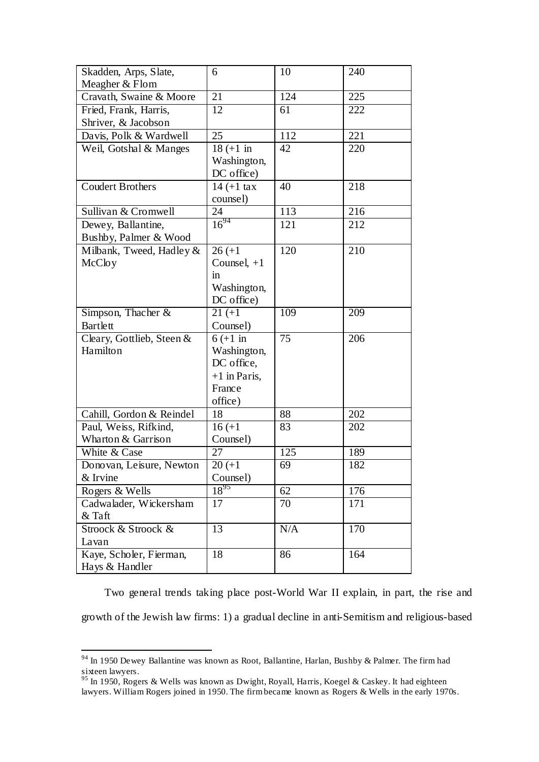| Skadden, Arps, Slate,<br>Meagher & Flom | 6                     | 10  | 240 |
|-----------------------------------------|-----------------------|-----|-----|
| Cravath, Swaine & Moore                 | 21                    | 124 | 225 |
| Fried, Frank, Harris,                   | $\overline{12}$       | 61  | 222 |
| Shriver, & Jacobson                     |                       |     |     |
| Davis, Polk & Wardwell                  | 25                    | 112 | 221 |
| Weil, Gotshal & Manges                  | $18 (+1 in$           | 42  | 220 |
|                                         | Washington,           |     |     |
|                                         | DC office)            |     |     |
| <b>Coudert Brothers</b>                 | $14 (+1 \text{ tax})$ | 40  | 218 |
|                                         | counsel)              |     |     |
| Sullivan & Cromwell                     | 24                    | 113 | 216 |
| Dewey, Ballantine,                      | $16^{94}$             | 121 | 212 |
| Bushby, Palmer & Wood                   |                       |     |     |
| Milbank, Tweed, Hadley &                | $26 (+1)$             | 120 | 210 |
| McCloy                                  | Counsel, $+1$         |     |     |
|                                         | in                    |     |     |
|                                         | Washington,           |     |     |
|                                         | DC office)            |     |     |
| Simpson, Thacher &                      | $21 (+1)$             | 109 | 209 |
| Bartlett                                | Counsel)              |     |     |
| Cleary, Gottlieb, Steen &               | $6 (+1)$ in           | 75  | 206 |
| Hamilton                                | Washington,           |     |     |
|                                         | DC office,            |     |     |
|                                         | $+1$ in Paris,        |     |     |
|                                         | France                |     |     |
|                                         | office)               |     |     |
| Cahill, Gordon & Reindel                | 18                    | 88  | 202 |
| Paul, Weiss, Rifkind,                   | $16 (+1)$             | 83  | 202 |
| Wharton & Garrison<br>White & Case      | Counsel)<br>27        | 125 | 189 |
|                                         | $20 (+1)$             | 69  |     |
| Donovan, Leisure, Newton<br>& Irvine    | Counsel)              |     | 182 |
| Rogers & Wells                          | $18^{95}$             | 62  | 176 |
| Cadwalader, Wickersham                  | 17                    | 70  | 171 |
| & Taft                                  |                       |     |     |
| Stroock & Stroock &                     | $\overline{13}$       | N/A | 170 |
| Lavan                                   |                       |     |     |
| Kaye, Scholer, Fierman,                 | 18                    | 86  | 164 |
| Hays & Handler                          |                       |     |     |

 Two general trends taking place post-World War II explain, in part, the rise and growth of the Jewish law firms: 1) a gradual decline in anti-Semitism and religious-based

 $94$  In 1950 Dewey Ballantine was known as Root, Ballantine, Harlan, Bushby & Palmer. The firm had sixteen lawyers.

 $95$  In 1950, Rogers & Wells was known as Dwight, Royall, Harris, Koegel & Caskey. It had eighteen lawyers. William Rogers joined in 1950. The firm became known as Rogers & Wells in the early 1970s.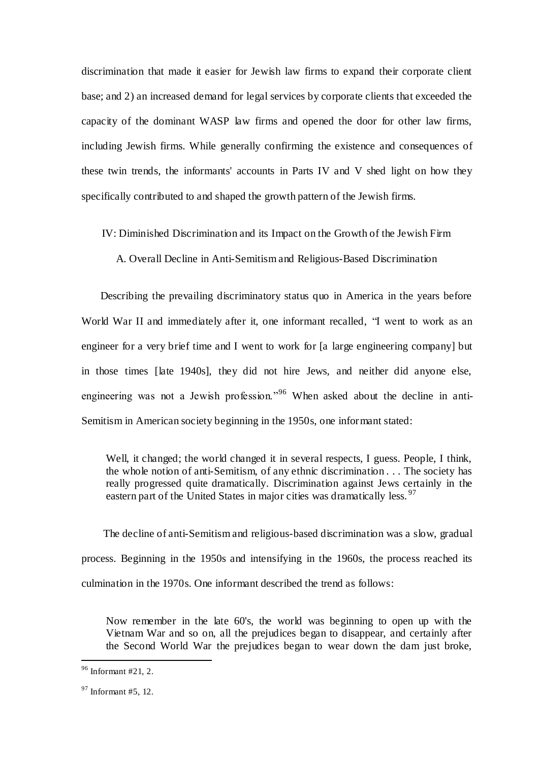discrimination that made it easier for Jewish law firms to expand their corporate client base; and 2) an increased demand for legal services by corporate clients that exceeded the capacity of the dominant WASP law firms and opened the door for other law firms, including Jewish firms. While generally confirming the existence and consequences of these twin trends, the informants' accounts in Parts IV and V shed light on how they specifically contributed to and shaped the growth pattern of the Jewish firms.

IV: Diminished Discrimination and its Impact on the Growth of the Jewish Firm

A. Overall Decline in Anti-Semitism and Religious-Based Discrimination

 Describing the prevailing discriminatory status quo in America in the years before World War II and immediately after it, one informant recalled, "I went to work as an engineer for a very brief time and I went to work for [a large engineering company] but in those times [late 1940s], they did not hire Jews, and neither did anyone else, engineering was not a Jewish profession."<sup>96</sup> When asked about the decline in anti-Semitism in American society beginning in the 1950s, one informant stated:

Well, it changed; the world changed it in several respects, I guess. People, I think, the whole notion of anti-Semitism, of any ethnic discrimination . . . The society has really progressed quite dramatically. Discrimination against Jews certainly in the eastern part of the United States in major cities was dramatically less.  $97$ 

 The decline of anti-Semitism and religious-based discrimination was a slow, gradual process. Beginning in the 1950s and intensifying in the 1960s, the process reached its culmination in the 1970s. One informant described the trend as follows:

Now remember in the late 60's, the world was beginning to open up with the Vietnam War and so on, all the prejudices began to disappear, and certainly after the Second World War the prejudices began to wear down the dam just broke,

 $96$  Informant #21, 2.

 $97$  Informant #5, 12.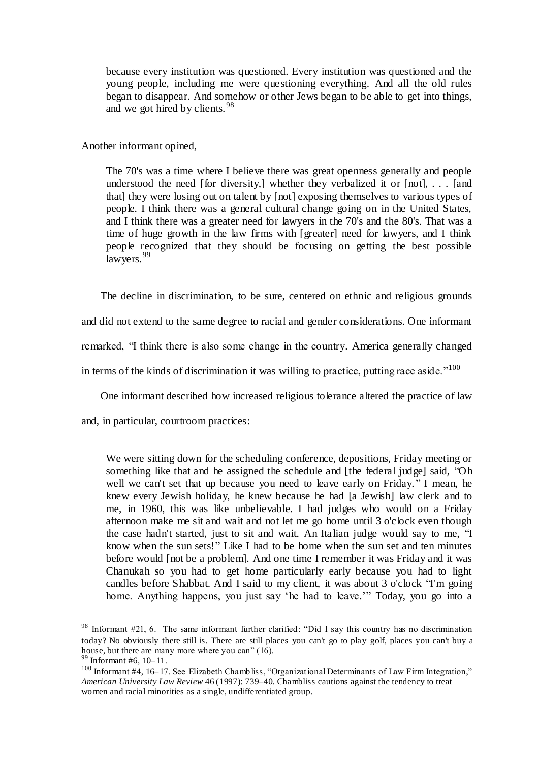because every institution was questioned. Every institution was questioned and the young people, including me were questioning everything. And all the old rules began to disappear. And somehow or other Jews began to be able to get into things, and we got hired by clients.<sup>98</sup>

Another informant opined,

The 70's was a time where I believe there was great openness generally and people understood the need [for diversity,] whether they verbalized it or  $[not]$ , ... [and that] they were losing out on talent by [not] exposing themselves to various types of people. I think there was a general cultural change going on in the United States, and I think there was a greater need for lawyers in the 70's and the 80's. That was a time of huge growth in the law firms with [greater] need for lawyers, and I think people recognized that they should be focusing on getting the best possible lawyers.<sup>99</sup>

 The decline in discrimination, to be sure, centered on ethnic and religious grounds and did not extend to the same degree to racial and gender considerations. One informant remarked, "I think there is also some change in the country. America generally changed in terms of the kinds of discrimination it was willing to practice, putting race aside."<sup>100</sup>

One informant described how increased religious tolerance altered the practice of law

and, in particular, courtroom practices:

We were sitting down for the scheduling conference, depositions, Friday meeting or something like that and he assigned the schedule and [the federal judge] said, "Oh well we can't set that up because you need to leave early on Friday. " I mean, he knew every Jewish holiday, he knew because he had [a Jewish] law clerk and to me, in 1960, this was like unbelievable. I had judges who would on a Friday afternoon make me sit and wait and not let me go home until 3 o'clock even though the case hadn't started, just to sit and wait. An Italian judge would say to me, "I know when the sun sets!" Like I had to be home when the sun set and ten minutes before would [not be a problem]. And one time I remember it was Friday and it was Chanukah so you had to get home particularly early because you had to light candles before Shabbat. And I said to my client, it was about 3 o'clock "I'm going home. Anything happens, you just say 'he had to leave.'" Today, you go into a

<sup>98</sup> Informant #21, 6. The same informant further clarified: "Did I say this country has no discrimination today? No obviously there still is. There are still places you can't go to play golf, places you can't buy a house, but there are many more where you can"  $(16)$ .

 $\frac{99}{99}$  Informant #6, 10–11.

<sup>&</sup>lt;sup>100</sup> Informant #4, 16–17. See Elizabeth Chambliss, "Organizational Determinants of Law Firm Integration," *American University Law Review* 46 (1997): 739–40. Chambliss cautions against the tendency to treat women and racial minorities as a single, undifferentiated group.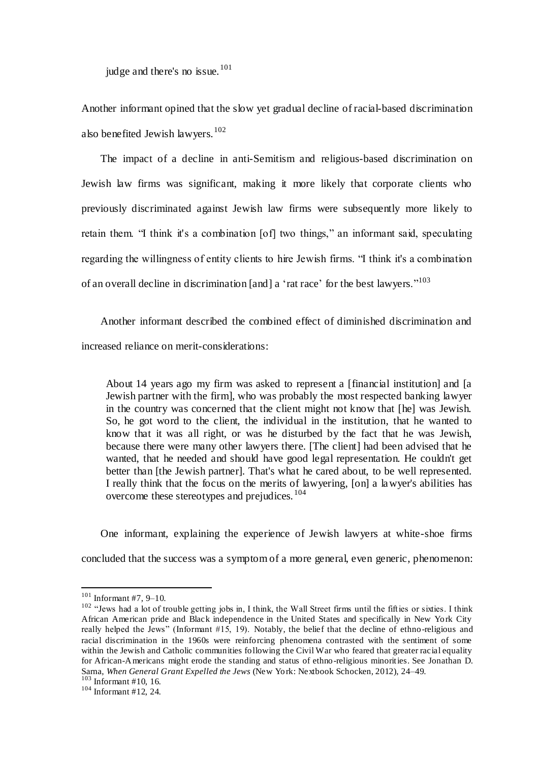judge and there's no issue. $101$ 

Another informant opined that the slow yet gradual decline of racial-based discrimination also benefited Jewish lawyers.<sup>102</sup>

 The impact of a decline in anti-Semitism and religious-based discrimination on Jewish law firms was significant, making it more likely that corporate clients who previously discriminated against Jewish law firms were subsequently more likely to retain them. "I think it's a combination [of] two things," an informant said, speculating regarding the willingness of entity clients to hire Jewish firms. "I think it's a combination of an overall decline in discrimination [and] a 'rat race' for the best lawyers."<sup>103</sup>

 Another informant described the combined effect of diminished discrimination and increased reliance on merit-considerations:

About 14 years ago my firm was asked to represent a [financial institution] and [a Jewish partner with the firm], who was probably the most respected banking lawyer in the country was concerned that the client might not know that [he] was Jewish. So, he got word to the client, the individual in the institution, that he wanted to know that it was all right, or was he disturbed by the fact that he was Jewish, because there were many other lawyers there. [The client] had been advised that he wanted, that he needed and should have good legal representation. He couldn't get better than [the Jewish partner]. That's what he cared about, to be well represented. I really think that the focus on the merits of lawyering, [on] a lawyer's abilities has overcome these stereotypes and prejudices.<sup>104</sup>

 One informant, explaining the experience of Jewish lawyers at white-shoe firms concluded that the success was a symptom of a more general, even generic, phenomenon:

 $101$  Informant #7, 9-10.

<sup>&</sup>lt;sup>102</sup> "Jews had a lot of trouble getting jobs in, I think, the Wall Street firms until the fifties or sixties. I think African American pride and Black independence in the United States and specifically in New York City really helped the Jews" (Informant #15, 19). Notably, the belief that the decline of ethno-religious and racial discrimination in the 1960s were reinforcing phenomena contrasted with the sentiment of some within the Jewish and Catholic communities following the Civil War who feared that greater racial equality for African-Americans might erode the standing and status of ethno-religious minorities. See Jonathan D. Sarna, *When General Grant Expelled the Jews* (New York: Nextbook Schocken, 2012), 24–49.

 $103$  Informant #10, 16.

 $104$  Informant #12, 24.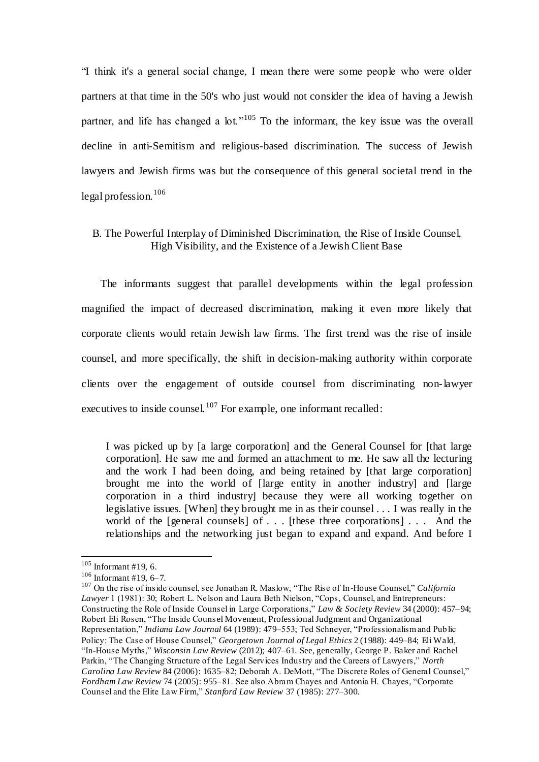"I think it's a general social change, I mean there were some people who were older partners at that time in the 50's who just would not consider the idea of having a Jewish partner, and life has changed a lot."<sup>105</sup> To the informant, the key issue was the overall decline in anti-Semitism and religious-based discrimination. The success of Jewish lawyers and Jewish firms was but the consequence of this general societal trend in the  $\log a$  profession.<sup>106</sup>

# B. The Powerful Interplay of Diminished Discrimination, the Rise of Inside Counsel, High Visibility, and the Existence of a Jewish Client Base

 The informants suggest that parallel developments within the legal profession magnified the impact of decreased discrimination, making it even more likely that corporate clients would retain Jewish law firms. The first trend was the rise of inside counsel, and more specifically, the shift in decision-making authority within corporate clients over the engagement of outside counsel from discriminating non-lawyer executives to inside counsel.<sup>107</sup> For example, one informant recalled:

I was picked up by [a large corporation] and the General Counsel for [that large corporation]. He saw me and formed an attachment to me. He saw all the lecturing and the work I had been doing, and being retained by [that large corporation] brought me into the world of [large entity in another industry] and [large corporation in a third industry] because they were all working together on legislative issues. [When] they brought me in as their counsel . . . I was really in the world of the [general counsels] of . . . [these three corporations] . . . And the relationships and the networking just began to expand and expand. And before I

 $105$  Informant #19, 6.

 $106$  Informant #19, 6-7.

<sup>107</sup> On the rise of inside counsel, see Jonathan R. Maslow, "The Rise of In-House Counsel," *California Lawyer* 1 (1981): 30; Robert L. Nelson and Laura Beth Nielson, "Cops, Counsel, and Entrepreneurs: Constructing the Role of Inside Counsel in Large Corporations," *Law & Society Review* 34 (2000): 457–94; Robert Eli Rosen, "The Inside Couns el Movement, Professional Judgment and Organizational Representation," *Indiana Law Journal* 64 (1989): 479–553; Ted Schneyer, "Professionalism and Public Policy: The Case of House Counsel," *Georgetown Journal of Legal Ethics* 2 (1988): 449–84; Eli Wald, "In-House Myths," *Wisconsin Law Review* (2012); 407–61. See, generally, George P. Baker and Rachel Parkin, "The Changing Structure of the Legal Services Industry and the Careers of Lawyers," *North Carolina Law Review* 84 (2006): 1635–82; Deborah A. DeMott, "The Discrete Roles of General Counsel," *Fordham Law Review* 74 (2005): 955–81. See also Abram Chayes and Antonia H. Chayes, "Corporate Counsel and the Elite Law Firm," *Stanford Law Review* 37 (1985): 277–300.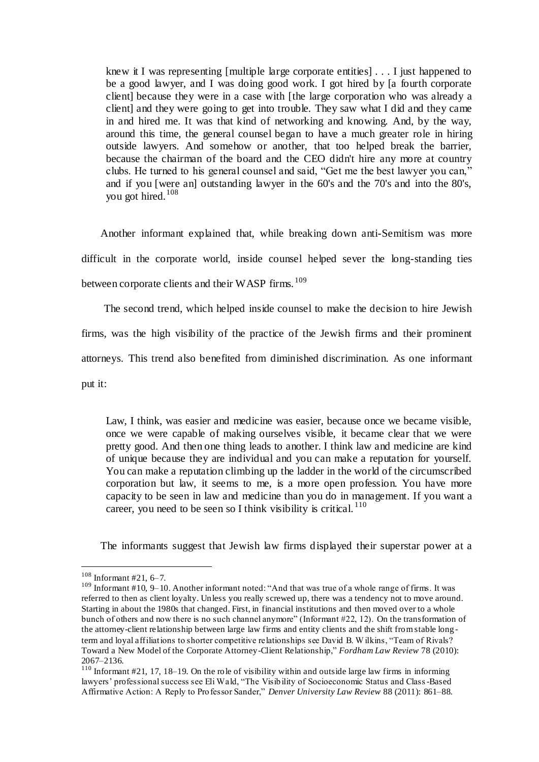knew it I was representing [multiple large corporate entities] . . . I just happened to be a good lawyer, and I was doing good work. I got hired by [a fourth corporate client] because they were in a case with [the large corporation who was already a client] and they were going to get into trouble. They saw what I did and they came in and hired me. It was that kind of networking and knowing. And, by the way, around this time, the general counsel began to have a much greater role in hiring outside lawyers. And somehow or another, that too helped break the barrier, because the chairman of the board and the CEO didn't hire any more at country clubs. He turned to his general counsel and said, "Get me the best lawyer you can," and if you [were an] outstanding lawyer in the 60's and the 70's and into the 80's, you got hired.<sup>108</sup>

 Another informant explained that, while breaking down anti-Semitism was more difficult in the corporate world, inside counsel helped sever the long-standing ties between corporate clients and their WASP firms.  $^{109}$ 

 The second trend, which helped inside counsel to make the decision to hire Jewish firms, was the high visibility of the practice of the Jewish firms and their prominent attorneys. This trend also benefited from diminished discrimination. As one informant put it:

Law, I think, was easier and medicine was easier, because once we became visible, once we were capable of making ourselves visible, it became clear that we were pretty good. And then one thing leads to another. I think law and medicine are kind of unique because they are individual and you can make a reputation for yourself. You can make a reputation climbing up the ladder in the world of the circumscribed corporation but law, it seems to me, is a more open profession. You have more capacity to be seen in law and medicine than you do in management. If you want a career, you need to be seen so I think visibility is critical.  $110$ 

The informants suggest that Jewish law firms displayed their superstar power at a

 $108$  Informant #21, 6-7.

<sup>&</sup>lt;sup>109</sup> Informant #10, 9–10. Another informant noted: "And that was true of a whole range of firms. It was referred to then as client loyalty. Unless you really screwed up, there was a tendency not to move around. Starting in about the 1980s that changed. First, in financial institutions and then moved over to a whole bunch of others and now there is no such channel anymore" (Informant #22, 12). On the transformation of the attorney-client relationship between large law firms and entity clients and the shift from stable long term and loyal affiliations to shorter competitive relationships see David B. W ilkins, "Team of Rivals? Toward a New Model of the Corporate Attorney-Client Relationship," *Fordham Law Review* 78 (2010): 2067–2136.

 $\frac{110}{110}$  Informant #21, 17, 18–19. On the role of visibility within and outside large law firms in informing lawyers' professional success see Eli Wald, "The Visibility of Socioeconomic Status and Class-Based Affirmative Action: A Reply to Professor Sander," *Denver University Law Review* 88 (2011): 861–88.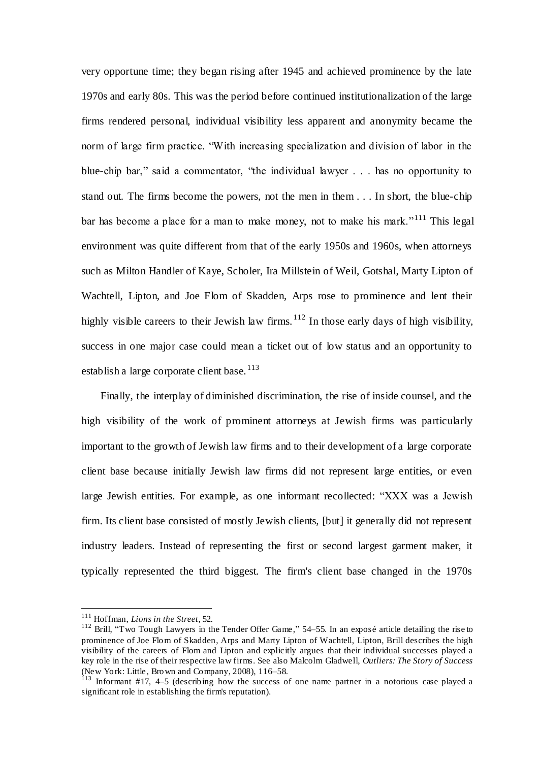very opportune time; they began rising after 1945 and achieved prominence by the late 1970s and early 80s. This was the period before continued institutionalization of the large firms rendered personal, individual visibility less apparent and anonymity became the norm of large firm practice. "With increasing specialization and division of labor in the blue-chip bar," said a commentator, "the individual lawyer . . . has no opportunity to stand out. The firms become the powers, not the men in them . . . In short, the blue-chip bar has become a place for a man to make money, not to make his mark."<sup>111</sup> This legal environment was quite different from that of the early 1950s and 1960s, when attorneys such as Milton Handler of Kaye, Scholer, Ira Millstein of Weil, Gotshal, Marty Lipton of Wachtell, Lipton, and Joe Flom of Skadden, Arps rose to prominence and lent their highly visible careers to their Jewish law firms.  $112$  In those early days of high visibility, success in one major case could mean a ticket out of low status and an opportunity to establish a large corporate client base.  $^{113}$ 

 Finally, the interplay of diminished discrimination, the rise of inside counsel, and the high visibility of the work of prominent attorneys at Jewish firms was particularly important to the growth of Jewish law firms and to their development of a large corporate client base because initially Jewish law firms did not represent large entities, or even large Jewish entities. For example, as one informant recollected: "XXX was a Jewish firm. Its client base consisted of mostly Jewish clients, [but] it generally did not represent industry leaders. Instead of representing the first or second largest garment maker, it typically represented the third biggest. The firm's client base changed in the 1970s

<sup>111</sup> Hoffman, *Lions in the Street*, 52.

<sup>&</sup>lt;sup>112</sup> Brill, "Two Tough Lawyers in the Tender Offer Game," 54–55. In an exposé article detailing the rise to prominence of Joe Flom of Skadden, Arps and Marty Lipton of Wachtell, Lipton, Brill describes the high visibility of the careers of Flom and Lipton and explicitly argues that their individual successes played a key role in the rise of their respective law firms. See also Malcolm Gladwell, *Outliers: The Story of Success* (New York: Little, Brown and Company, 2008), 116–58.

 $113$  Informant #17, 4–5 (describing how the success of one name partner in a notorious case played a significant role in establishing the firm's reputation).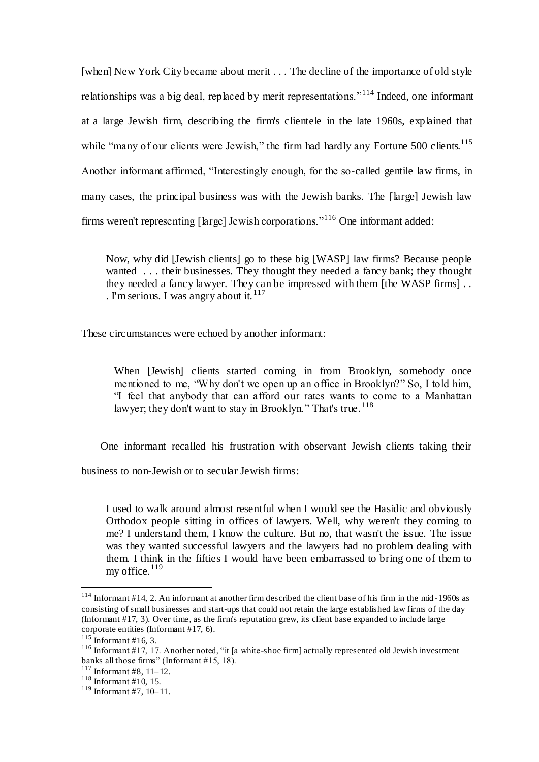[when] New York City became about merit . . . The decline of the importance of old style relationships was a big deal, replaced by merit representations."<sup>114</sup> Indeed, one informant at a large Jewish firm, describing the firm's clientele in the late 1960s, explained that while "many of our clients were Jewish," the firm had hardly any Fortune  $500$  clients.<sup>115</sup> Another informant affirmed, "Interestingly enough, for the so-called gentile law firms, in many cases, the principal business was with the Jewish banks. The [large] Jewish law firms weren't representing [large] Jewish corporations."<sup>116</sup> One informant added:

Now, why did [Jewish clients] go to these big [WASP] law firms? Because people wanted . . . their businesses. They thought they needed a fancy bank; they thought they needed a fancy lawyer. They can be impressed with them [the WASP firms] . . . I'm serious. I was angry about it.  $117$ 

These circumstances were echoed by another informant:

When [Jewish] clients started coming in from Brooklyn, somebody once mentioned to me, "Why don't we open up an office in Brooklyn?" So, I told him, "I feel that anybody that can afford our rates wants to come to a Manhattan lawyer; they don't want to stay in Brooklyn." That's true.<sup>118</sup>

One informant recalled his frustration with observant Jewish clients taking their

business to non-Jewish or to secular Jewish firms:

I used to walk around almost resentful when I would see the Hasidic and obviously Orthodox people sitting in offices of lawyers. Well, why weren't they coming to me? I understand them, I know the culture. But no, that wasn't the issue. The issue was they wanted successful lawyers and the lawyers had no problem dealing with them. I think in the fifties I would have been embarrassed to bring one of them to my office. $119$ 

<sup>&</sup>lt;sup>114</sup> Informant #14, 2. An informant at another firm described the client base of his firm in the mid-1960s as consisting of small businesses and start-ups that could not retain the large established law firms of the day (Informant #17, 3). Over time, as the firm's reputation grew, its client base expanded to include large corporate entities (Informant #17, 6).

 $115$  Informant #16, 3.

<sup>&</sup>lt;sup>116</sup> Informant #17, 17. Another noted, "it [a white-shoe firm] actually represented old Jewish investment banks all those firms" (Informant #15, 18).

 $117$  Informant #8, 11–12.

 $118$  Informant #10, 15.

<sup>119</sup> Informant #7, 10–11.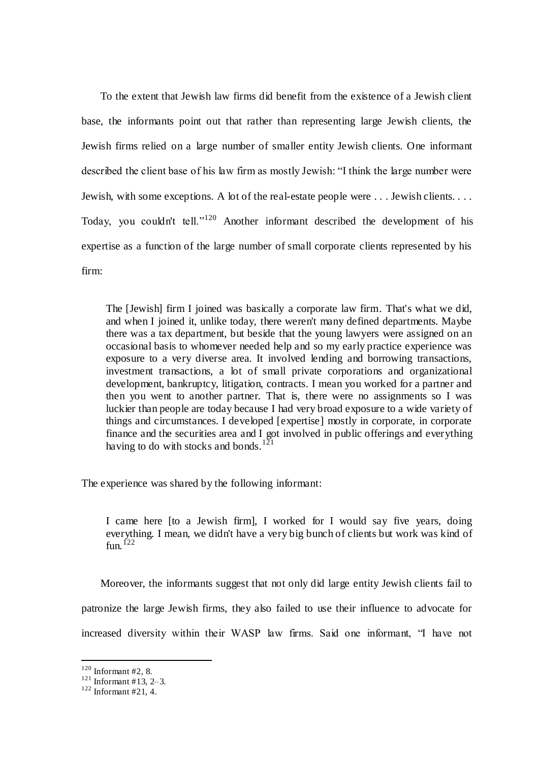To the extent that Jewish law firms did benefit from the existence of a Jewish client base, the informants point out that rather than representing large Jewish clients, the Jewish firms relied on a large number of smaller entity Jewish clients. One informant described the client base of his law firm as mostly Jewish: "I think the large number were Jewish, with some exceptions. A lot of the real-estate people were . . . Jewish clients. . . . Today, you couldn't tell."<sup>120</sup> Another informant described the development of his expertise as a function of the large number of small corporate clients represented by his firm:

The [Jewish] firm I joined was basically a corporate law firm. That's what we did, and when I joined it, unlike today, there weren't many defined departments. Maybe there was a tax department, but beside that the young lawyers were assigned on an occasional basis to whomever needed help and so my early practice experience was exposure to a very diverse area. It involved lending and borrowing transactions, investment transactions, a lot of small private corporations and organizational development, bankruptcy, litigation, contracts. I mean you worked for a partner and then you went to another partner. That is, there were no assignments so I was luckier than people are today because I had very broad exposure to a wide variety of things and circumstances. I developed [expertise] mostly in corporate, in corporate finance and the securities area and I got involved in public offerings and everything having to do with stocks and bonds.  $121$ 

The experience was shared by the following informant:

I came here [to a Jewish firm], I worked for I would say five years, doing everything. I mean, we didn't have a very big bunch of clients but work was kind of fun.<sup>122</sup>

 Moreover, the informants suggest that not only did large entity Jewish clients fail to patronize the large Jewish firms, they also failed to use their influence to advocate for increased diversity within their WASP law firms. Said one informant, "I have not

 $120$  Informant #2, 8.

 $121$  Informant #13, 2-3.

 $122$  Informant #21, 4.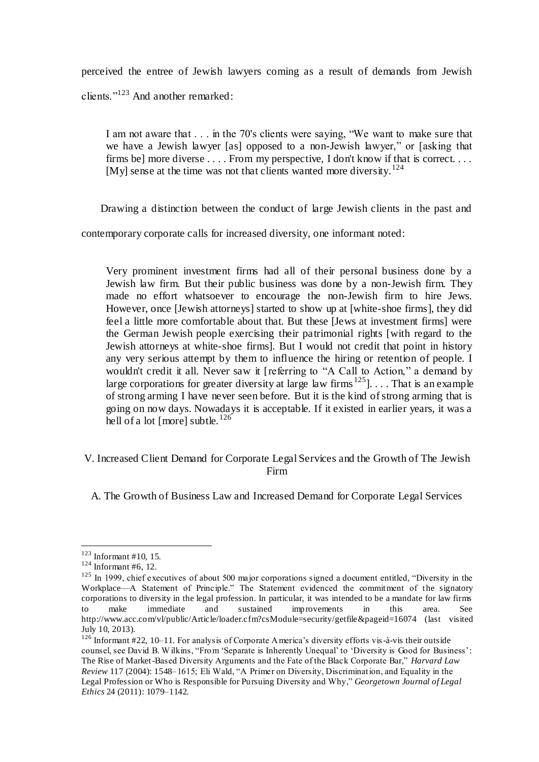perceived the entree of Jewish lawyers coming as a result of demands from Jewish clients."<sup>123</sup> And another remarked:

I am not aware that . . . in the 70's clients were saying, "We want to make sure that we have a Jewish lawyer [as] opposed to a non-Jewish lawyer," or [asking that firms be] more diverse . . . . From my perspective, I don't know if that is correct. . . . [My] sense at the time was not that clients wanted more diversity.<sup>124</sup>

Drawing a distinction between the conduct of large Jewish clients in the past and

contemporary corporate calls for increased diversity, one informant noted:

Very prominent investment firms had all of their personal business done by a Jewish law firm. But their public business was done by a non-Jewish firm. They made no effort whatsoever to encourage the non-Jewish firm to hire Jews. However, once [Jewish attorneys] started to show up at [white-shoe firms], they did feel a little more comfortable about that. But these [Jews at investment firms] were the German Jewish people exercising their patrimonial rights [with regard to the Jewish attorneys at white-shoe firms]. But I would not credit that point in history any very serious attempt by them to influence the hiring or retention of people. I wouldn't credit it all. Never saw it [referring to "A Call to Action," a demand by large corporations for greater diversity at large law firms  $125$ ].... That is an example of strong arming I have never seen before. But it is the kind of strong arming that is going on now days. Nowadays it is acceptable. If it existed in earlier years, it was a hell of a lot [more] subtle.<sup>126</sup>

## V. Increased Client Demand for Corporate Legal Services and the Growth of The Jewish Firm

A. The Growth of Business Law and Increased Demand for Corporate Legal Services

 $123$  Informant #10, 15.

 $124$  Informant #6, 12.

 $125$  In 1999, chief executives of about 500 major corporations signed a document entitled, "Diversity in the Workplace—A Statement of Principle." The Statement evidenced the commitment of the signatory corporations to diversity in the legal profession. In particular, it was intended to be a mandate for law firms to make immediate and sustained improvements in this area. See http://www.acc.com/vl/public/Article/loader.cfm?csModule=security/getfile&pageid=16074 (last visited July 10, 2013).

<sup>126</sup> Informant #22, 10–11. For analysis of Corporate America's diversity efforts vis-à-vis their outside counsel, see David B. W ilkins, "From 'Separate is Inherently Unequal' to 'Diversity is Good for Business': The Rise of Market-Based Diversity Arguments and the Fate of the Black Corporate Bar," *Harvard Law Review* 117 (2004): 1548–1615; Eli Wald, "A Primer on Diversity, Discrimination, and Equality in the Legal Profession or Who is Responsible for Pursuing Diversity and Why," *Georgetown Journal of Legal Ethics* 24 (2011): 1079–1142.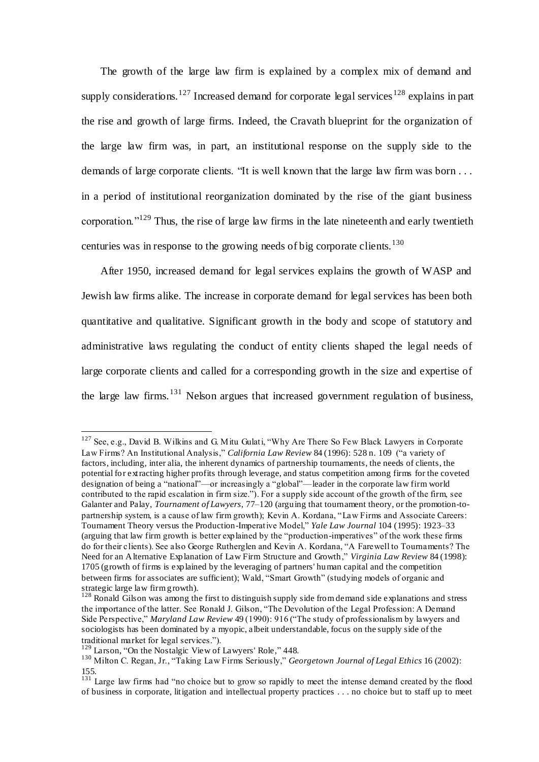The growth of the large law firm is explained by a complex mix of demand and supply considerations.<sup>127</sup> Increased demand for corporate legal services  $128$  explains in part the rise and growth of large firms. Indeed, the Cravath blueprint for the organization of the large law firm was, in part, an institutional response on the supply side to the demands of large corporate clients. "It is well known that the large law firm was born . . . in a period of institutional reorganization dominated by the rise of the giant business corporation."<sup>129</sup> Thus, the rise of large law firms in the late nineteenth and early twentieth centuries was in response to the growing needs of big corporate clients.<sup>130</sup>

 After 1950, increased demand for legal services explains the growth of WASP and Jewish law firms alike. The increase in corporate demand for legal services has been both quantitative and qualitative. Significant growth in the body and scope of statutory and administrative laws regulating the conduct of entity clients shaped the legal needs of large corporate clients and called for a corresponding growth in the size and expertise of the large law firms.<sup>131</sup> Nelson argues that increased government regulation of business,

<sup>&</sup>lt;sup>127</sup> See, e.g., David B. Wilkins and G. Mitu Gulati, "Why Are There So Few Black Lawyers in Corporate Law Firms? An Institutional Analysis," *California Law Review* 84 (1996): 528 n. 109 ("a variety of factors, including, inter alia, the inherent dynamics of partnership tournaments, the needs of clients, the potential for extracting higher profits through leverage, and status competition among firms for the coveted designation of being a "national"—or increasingly a "global"—leader in the corporate law firm world contributed to the rapid escalation in firm size."). For a supply side account of the growth of the firm, see Galanter and Palay, *Tournament of Lawyers*, 77–120 (arguing that tournament theory, or the promotion-topartnership system, is a cause of law firm growth); Kevin A. Kordana, "Law Firms and Associate Careers: Tournament Theory versus the Production-Imperative Model," *Yale Law Journal* 104 (1995): 1923–33 (arguing that law firm growth is better explained by the "production-imperatives" of the work these firms do for their clients). See also George Rutherglen and Kevin A. Kordana, "A Farewell to Tournaments? The Need for an Alternative Explanation of Law Firm Structure and Growth," *Virginia Law Review* 84 (1998): 1705 (growth of firms is explained by the leveraging of partners' human capital and the competition between firms for associates are sufficient); Wald, "Smart Growth" (studying models of organic and strategic large law firm growth).

 $128$  Ronald Gilson was among the first to distinguish supply side from demand side explanations and stress the importance of the latter. See Ronald J. Gilson, "The Devolution of the Legal Profession: A Demand Side Perspective," *Maryland Law Review* 49 (1990): 916 ("The study of professionalism by lawyers and sociologists has been dominated by a myopic, albeit understandable, focus on the supply side of the traditional market for legal services.").

<sup>129</sup> Larson, "On the Nostalgic View of Lawyers' Role," 448.

<sup>130</sup> Milton C. Regan, Jr., "Taking Law Firms Seriously," *Georgetown Journal of Legal Ethics* 16 (2002): 155.

<sup>&</sup>lt;sup>131</sup> Large law firms had "no choice but to grow so rapidly to meet the intense demand created by the flood of business in corporate, litigation and intellectual property practices . . . no choice but to staff up to meet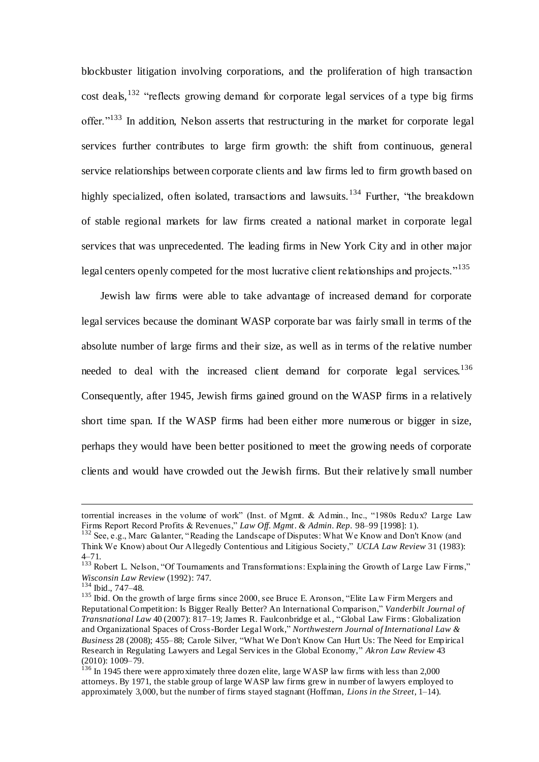blockbuster litigation involving corporations, and the proliferation of high transaction cost deals,  $132$  "reflects growing demand for corporate legal services of a type big firms offer."<sup>133</sup> In addition, Nelson asserts that restructuring in the market for corporate legal services further contributes to large firm growth: the shift from continuous, general service relationships between corporate clients and law firms led to firm growth based on highly specialized, often isolated, transactions and lawsuits.<sup>134</sup> Further, "the breakdown of stable regional markets for law firms created a national market in corporate legal services that was unprecedented. The leading firms in New York City and in other major legal centers openly competed for the most lucrative client relationships and projects."<sup>135</sup>

 Jewish law firms were able to take advantage of increased demand for corporate legal services because the dominant WASP corporate bar was fairly small in terms of the absolute number of large firms and their size, as well as in terms of the relative number needed to deal with the increased client demand for corporate legal services.<sup>136</sup> Consequently, after 1945, Jewish firms gained ground on the WASP firms in a relatively short time span. If the WASP firms had been either more numerous or bigger in size, perhaps they would have been better positioned to meet the growing needs of corporate clients and would have crowded out the Jewish firms. But their relative ly small number

torrential increases in the volume of work" (Inst. of Mgmt. & Admin., Inc., "1980s Redux? Large Law Firms Report Record Profits & Revenues," *Law Off. Mgmt. & Admin. Rep.* 98–99 [1998]: 1).

<sup>&</sup>lt;sup>132</sup> See, e.g., Marc Galanter, "Reading the Landscape of Disputes: What We Know and Don't Know (and Think We Know) about Our Allegedly Contentious and Litigious Society," *UCLA Law Review* 31 (1983): 4–71.

<sup>&</sup>lt;sup>133</sup> Robert L. Nelson, "Of Tournaments and Transformations: Explaining the Growth of Large Law Firms," *Wisconsin Law Review* (1992): 747.

<sup>134</sup> Ibid., 747–48.

<sup>&</sup>lt;sup>135</sup> Ibid. On the growth of large firms since 2000, see Bruce E. Aronson, "Elite Law Firm Mergers and Reputational Competition: Is Bigger Really Better? An International Comparison," *Vanderbilt Journal of Transnational Law* 40 (2007): 817–19; James R. Faulconbridge et al., "Global Law Firms : Globalization and Organizational Spaces of Cross-Border Legal Work," *Northwestern Journal of International Law & Business* 28 (2008); 455–88; Carole Silver, "What We Don't Know Can Hurt Us: The Need for Empirical Research in Regulating Lawyers and Legal Services in the Global Economy," *Akron Law Review* 43 (2010): 1009–79.

 $136$  In 1945 there were approximately three dozen elite, large WASP law firms with less than 2,000 attorneys. By 1971, the stable group of large WASP law firms grew in number of lawyers employed to approximately 3,000, but the number of firms stayed stagnant (Hoffman, *Lions in the Street*, 1–14).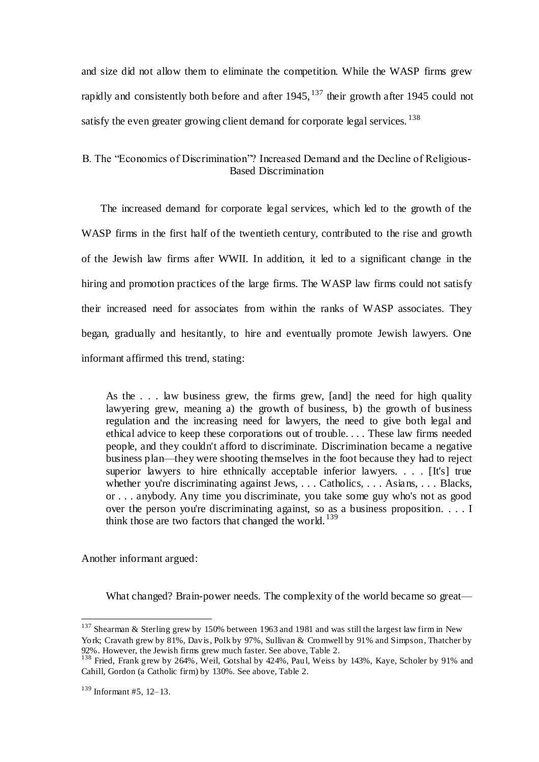and size did not allow them to eliminate the competition. While the WASP firms grew rapidly and consistently both before and after  $1945$ ,  $137$  their growth after 1945 could not satisfy the even greater growing client demand for corporate legal services.  $^{138}$ 

## B. The "Economics of Discrimination"? Increased Demand and the Decline of Religious-Based Discrimination

 The increased demand for corporate legal services, which led to the growth of the WASP firms in the first half of the twentieth century, contributed to the rise and growth of the Jewish law firms after WWII. In addition, it led to a significant change in the hiring and promotion practices of the large firms. The WASP law firms could not satisfy their increased need for associates from within the ranks of WASP associates. They began, gradually and hesitantly, to hire and eventually promote Jewish lawyers. One informant affirmed this trend, stating:

As the . . . law business grew, the firms grew, [and] the need for high quality lawyering grew, meaning a) the growth of business, b) the growth of business regulation and the increasing need for lawyers, the need to give both legal and ethical advice to keep these corporations out of trouble. . . . These law firms needed people, and they couldn't afford to discriminate. Discrimination became a negative business plan—they were shooting themselves in the foot because they had to reject superior lawyers to hire ethnically acceptable inferior lawyers. . . . [It's] true whether you're discriminating against Jews, ... Catholics, ... Asians, ... Blacks, or . . . anybody. Any time you discriminate, you take some guy who's not as good over the person you're discriminating against, so as a business proposition. . . . I think those are two factors that changed the world.<sup>139</sup>

Another informant argued:

What changed? Brain-power needs. The complexity of the world became so great—

<sup>&</sup>lt;sup>137</sup> Shearman & Sterling grew by 150% between 1963 and 1981 and was still the largest law firm in New York; Cravath grew by 81%, Davis, Polk by 97%, Sullivan & Cromwell by 91% and Simpson, Thatcher by 92%. However, the Jewish firms grew much faster. See above, Table 2.

<sup>&</sup>lt;sup>138</sup> Fried, Frank grew by 264%, Weil, Gotshal by 424%, Paul, Weiss by 143%, Kaye, Scholer by 91% and Cahill, Gordon (a Catholic firm) by 130%. See above, Table 2.

 $139$  Informant #5, 12–13.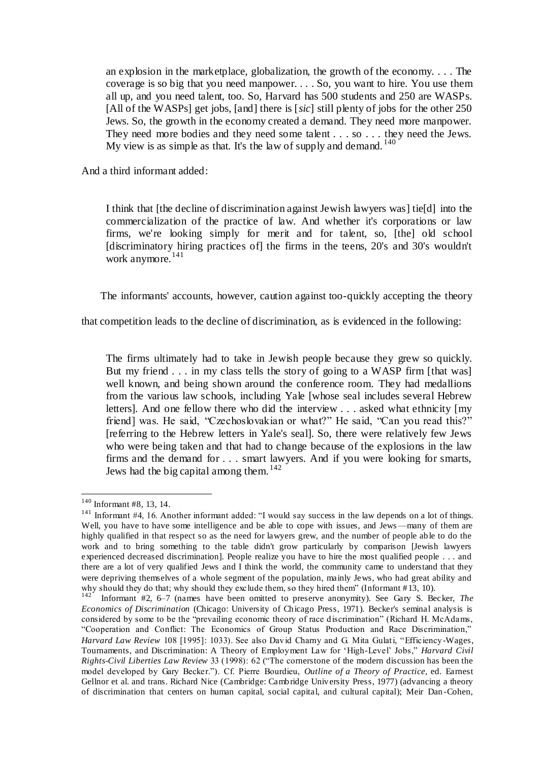an explosion in the marketplace, globalization, the growth of the economy. . . . The coverage is so big that you need manpower. . . . So, you want to hire. You use them all up, and you need talent, too. So, Harvard has 500 students and 250 are WASPs. [All of the WASPs] get jobs, [and] there is [*sic*] still plenty of jobs for the other 250 Jews. So, the growth in the economy created a demand. They need more manpower. They need more bodies and they need some talent . . . so . . . they need the Jews. My view is as simple as that. It's the law of supply and demand.  $140$ 

And a third informant added:

I think that [the decline of discrimination against Jewish lawyers was] tie[d] into the commercialization of the practice of law. And whether it's corporations or law firms, we're looking simply for merit and for talent, so, [the] old school [discriminatory hiring practices of] the firms in the teens, 20's and 30's wouldn't work anymore.<sup>141</sup>

The informants' accounts, however, caution against too-quickly accepting the theory

that competition leads to the decline of discrimination, as is evidenced in the following:

The firms ultimately had to take in Jewish people because they grew so quickly. But my friend . . . in my class tells the story of going to a WASP firm [that was] well known, and being shown around the conference room. They had medallions from the various law schools, including Yale [whose seal includes several Hebrew letters]. And one fellow there who did the interview . . . asked what ethnicity [my friend] was. He said, "Czechoslovakian or what?" He said, "Can you read this?" [referring to the Hebrew letters in Yale's seal]. So, there were relatively few Jews who were being taken and that had to change because of the explosions in the law firms and the demand for . . . smart lawyers. And if you were looking for smarts, Jews had the big capital among them.  $142$ 

<sup>140</sup> Informant #8, 13, 14.

 $141$  Informant #4, 16. Another informant added: "I would say success in the law depends on a lot of things. Well, you have to have some intelligence and be able to cope with issues, and Jews —many of them are highly qualified in that respect so as the need for lawyers grew, and the number of people able to do the work and to bring something to the table didn't grow particularly by comparison [Jewish lawyers experienced decreased discrimination]. People realize you have to hire the most qualified people . . . and there are a lot of very qualified Jews and I think the world, the community came to understand that they were depriving themselves of a whole segment of the population, mainly Jews, who had great ability and why should they do that; why should they exclude them, so they hired them" (Informant #13, 10).

Informant #2, 6–7 (names have been omitted to preserve anonymity). See Gary S. Becker, *The Economics of Discrimination* (Chicago: University of Chicago Press, 1971). Becker's seminal analysis is considered by some to be the "prevailing economic theory of race discrimination" (Richard H. McAdams, "Cooperation and Conflict: The Economics of Group Status Production and Race Discrimination," *Harvard Law Review* 108 [1995]: 1033). See also David Charny and G. Mita Gulati, "Efficiency-Wages, Tournaments, and Discrimination: A Theory of Employment Law for 'High-Level' Jobs," *Harvard Civil Rights-Civil Liberties Law Review* 33 (1998): 62 ("The cornerstone of the modern discussion has been the model developed by Gary Becker."). Cf. Pierre Bourdieu, *Outline of a Theory of Practice,* ed. Earnest Gellnor et al. and trans. Richard Nice (Cambridge: Cambridge University Press, 1977) (advancing a theory of discrimination that centers on human capital, social capital, and cultural capital); Meir Dan -Cohen,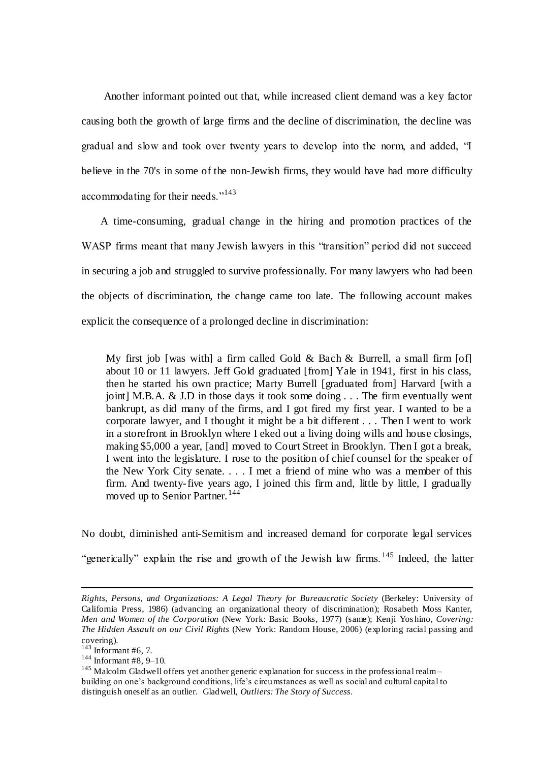Another informant pointed out that, while increased client demand was a key factor causing both the growth of large firms and the decline of discrimination, the decline was gradual and slow and took over twenty years to develop into the norm, and added, "I believe in the 70's in some of the non-Jewish firms, they would have had more difficulty accommodating for their needs."<sup>143</sup>

 A time-consuming, gradual change in the hiring and promotion practices of the WASP firms meant that many Jewish lawyers in this "transition" period did not succeed in securing a job and struggled to survive professionally. For many lawyers who had been the objects of discrimination, the change came too late. The following account makes explicit the consequence of a prolonged decline in discrimination:

My first job [was with] a firm called Gold & Bach & Burrell, a small firm  $[of]$ about 10 or 11 lawyers. Jeff Gold graduated [from] Yale in 1941, first in his class, then he started his own practice; Marty Burrell [graduated from] Harvard [with a joint] M.B.A. & J.D in those days it took some doing . . . The firm eventually went bankrupt, as did many of the firms, and I got fired my first year. I wanted to be a corporate lawyer, and I thought it might be a bit different . . . Then I went to work in a storefront in Brooklyn where I eked out a living doing wills and house closings, making \$5,000 a year, [and] moved to Court Street in Brooklyn. Then I got a break, I went into the legislature. I rose to the position of chief counsel for the speaker of the New York City senate. . . . I met a friend of mine who was a member of this firm. And twenty-five years ago, I joined this firm and, little by little, I gradually moved up to Senior Partner.<sup>144</sup>

No doubt, diminished anti-Semitism and increased demand for corporate legal services

"generically" explain the rise and growth of the Jewish law firms.<sup>145</sup> Indeed, the latter

 $\overline{a}$ 

<sup>144</sup> Informant #8, 9–10.

*Rights, Persons, and Organizations: A Legal Theory for Bureaucratic Society* (Berkeley: University of California Press, 1986) (advancing an organizational theory of discrimination); Rosabeth Moss Kanter, *Men and Women of the Corporation* (New York: Basic Books, 1977) (same); Kenji Yoshino, *Covering: The Hidden Assault on our Civil Rights* (New York: Random House, 2006) (exploring racial passing and covering).

 $143$  Informant #6, 7.

<sup>&</sup>lt;sup>145</sup> Malcolm Gladwell offers yet another generic explanation for success in the professional realmbuilding on one's background conditions, life's circumstances as well as social and cultural capital to distinguish oneself as an outlier. Gladwell, *Outliers: The Story of Success*.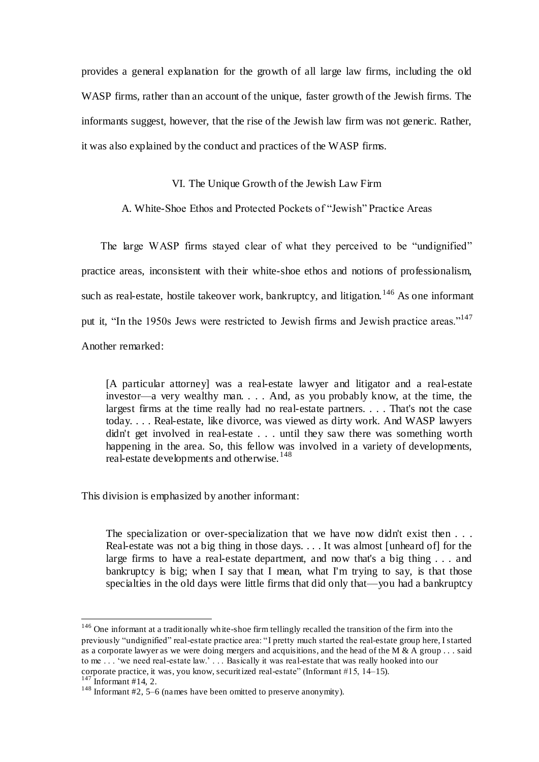provides a general explanation for the growth of all large law firms, including the old WASP firms, rather than an account of the unique, faster growth of the Jewish firms. The informants suggest, however, that the rise of the Jewish law firm was not generic. Rather, it was also explained by the conduct and practices of the WASP firms.

## VI. The Unique Growth of the Jewish Law Firm

A. White-Shoe Ethos and Protected Pockets of "Jewish" Practice Areas

 The large WASP firms stayed clear of what they perceived to be "undignified" practice areas, inconsistent with their white-shoe ethos and notions of professionalism, such as real-estate, hostile takeover work, bankruptcy, and litigation.<sup>146</sup> As one informant put it, "In the 1950s Jews were restricted to Jewish firms and Jewish practice areas."<sup>147</sup> Another remarked:

[A particular attorney] was a real-estate lawyer and litigator and a real-estate investor—a very wealthy man. . . . And, as you probably know, at the time, the largest firms at the time really had no real-estate partners. . . . That's not the case today. . . . Real-estate, like divorce, was viewed as dirty work. And WASP lawyers didn't get involved in real-estate . . . until they saw there was something worth happening in the area. So, this fellow was involved in a variety of developments, real-estate developments and otherwise.<sup>148</sup>

This division is emphasized by another informant:

The specialization or over-specialization that we have now didn't exist then . . . Real-estate was not a big thing in those days. . . . It was almost [unheard of] for the large firms to have a real-estate department, and now that's a big thing . . . and bankruptcy is big; when I say that I mean, what I'm trying to say, is that those specialties in the old days were little firms that did only that—you had a bankruptcy

<sup>&</sup>lt;sup>146</sup> One informant at a traditionally white-shoe firm tellingly recalled the transition of the firm into the previously "undignified" real-estate practice area: "I pretty much started the real-estate group here, I started as a corporate lawyer as we were doing mergers and acquisitions, and the head of the M & A group . . . said to me ... 'we need real-estate law.' ... Basically it was real-estate that was really hooked into our corporate practice, it was, you know, securitized real-estate" (Informant #15, 14–15).<br><sup>147</sup> Informant #14, 2.

Informant  $#14$ , 2.

<sup>&</sup>lt;sup>148</sup> Informant  $#2$ , 5–6 (names have been omitted to preserve anonymity).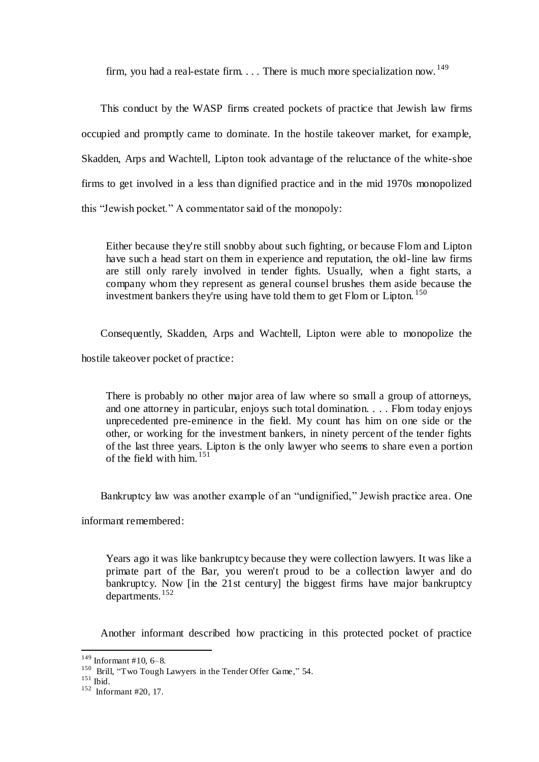firm, you had a real-estate firm.  $\ldots$  There is much more specialization now. <sup>149</sup>

 This conduct by the WASP firms created pockets of practice that Jewish law firms occupied and promptly came to dominate. In the hostile takeover market, for example, Skadden, Arps and Wachtell, Lipton took advantage of the reluctance of the white-shoe firms to get involved in a less than dignified practice and in the mid 1970s monopolized this "Jewish pocket." A commentator said of the monopoly:

Either because they're still snobby about such fighting, or because Flom and Lipton have such a head start on them in experience and reputation, the old-line law firms are still only rarely involved in tender fights. Usually, when a fight starts, a company whom they represent as general counsel brushes them aside because the investment bankers they're using have told them to get Flom or Lipton. <sup>150</sup>

 Consequently, Skadden, Arps and Wachtell, Lipton were able to monopolize the hostile takeover pocket of practice:

There is probably no other major area of law where so small a group of attorneys, and one attorney in particular, enjoys such total domination. . . . Flom today enjoys unprecedented pre-eminence in the field. My count has him on one side or the other, or working for the investment bankers, in ninety percent of the tender fights of the last three years. Lipton is the only lawyer who seems to share even a portion of the field with him.<sup>151</sup>

Bankruptcy law was another example of an "undignified," Jewish practice area. One

informant remembered:

Years ago it was like bankruptcy because they were collection lawyers. It was like a primate part of the Bar, you weren't proud to be a collection lawyer and do bankruptcy. Now [in the 21st century] the biggest firms have major bankruptcy departments.<sup>152</sup>

Another informant described how practicing in this protected pocket of practice

 $149$  Informant #10, 6-8.

<sup>&</sup>lt;sup>150</sup> Brill, "Two Tough Lawyers in the Tender Offer Game," 54.

<sup>151</sup> Ibid.

<sup>152</sup> Informant #20, 17.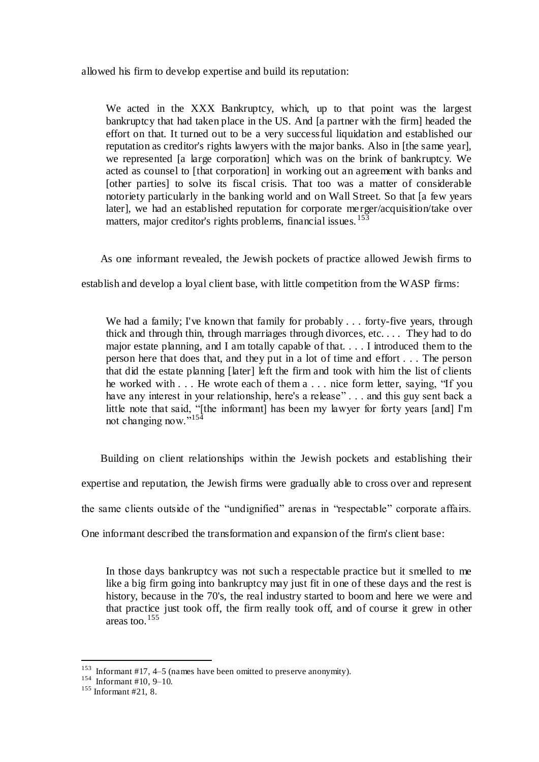allowed his firm to develop expertise and build its reputation:

We acted in the XXX Bankruptcy, which, up to that point was the largest bankruptcy that had taken place in the US. And [a partner with the firm] headed the effort on that. It turned out to be a very successful liquidation and established our reputation as creditor's rights lawyers with the major banks. Also in [the same year], we represented [a large corporation] which was on the brink of bankruptcy. We acted as counsel to [that corporation] in working out an agreement with banks and [other parties] to solve its fiscal crisis. That too was a matter of considerable notoriety particularly in the banking world and on Wall Street. So that [a few years later], we had an established reputation for corporate merger/acquisition/take over matters, major creditor's rights problems, financial issues.<sup>153</sup>

As one informant revealed, the Jewish pockets of practice allowed Jewish firms to

establish and develop a loyal client base, with little competition from the WASP firms:

We had a family; I've known that family for probably . . . forty-five years, through thick and through thin, through marriages through divorces, etc. . . . They had to do major estate planning, and I am totally capable of that. . . . I introduced them to the person here that does that, and they put in a lot of time and effort . . . The person that did the estate planning [later] left the firm and took with him the list of clients he worked with . . . He wrote each of them a . . . nice form letter, saying, "If you have any interest in your relationship, here's a release" . . . and this guy sent back a little note that said, "[the informant] has been my lawyer for forty years [and] I'm not changing now."<sup>154</sup>

 Building on client relationships within the Jewish pockets and establishing their expertise and reputation, the Jewish firms were gradually able to cross over and represent the same clients outside of the "undignified" arenas in "respectable" corporate affairs. One informant described the transformation and expansion of the firm's client base:

In those days bankruptcy was not such a respectable practice but it smelled to me like a big firm going into bankruptcy may just fit in one of these days and the rest is history, because in the 70's, the real industry started to boom and here we were and that practice just took off, the firm really took off, and of course it grew in other areas too.<sup>155</sup>

<sup>&</sup>lt;sup>153</sup> Informant #17, 4–5 (names have been omitted to preserve anonymity).

<sup>154</sup> Informant #10, 9–10.

<sup>155</sup> Informant #21, 8.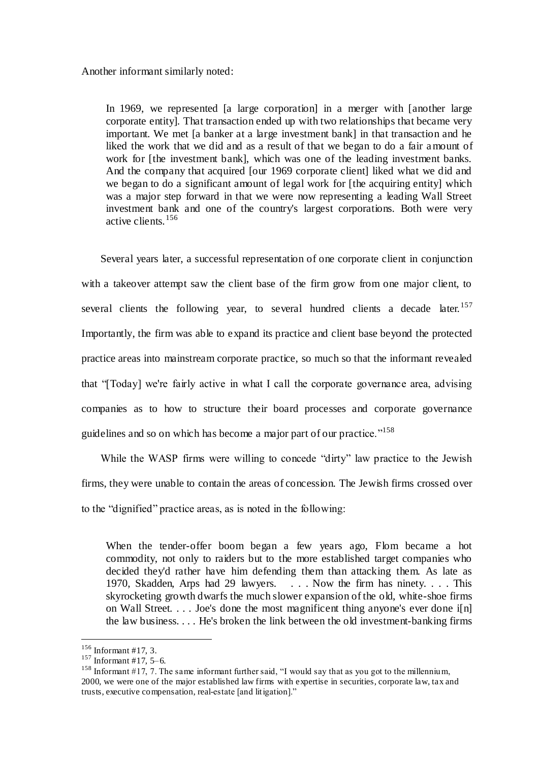#### Another informant similarly noted:

In 1969, we represented [a large corporation] in a merger with [another large corporate entity]. That transaction ended up with two relationships that became very important. We met [a banker at a large investment bank] in that transaction and he liked the work that we did and as a result of that we began to do a fair amount of work for [the investment bank], which was one of the leading investment banks. And the company that acquired [our 1969 corporate client] liked what we did and we began to do a significant amount of legal work for [the acquiring entity] which was a major step forward in that we were now representing a leading Wall Street investment bank and one of the country's largest corporations. Both were very active clients.<sup>156</sup>

 Several years later, a successful representation of one corporate client in conjunction with a takeover attempt saw the client base of the firm grow from one major client, to several clients the following year, to several hundred clients a decade later.<sup>157</sup> Importantly, the firm was able to expand its practice and client base beyond the protected practice areas into mainstream corporate practice, so much so that the informant revealed that "[Today] we're fairly active in what I call the corporate governance area, advising companies as to how to structure their board processes and corporate governance guidelines and so on which has become a major part of our practice."<sup>158</sup>

 While the WASP firms were willing to concede "dirty" law practice to the Jewish firms, they were unable to contain the areas of concession. The Jewish firms crossed over to the "dignified" practice areas, as is noted in the following:

When the tender-offer boom began a few years ago, Flom became a hot commodity, not only to raiders but to the more established target companies who decided they'd rather have him defending them than attacking them. As late as 1970, Skadden, Arps had 29 lawyers. . . . Now the firm has ninety. . . . This skyrocketing growth dwarfs the much slower expansion of the old, white-shoe firms on Wall Street. . . . Joe's done the most magnificent thing anyone's ever done i[n] the law business. . . . He's broken the link between the old investment-banking firms

 $156$  Informant #17, 3.

 $157$  Informant #17, 5-6.

<sup>&</sup>lt;sup>158</sup> Informant #17, 7. The same informant further said, "I would say that as you got to the millennium, 2000, we were one of the major established law firms with expertise in securities, corporate law, tax and trusts, executive compensation, real-estate [and litigation]."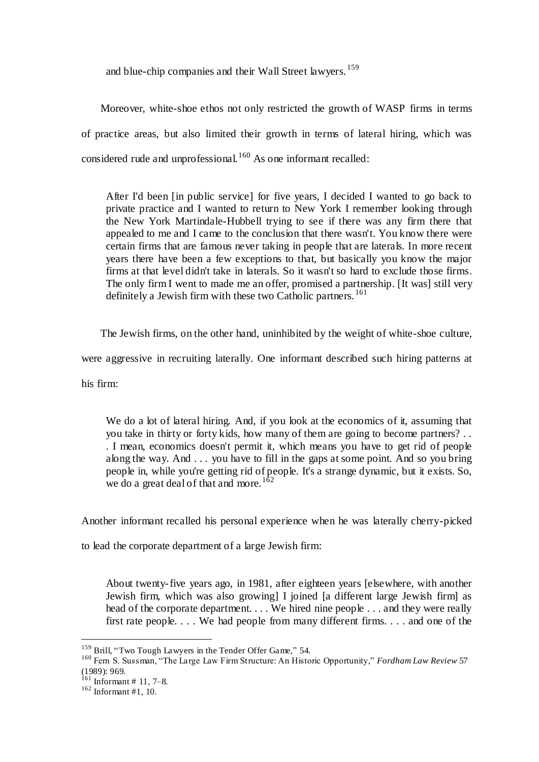and blue-chip companies and their Wall Street lawyers.<sup>159</sup>

 Moreover, white-shoe ethos not only restricted the growth of WASP firms in terms of practice areas, but also limited their growth in terms of lateral hiring, which was considered rude and unprofessional. <sup>160</sup> As one informant recalled:

After I'd been [in public service] for five years, I decided I wanted to go back to private practice and I wanted to return to New York I remember looking through the New York Martindale-Hubbell trying to see if there was any firm there that appealed to me and I came to the conclusion that there wasn't. You know there were certain firms that are famous never taking in people that are laterals. In more recent years there have been a few exceptions to that, but basically you know the major firms at that level didn't take in laterals. So it wasn't so hard to exclude those firms. The only firm I went to made me an offer, promised a partnership. IIt was lstill very definitely a Jewish firm with these two Catholic partners.<sup>161</sup>

The Jewish firms, on the other hand, uninhibited by the weight of white-shoe culture,

were aggressive in recruiting laterally. One informant described such hiring patterns at

his firm:

We do a lot of lateral hiring. And, if you look at the economics of it, assuming that you take in thirty or forty kids, how many of them are going to become partners? . . . I mean, economics doesn't permit it, which means you have to get rid of people along the way. And . . . you have to fill in the gaps at some point. And so you bring people in, while you're getting rid of people. It's a strange dynamic, but it exists. So, we do a great deal of that and more.<sup>162</sup>

Another informant recalled his personal experience when he was laterally cherry-picked

to lead the corporate department of a large Jewish firm:

About twenty-five years ago, in 1981, after eighteen years [elsewhere, with another Jewish firm, which was also growing] I joined [a different large Jewish firm] as head of the corporate department. . . . We hired nine people . . . and they were really first rate people. . . . We had people from many different firms. . . . and one of the

<sup>&</sup>lt;sup>159</sup> Brill, "Two Tough Lawyers in the Tender Offer Game," 54.

<sup>160</sup> Fern S. Sussman, "The Large Law Firm Structure: An Historic Opportunity," *Fordham Law Review* 57 (1989): 969.

 $161$  Informant # 11, 7–8.

 $162$  Informant #1, 10.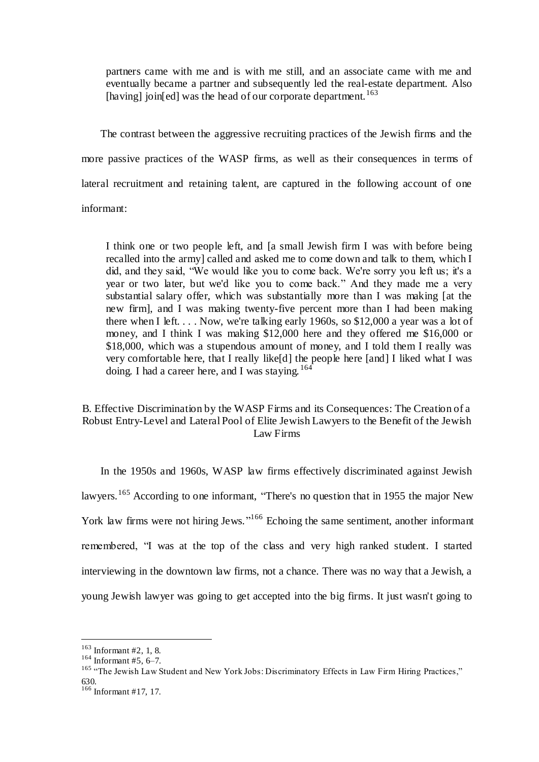partners came with me and is with me still, and an associate came with me and eventually became a partner and subsequently led the real-estate department. Also [having] join[ed] was the head of our corporate department.<sup>163</sup>

 The contrast between the aggressive recruiting practices of the Jewish firms and the more passive practices of the WASP firms, as well as their consequences in terms of lateral recruitment and retaining talent, are captured in the following account of one informant:

I think one or two people left, and [a small Jewish firm I was with before being recalled into the army] called and asked me to come down and talk to them, which I did, and they said, "We would like you to come back. We're sorry you left us; it's a year or two later, but we'd like you to come back." And they made me a very substantial salary offer, which was substantially more than I was making [at the new firm], and I was making twenty-five percent more than I had been making there when I left.  $\dots$  Now, we're talking early 1960s, so \$12,000 a year was a lot of money, and I think I was making \$12,000 here and they offered me \$16,000 or \$18,000, which was a stupendous amount of money, and I told them I really was very comfortable here, that I really like[d] the people here [and] I liked what I was doing. I had a career here, and I was staying.  $164$ 

# B. Effective Discrimination by the WASP Firms and its Consequences: The Creation of a Robust Entry-Level and Lateral Pool of Elite Jewish Lawyers to the Benefit of the Jewish Law Firms

 In the 1950s and 1960s, WASP law firms effectively discriminated against Jewish lawyers.<sup>165</sup> According to one informant, "There's no question that in 1955 the major New York law firms were not hiring Jews."<sup>166</sup> Echoing the same sentiment, another informant remembered, "I was at the top of the class and very high ranked student. I started interviewing in the downtown law firms, not a chance. There was no way that a Jewish, a young Jewish lawyer was going to get accepted into the big firms. It just wasn't going to

 $\overline{a}$  $163$  Informant #2, 1, 8.

<sup>164</sup> Informant #5, 6–7.

<sup>&</sup>lt;sup>165</sup> "The Jewish Law Student and New York Jobs: Discriminatory Effects in Law Firm Hiring Practices," 630.

 $166$  Informant #17, 17.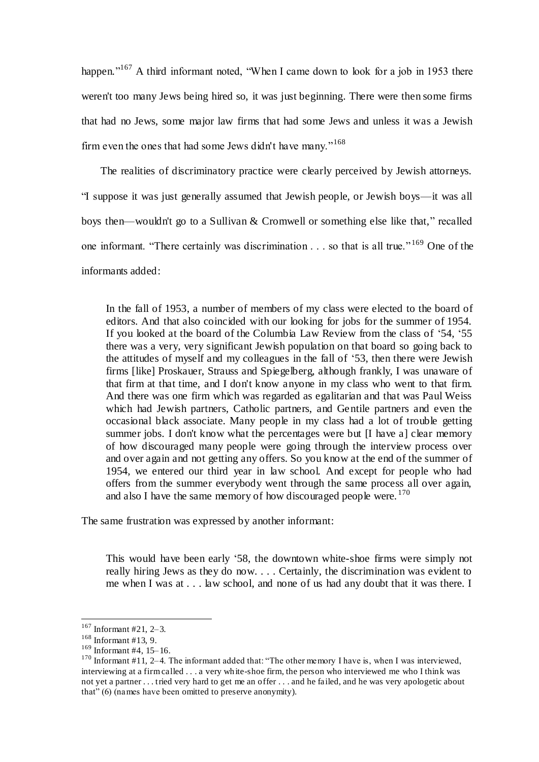happen."<sup>167</sup> A third informant noted, "When I came down to look for a job in 1953 there weren't too many Jews being hired so, it was just beginning. There were then some firms that had no Jews, some major law firms that had some Jews and unless it was a Jewish firm even the ones that had some Jews didn't have many."<sup>168</sup>

 The realities of discriminatory practice were clearly perceived by Jewish attorneys. "I suppose it was just generally assumed that Jewish people, or Jewish boys—it was all boys then—wouldn't go to a Sullivan & Cromwell or something else like that," recalled one informant. "There certainly was discrimination . . . so that is all true." <sup>169</sup> One of the informants added:

In the fall of 1953, a number of members of my class were elected to the board of editors. And that also coincided with our looking for jobs for the summer of 1954. If you looked at the board of the Columbia Law Review from the class of '54, '55 there was a very, very significant Jewish population on that board so going back to the attitudes of myself and my colleagues in the fall of '53, then there were Jewish firms [like] Proskauer, Strauss and Spiegelberg, although frankly, I was unaware of that firm at that time, and I don't know anyone in my class who went to that firm. And there was one firm which was regarded as egalitarian and that was Paul Weiss which had Jewish partners, Catholic partners, and Gentile partners and even the occasional black associate. Many people in my class had a lot of trouble getting summer jobs. I don't know what the percentages were but [I have a] clear memory of how discouraged many people were going through the interview process over and over again and not getting any offers. So you know at the end of the summer of 1954, we entered our third year in law school. And except for people who had offers from the summer everybody went through the same process all over again, and also I have the same memory of how discouraged people were.  $170$ 

The same frustration was expressed by another informant:

This would have been early '58, the downtown white-shoe firms were simply not really hiring Jews as they do now. . . . Certainly, the discrimination was evident to me when I was at . . . law school, and none of us had any doubt that it was there. I

 $167$  Informant #21, 2-3.

<sup>168</sup> Informant #13, 9.

 $169$  Informant #4, 15–16.

<sup>&</sup>lt;sup>170</sup> Informant  $\#11$ , 2–4. The informant added that: "The other memory I have is, when I was interviewed, interviewing at a firm called . . . a very white-shoe firm, the person who interviewed me who I think was not yet a partner . . . tried very hard to get me an offer . . . and he failed, and he was very apologetic about that" (6) (names have been omitted to preserve anonymity).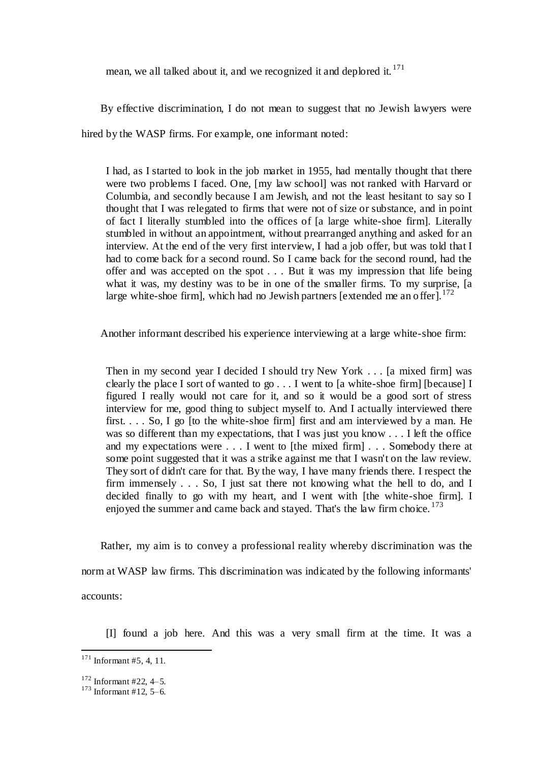mean, we all talked about it, and we recognized it and deplored it. <sup>171</sup>

By effective discrimination, I do not mean to suggest that no Jewish lawyers were

hired by the WASP firms. For example, one informant noted:

I had, as I started to look in the job market in 1955, had mentally thought that there were two problems I faced. One, [my law school] was not ranked with Harvard or Columbia, and secondly because I am Jewish, and not the least hesitant to say so I thought that I was relegated to firms that were not of size or substance, and in point of fact I literally stumbled into the offices of [a large white-shoe firm]. Literally stumbled in without an appointment, without prearranged anything and asked for an interview. At the end of the very first interview, I had a job offer, but was told that I had to come back for a second round. So I came back for the second round, had the offer and was accepted on the spot . . . But it was my impression that life being what it was, my destiny was to be in one of the smaller firms. To my surprise, [a] large white-shoe firm], which had no Jewish partners [extended me an offer].<sup>172</sup>

Another informant described his experience interviewing at a large white-shoe firm:

Then in my second year I decided I should try New York . . . [a mixed firm] was clearly the place I sort of wanted to go . . . I went to [a white-shoe firm] [because] I figured I really would not care for it, and so it would be a good sort of stress interview for me, good thing to subject myself to. And I actually interviewed there first... So, I go [to the white-shoe firm] first and am interviewed by a man. He was so different than my expectations, that I was just you know . . . I left the office and my expectations were . . . I went to [the mixed firm] . . . Somebody there at some point suggested that it was a strike against me that I wasn't on the law review. They sort of didn't care for that. By the way, I have many friends there. I respect the firm immensely . . . So, I just sat there not knowing what the hell to do, and I decided finally to go with my heart, and I went with [the white-shoe firm]. I enjoyed the summer and came back and stayed. That's the law firm choice.  $173$ 

 Rather, my aim is to convey a professional reality whereby discrimination was the norm at WASP law firms. This discrimination was indicated by the following informants' accounts:

[I] found a job here. And this was a very small firm at the time. It was a

 $171$  Informant #5, 4, 11.

 $172$  Informant #22, 4–5.

 $173$  Informant #12, 5–6.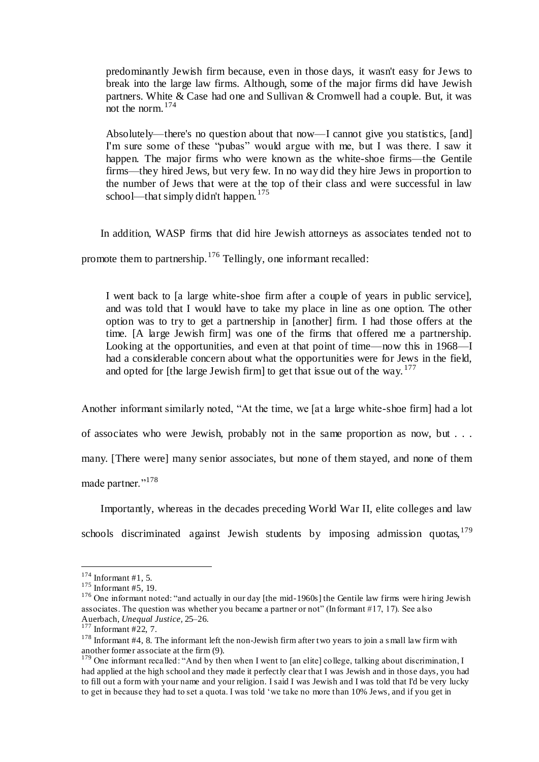predominantly Jewish firm because, even in those days, it wasn't easy for Jews to break into the large law firms. Although, some of the major firms did have Jewish partners. White & Case had one and Sullivan & Cromwell had a couple. But, it was not the norm.<sup>174</sup>

Absolutely—there's no question about that now—I cannot give you statistics, [and] I'm sure some of these "pubas" would argue with me, but I was there. I saw it happen. The major firms who were known as the white-shoe firms—the Gentile firms—they hired Jews, but very few. In no way did they hire Jews in proportion to the number of Jews that were at the top of their class and were successful in law school—that simply didn't happen.<sup>175</sup>

In addition, WASP firms that did hire Jewish attorneys as associates tended not to

promote them to partnership.<sup>176</sup> Tellingly, one informant recalled:

I went back to [a large white-shoe firm after a couple of years in public service], and was told that I would have to take my place in line as one option. The other option was to try to get a partnership in [another] firm. I had those offers at the time. [A large Jewish firm] was one of the firms that offered me a partnership. Looking at the opportunities, and even at that point of time—now this in 1968—I had a considerable concern about what the opportunities were for Jews in the field, and opted for [the large Jewish firm] to get that issue out of the way.  $177$ 

Another informant similarly noted, "At the time, we [at a large white-shoe firm] had a lot

of associates who were Jewish, probably not in the same proportion as now, but . . .

many. [There were] many senior associates, but none of them stayed, and none of them

made partner."<sup>178</sup>

 Importantly, whereas in the decades preceding World War II, elite colleges and law schools discriminated against Jewish students by imposing admission quotas, 179

 $174$  Informant #1, 5.

 $175$  Informant #5, 19.

<sup>&</sup>lt;sup>176</sup> One informant noted: "and actually in our day [the mid-1960s] the Gentile law firms were hiring Jewish associates. The question was whether you became a partner or not" (Informant #17, 17). See also Auerbach, *Unequal Justice,* 25–26.

<sup>177</sup> Informant #22, 7.

<sup>&</sup>lt;sup>178</sup> Informant #4, 8. The informant left the non-Jewish firm after two years to join a small law firm with another former associate at the firm (9).

<sup>&</sup>lt;sup>179</sup> One informant recalled: "And by then when I went to [an elite] college, talking about discrimination, I had applied at the high school and they made it perfectly clear that I was Jewish and in those days, you had to fill out a form with your name and your religion. I said I was Jewish and I was told that I'd be very lucky to get in because they had to set a quota. I was told 'we take no more than 10% Jews, and if you get in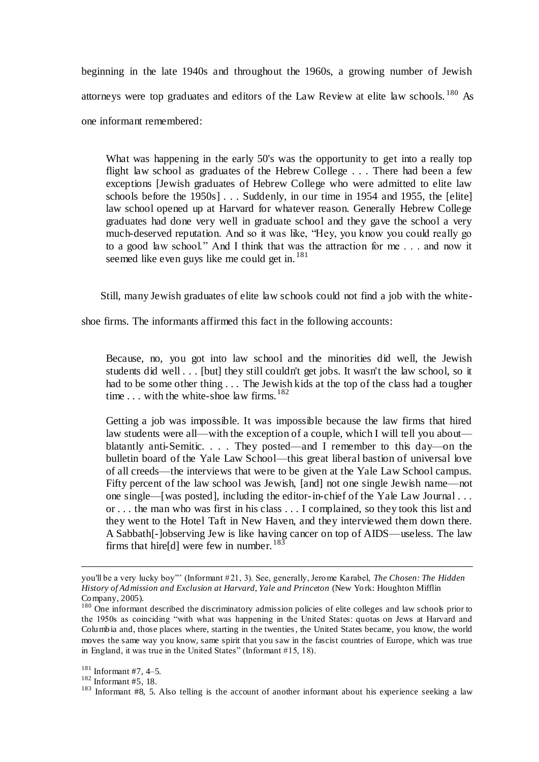beginning in the late 1940s and throughout the 1960s, a growing number of Jewish attorneys were top graduates and editors of the Law Review at elite law schools.  $^{180}$  As one informant remembered:

What was happening in the early 50's was the opportunity to get into a really top flight law school as graduates of the Hebrew College . . . There had been a few exceptions [Jewish graduates of Hebrew College who were admitted to elite law schools before the 1950s] . . . Suddenly, in our time in 1954 and 1955, the [elite] law school opened up at Harvard for whatever reason. Generally Hebrew College graduates had done very well in graduate school and they gave the school a very much-deserved reputation. And so it was like, "Hey, you know you could really go to a good law school." And I think that was the attraction for me . . . and now it seemed like even guys like me could get in.<sup>181</sup>

Still, many Jewish graduates of elite law schools could not find a job with the white-

shoe firms. The informants affirmed this fact in the following accounts:

Because, no, you got into law school and the minorities did well, the Jewish students did well . . . [but] they still couldn't get jobs. It wasn't the law school, so it had to be some other thing . . . The Jewish kids at the top of the class had a tougher time ... with the white-shoe law firms.<sup>182</sup>

Getting a job was impossible. It was impossible because the law firms that hired law students were all—with the exception of a couple, which I will tell you about blatantly anti-Semitic. . . . They posted—and I remember to this day—on the bulletin board of the Yale Law School—this great liberal bastion of universal love of all creeds—the interviews that were to be given at the Yale Law School campus. Fifty percent of the law school was Jewish, [and] not one single Jewish name—not one single—[was posted], including the editor-in-chief of the Yale Law Journal . . . or . . . the man who was first in his class . . . I complained, so they took this list and they went to the Hotel Taft in New Haven, and they interviewed them down there. A Sabbath[-]observing Jew is like having cancer on top of AIDS—useless. The law firms that hire[d] were few in number.  $183$ 

you'll be a very lucky boy"' (Informant #21, 3). See, generally, Jerome Karabel, *The Chosen: The Hidden History of Admission and Exclusion at Harvard, Yale and Princeton* (New York: Houghton Mifflin Company, 2005).

<sup>&</sup>lt;sup>180</sup> One informant described the discriminatory admission policies of elite colleges and law schools prior to the 1950s as coinciding "with what was happening in the United States: quotas on Jews at Harvard and Columbia and, those places where, starting in the twenties, the United States became, you know, the world moves the same way you know, same spirit that you saw in the fascist countries of Europe, which was true in England, it was true in the United States" (Informant #15, 18).

<sup>181</sup> Informant #7, 4–5.

 $182$  Informant #5, 18.

 $183$  Informant #8, 5. Also telling is the account of another informant about his experience seeking a law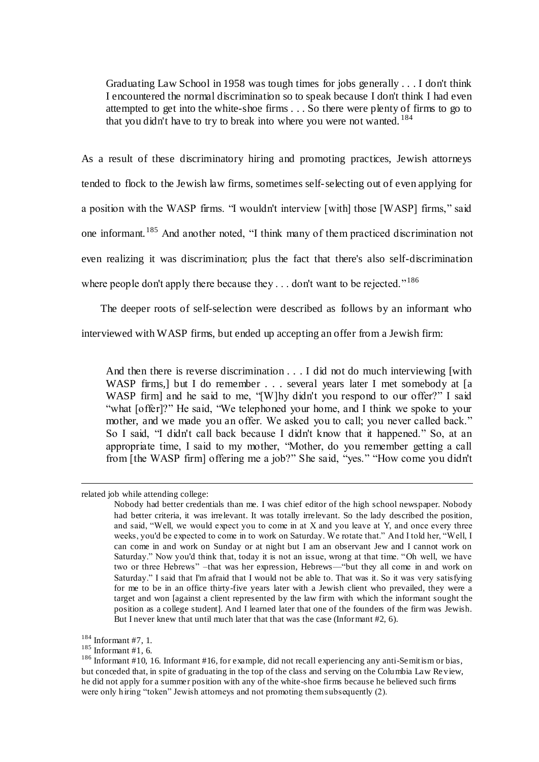Graduating Law School in 1958 was tough times for jobs generally . . . I don't think I encountered the normal discrimination so to speak because I don't think I had even attempted to get into the white-shoe firms . . . So there were plenty of firms to go to that you didn't have to try to break into where you were not wanted.  $184$ 

As a result of these discriminatory hiring and promoting practices, Jewish attorneys tended to flock to the Jewish law firms, sometimes self-selecting out of even applying for a position with the WASP firms. "I wouldn't interview [with] those [WASP] firms," said one informant.<sup>185</sup> And another noted, "I think many of them practiced discrimination not even realizing it was discrimination; plus the fact that there's also self-discrimination where people don't apply there because they  $\dots$  don't want to be rejected."<sup>186</sup>

 The deeper roots of self-selection were described as follows by an informant who interviewed with WASP firms, but ended up accepting an offer from a Jewish firm:

And then there is reverse discrimination . . . I did not do much interviewing [with WASP firms,] but I do remember . . . several years later I met somebody at [a] WASP firm] and he said to me, "[W]hy didn't you respond to our offer?" I said "what [offer]?" He said, "We telephoned your home, and I think we spoke to your mother, and we made you an offer. We asked you to call; you never called back." So I said, "I didn't call back because I didn't know that it happened." So, at an appropriate time, I said to my mother, "Mother, do you remember getting a call from [the WASP firm] offering me a job?" She said, "yes." "How come you didn't

related job while attending college:

Nobody had better credentials than me. I was chief editor of the high school newspaper. Nobody had better criteria, it was irrelevant. It was totally irrelevant. So the lady described the position, and said, "Well, we would expect you to come in at X and you leave at Y, and once every three weeks, you'd be expected to come in to work on Saturday. We rotate that." And I told her, "Well, I can come in and work on Sunday or at night but I am an observant Jew and I cannot work on Saturday." Now you'd think that, today it is not an issue, wrong at that time. "Oh well, we have two or three Hebrews" –that was her expression, Hebrews—"but they all come in and work on Saturday." I said that I'm afraid that I would not be able to. That was it. So it was very satisfying for me to be in an office thirty-five years later with a Jewish client who prevailed, they were a target and won [against a client represented by the law firm with which the informant sought the position as a college student]. And I learned later that one of the founders of the firm was Jewish. But I never knew that until much later that that was the case (Informant #2, 6).

 $184$  Informant #7, 1.

 $185$  Informant #1, 6.

<sup>&</sup>lt;sup>186</sup> Informant #10, 16. Informant #16, for example, did not recall experiencing any anti-Semitism or bias, but conceded that, in spite of graduating in the top of the class and serving on the Columbia Law Re view, he did not apply for a summer position with any of the white-shoe firms because he believed such firms were only hiring "token" Jewish attorneys and not promoting them subsequently (2).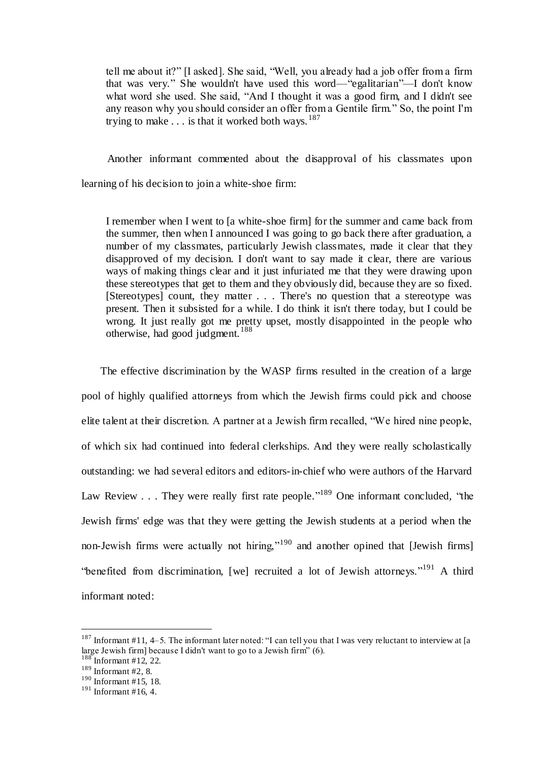tell me about it?" [I asked]. She said, "Well, you already had a job offer from a firm that was very." She wouldn't have used this word—"egalitarian"—I don't know what word she used. She said, "And I thought it was a good firm, and I didn't see any reason why you should consider an offer from a Gentile firm." So, the point I'm trying to make  $\dots$  is that it worked both ways.  $187$ 

 Another informant commented about the disapproval of his classmates upon learning of his decision to join a white-shoe firm:

I remember when I went to [a white-shoe firm] for the summer and came back from the summer, then when I announced I was going to go back there after graduation, a number of my classmates, particularly Jewish classmates, made it clear that they disapproved of my decision. I don't want to say made it clear, there are various ways of making things clear and it just infuriated me that they were drawing upon these stereotypes that get to them and they obviously did, because they are so fixed. [Stereotypes] count, they matter . . . There's no question that a stereotype was present. Then it subsisted for a while. I do think it isn't there today, but I could be wrong. It just really got me pretty upset, mostly disappointed in the people who otherwise, had good judgment.<sup>188</sup>

 The effective discrimination by the WASP firms resulted in the creation of a large pool of highly qualified attorneys from which the Jewish firms could pick and choose elite talent at their discretion. A partner at a Jewish firm recalled, "We hired nine people, of which six had continued into federal clerkships. And they were really scholastically outstanding: we had several editors and editors-in-chief who were authors of the Harvard Law Review . . . They were really first rate people."<sup>189</sup> One informant concluded, "the Jewish firms' edge was that they were getting the Jewish students at a period when the non-Jewish firms were actually not hiring,"<sup>190</sup> and another opined that [Jewish firms] "benefited from discrimination, [we] recruited a lot of Jewish attorneys."<sup>191</sup> A third informant noted:

<sup>&</sup>lt;sup>187</sup> Informant #11, 4–5. The informant later noted: "I can tell you that I was very reluctant to interview at [a large Jewish firm] because I didn't want to go to a Jewish firm" (6).

 $\beta$  Informant #12, 22.

 $189$  Informant #2, 8.

<sup>190</sup> Informant #15, 18.

 $191$  Informant #16, 4.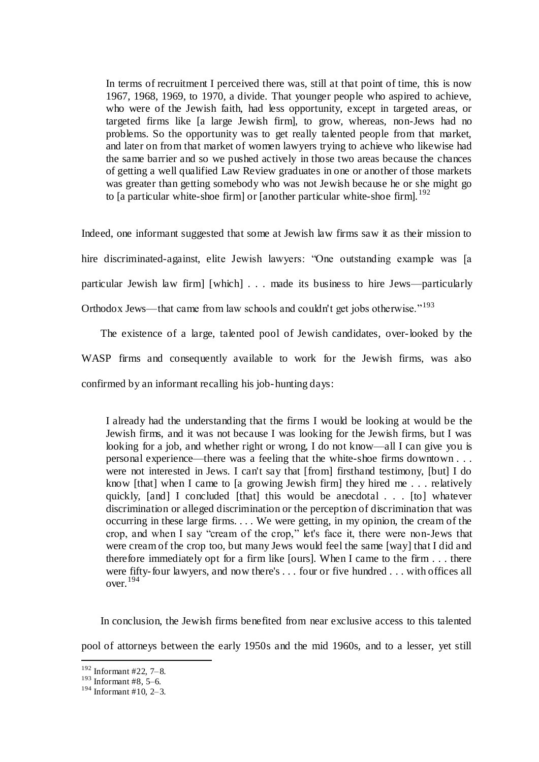In terms of recruitment I perceived there was, still at that point of time, this is now 1967, 1968, 1969, to 1970, a divide. That younger people who aspired to achieve, who were of the Jewish faith, had less opportunity, except in targeted areas, or targeted firms like [a large Jewish firm], to grow, whereas, non-Jews had no problems. So the opportunity was to get really talented people from that market, and later on from that market of women lawyers trying to achieve who likewise had the same barrier and so we pushed actively in those two areas because the chances of getting a well qualified Law Review graduates in one or another of those markets was greater than getting somebody who was not Jewish because he or she might go to [a particular white-shoe firm] or [another particular white-shoe firm].<sup>192</sup>

Indeed, one informant suggested that some at Jewish law firms saw it as their mission to hire discriminated-against, elite Jewish lawyers: "One outstanding example was [a particular Jewish law firm] [which] . . . made its business to hire Jews—particularly Orthodox Jews—that came from law schools and couldn't get jobs otherwise."<sup>193</sup>

 The existence of a large, talented pool of Jewish candidates, over-looked by the WASP firms and consequently available to work for the Jewish firms, was also confirmed by an informant recalling his job-hunting days:

I already had the understanding that the firms I would be looking at would be the Jewish firms, and it was not because I was looking for the Jewish firms, but I was looking for a job, and whether right or wrong, I do not know—all I can give you is personal experience—there was a feeling that the white-shoe firms downtown . . . were not interested in Jews. I can't say that [from] firsthand testimony, [but] I do know [that] when I came to [a growing Jewish firm] they hired me . . . relatively quickly, [and] I concluded [that] this would be anecdotal . . . [to] whatever discrimination or alleged discrimination or the perception of discrimination that was occurring in these large firms. . . . We were getting, in my opinion, the cream of the crop, and when I say "cream of the crop," let's face it, there were non-Jews that were cream of the crop too, but many Jews would feel the same [way] that I did and therefore immediately opt for a firm like [ours]. When I came to the firm . . . there were fifty-four lawyers, and now there's . . . four or five hundred . . . with offices all over. 194

 In conclusion, the Jewish firms benefited from near exclusive access to this talented pool of attorneys between the early 1950s and the mid 1960s, and to a lesser, yet still

<sup>192</sup> Informant #22, 7–8.

 $193$  Informant #8, 5–6.

 $194$  Informant #10, 2–3.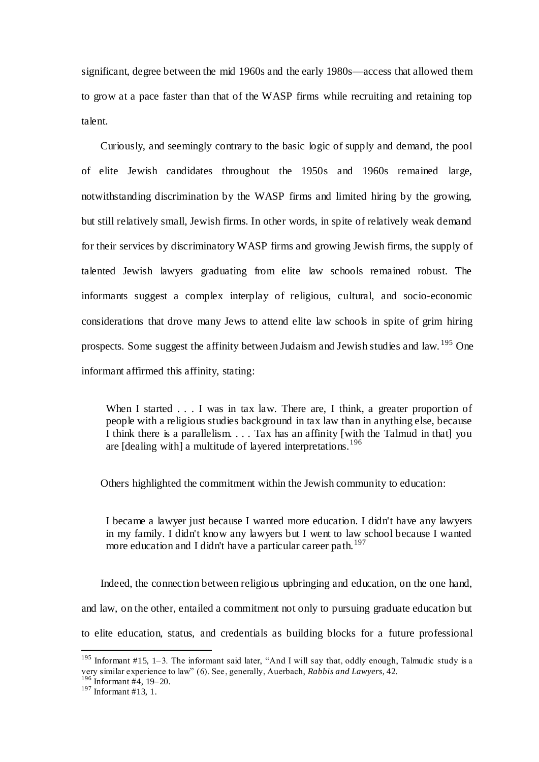significant, degree between the mid 1960s and the early 1980s—access that allowed them to grow at a pace faster than that of the WASP firms while recruiting and retaining top talent.

 Curiously, and seemingly contrary to the basic logic of supply and demand, the pool of elite Jewish candidates throughout the 1950s and 1960s remained large, notwithstanding discrimination by the WASP firms and limited hiring by the growing, but still relatively small, Jewish firms. In other words, in spite of relatively weak demand for their services by discriminatory WASP firms and growing Jewish firms, the supply of talented Jewish lawyers graduating from elite law schools remained robust. The informants suggest a complex interplay of religious, cultural, and socio-economic considerations that drove many Jews to attend elite law schools in spite of grim hiring prospects. Some suggest the affinity between Judaism and Jewish studies and law. <sup>195</sup> One informant affirmed this affinity, stating:

When I started . . . I was in tax law. There are, I think, a greater proportion of people with a religious studies background in tax law than in anything else, because I think there is a parallelism. . . . Tax has an affinity [with the Talmud in that] you are [dealing with] a multitude of layered interpretations.<sup>196</sup>

Others highlighted the commitment within the Jewish community to education:

I became a lawyer just because I wanted more education. I didn't have any lawyers in my family. I didn't know any lawyers but I went to law school because I wanted more education and I didn't have a particular career path.<sup>197</sup>

 Indeed, the connection between religious upbringing and education, on the one hand, and law, on the other, entailed a commitment not only to pursuing graduate education but to elite education, status, and credentials as building blocks for a future professional

<sup>&</sup>lt;sup>195</sup> Informant #15, 1–3. The informant said later, "And I will say that, oddly enough, Talmudic study is a very similar experience to law" (6). See, generally, Auerbach, *Rabbis and Lawyers*, 42.

<sup>196</sup> Informant #4, 19–20.

 $197$  Informant #13, 1.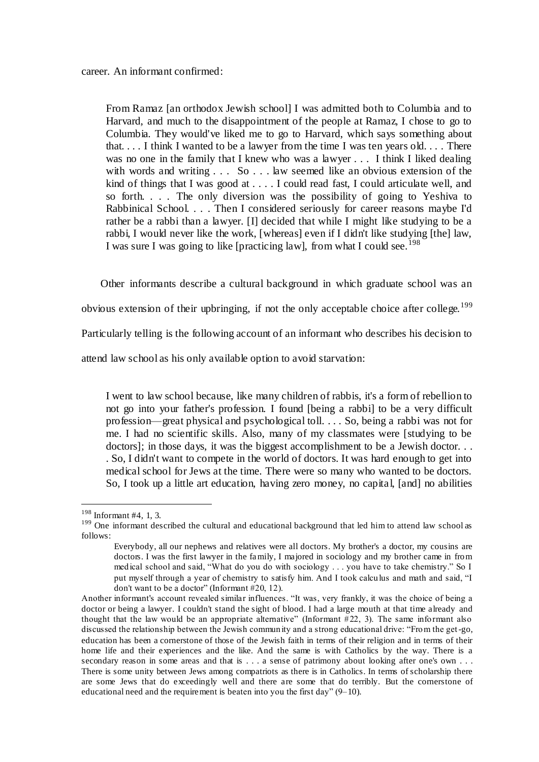From Ramaz [an orthodox Jewish school] I was admitted both to Columbia and to Harvard, and much to the disappointment of the people at Ramaz, I chose to go to Columbia. They would've liked me to go to Harvard, which says something about that. . . . I think I wanted to be a lawyer from the time I was ten years old. . . . There was no one in the family that I knew who was a lawyer . . . I think I liked dealing with words and writing . . . So . . . law seemed like an obvious extension of the kind of things that I was good at . . . . I could read fast, I could articulate well, and so forth. . . . The only diversion was the possibility of going to Yeshiva to Rabbinical School. . . . Then I considered seriously for career reasons maybe I'd rather be a rabbi than a lawyer. [I] decided that while I might like studying to be a rabbi, I would never like the work, [whereas] even if I didn't like studying [the] law, I was sure I was going to like [practicing law], from what I could see.<sup>198</sup>

Other informants describe a cultural background in which graduate school was an

obvious extension of their upbringing, if not the only acceptable choice after college.<sup>199</sup>

Particularly telling is the following account of an informant who describes his decision to

attend law school as his only available option to avoid starvation:

I went to law school because, like many children of rabbis, it's a form of rebellion to not go into your father's profession. I found [being a rabbi] to be a very difficult profession—great physical and psychological toll. . . . So, being a rabbi was not for me. I had no scientific skills. Also, many of my classmates were [studying to be doctors]; in those days, it was the biggest accomplishment to be a Jewish doctor. . . . So, I didn't want to compete in the world of doctors. It was hard enough to get into medical school for Jews at the time. There were so many who wanted to be doctors. So, I took up a little art education, having zero money, no capital, [and] no abilities

<sup>198</sup> Informant #4, 1, 3.

<sup>&</sup>lt;sup>199</sup> One informant described the cultural and educational background that led him to attend law school as follows:

Everybody, all our nephews and relatives were all doctors. My brother's a doctor, my cousins are doctors. I was the first lawyer in the family, I majored in sociology and my brother came in from medical school and said, "What do you do with sociology . . . you have to take chemistry." So I put myself through a year of chemistry to satisfy him. And I took calculus and math and said, "I don't want to be a doctor" (Informant #20, 12).

Another informant's account revealed similar influences. "It was, very frankly, it was the choice of being a doctor or being a lawyer. I couldn't stand the sight of blood. I had a large mouth at that time already and thought that the law would be an appropriate alternative" (Informant  $\#22$ , 3). The same informant also discussed the relationship between the Jewish community and a strong educational drive: "From the get-go, education has been a cornerstone of those of the Jewish faith in terms of their religion and in terms of their home life and their experiences and the like. And the same is with Catholics by the way. There is a secondary reason in some areas and that is . . . a sense of patrimony about looking after one's own . . . There is some unity between Jews among compatriots as there is in Catholics. In terms of scholarship there are some Jews that do exceedingly well and there are some that do terribly. But the cornerstone of educational need and the requirement is beaten into you the first day" (9–10).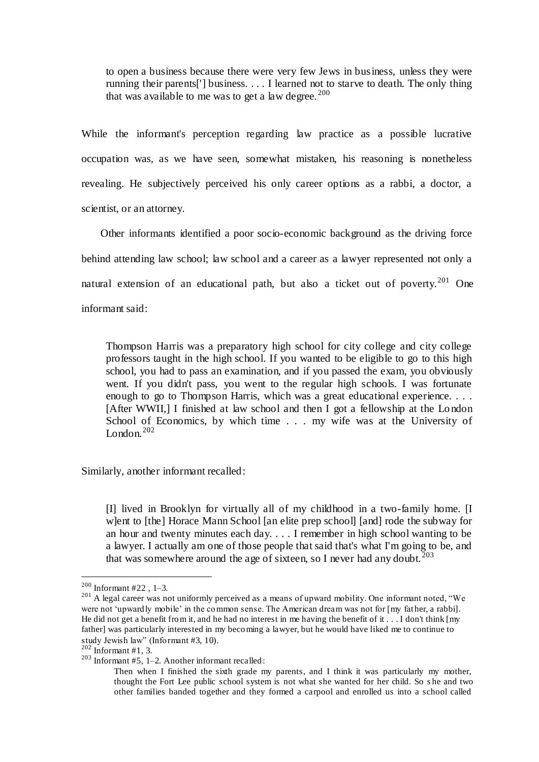to open a business because there were very few Jews in business, unless they were running their parents['] business. . . . I learned not to starve to death. The only thing that was available to me was to get a law degree.  $200$ 

While the informant's perception regarding law practice as a possible lucrative occupation was, as we have seen, somewhat mistaken, his reasoning is nonetheless revealing. He subjectively perceived his only career options as a rabbi, a doctor, a scientist, or an attorney.

 Other informants identified a poor socio-economic background as the driving force behind attending law school; law school and a career as a lawyer represented not only a natural extension of an educational path, but also a ticket out of poverty.<sup>201</sup> One informant said:

Thompson Harris was a preparatory high school for city college and city college professors taught in the high school. If you wanted to be eligible to go to this high school, you had to pass an examination, and if you passed the exam, you obviously went. If you didn't pass, you went to the regular high schools. I was fortunate enough to go to Thompson Harris, which was a great educational experience. . . . [After WWII,] I finished at law school and then I got a fellowship at the Lo ndon School of Economics, by which time . . . my wife was at the University of London. $202$ 

Similarly, another informant recalled:

[I] lived in Brooklyn for virtually all of my childhood in a two-family home. [I w]ent to [the] Horace Mann School [an elite prep school] [and] rode the subway for an hour and twenty minutes each day. . . . I remember in high school wanting to be a lawyer. I actually am one of those people that said that's what I'm going to be, and that was somewhere around the age of sixteen, so I never had any doubt.<sup>203</sup>

 $200$  Informant #22, 1-3.

<sup>&</sup>lt;sup>201</sup> A legal career was not uniformly perceived as a means of upward mobility. One informant noted, "We were not 'upwardly mobile' in the common sense. The American dream was not for [my father, a rabbi]. He did not get a benefit from it, and he had no interest in me having the benefit of it  $\dots$  I don't think  $[m]$ father] was particularly interested in my becoming a lawyer, but he would have liked me to continue to study Jewish law" (Informant #3, 10).

 $202$  Informant #1, 3.

 $203$  Informant #5, 1–2. Another informant recalled:

Then when I finished the sixth grade my parents, and I think it was particularly my mother, thought the Fort Lee public school system is not what she wanted for her child. So s he and two other families banded together and they formed a carpool and enrolled us into a school called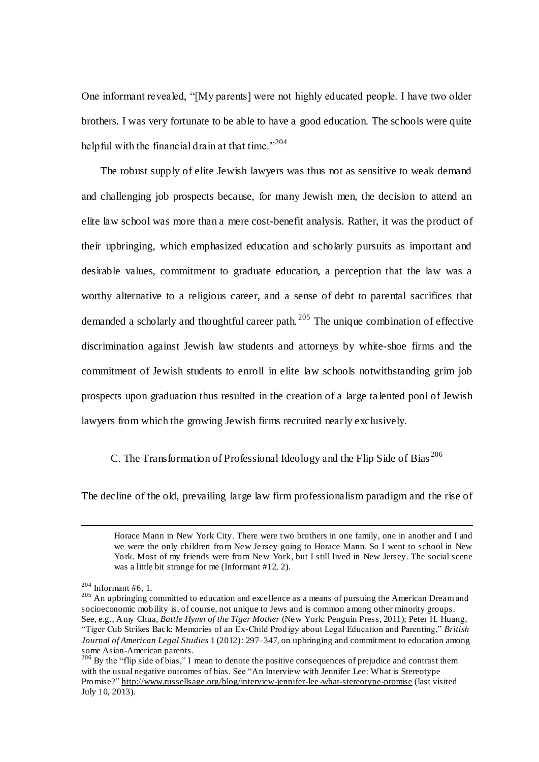One informant revealed, "[My parents] were not highly educated people. I have two older brothers. I was very fortunate to be able to have a good education. The schools were quite helpful with the financial drain at that time."<sup>204</sup>

 The robust supply of elite Jewish lawyers was thus not as sensitive to weak demand and challenging job prospects because, for many Jewish men, the decision to attend an elite law school was more than a mere cost-benefit analysis. Rather, it was the product of their upbringing, which emphasized education and scholarly pursuits as important and desirable values, commitment to graduate education, a perception that the law was a worthy alternative to a religious career, and a sense of debt to parental sacrifices that demanded a scholarly and thoughtful career path. <sup>205</sup> The unique combination of effective discrimination against Jewish law students and attorneys by white-shoe firms and the commitment of Jewish students to enroll in elite law schools notwithstanding grim job prospects upon graduation thus resulted in the creation of a large ta lented pool of Jewish lawyers from which the growing Jewish firms recruited nearly exclusively.

## C. The Transformation of Professional Ideology and the Flip Side of Bias <sup>206</sup>

The decline of the old, prevailing large law firm professionalism paradigm and the rise of

Horace Mann in New York City. There were two brothers in one family, one in another and I and we were the only children from New Je rsey going to Horace Mann. So I went to school in New York. Most of my friends were from New York, but I still lived in New Jersey. The social scene was a little bit strange for me (Informant #12, 2).

 $204$  Informant #6, 1.

<sup>&</sup>lt;sup>205</sup> An upbringing committed to education and excellence as a means of pursuing the American Dream and socioeconomic mobility is, of course, not unique to Jews and is common among other minority groups. See, e.g., Amy Chua, *Battle Hymn of the Tiger Mother* (New York: Penguin Press, 2011); Peter H. Huang, "Tiger Cub Strikes Back: Memories of an Ex-Child Prodigy about Legal Education and Parenting," *British Journal of American Legal Studies* 1 (2012): 297–347, on upbringing and commitment to education among some Asian-American parents.

 $^{206}$  By the "flip side of bias," I mean to denote the positive consequences of prejudice and contrast them with the usual negative outcomes of bias. See "An Interview with Jennifer Lee: What is Stereotype Promise?"<http://www.russellsage.org/blog/interview-jennifer-lee-what-stereotype-promise> (last visited July 10, 2013).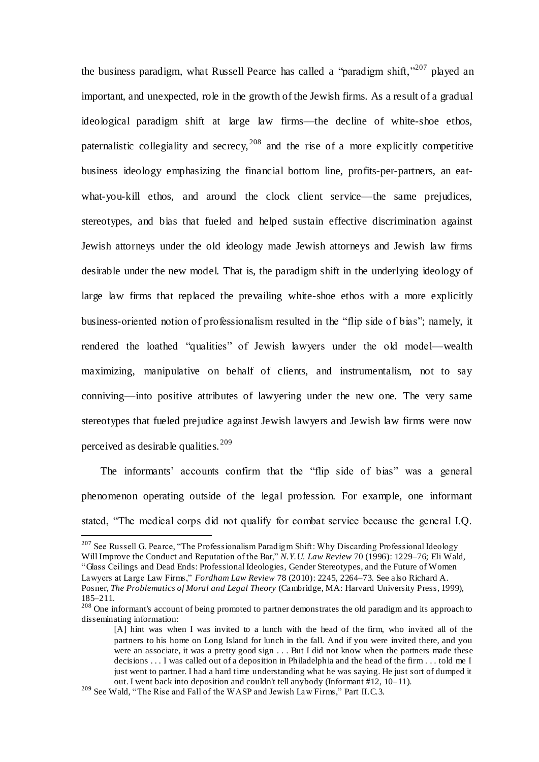the business paradigm, what Russell Pearce has called a "paradigm shift,"<sup>207</sup> played an important, and unexpected, role in the growth of the Jewish firms. As a result of a gradual ideological paradigm shift at large law firms—the decline of white-shoe ethos, paternalistic collegiality and secrecy,  $208$  and the rise of a more explicitly competitive business ideology emphasizing the financial bottom line, profits-per-partners, an eatwhat-you-kill ethos, and around the clock client service—the same prejudices, stereotypes, and bias that fueled and helped sustain effective discrimination against Jewish attorneys under the old ideology made Jewish attorneys and Jewish law firms desirable under the new model. That is, the paradigm shift in the underlying ideology of large law firms that replaced the prevailing white-shoe ethos with a more explicitly business-oriented notion of professionalism resulted in the "flip side of bias"; namely, it rendered the loathed "qualities" of Jewish lawyers under the old model—wealth maximizing, manipulative on behalf of clients, and instrumentalism, not to say conniving—into positive attributes of lawyering under the new one. The very same stereotypes that fueled prejudice against Jewish lawyers and Jewish law firms were now perceived as desirable qualities. <sup>209</sup>

 The informants' accounts confirm that the "flip side of bias" was a general phenomenon operating outside of the legal profession. For example, one informant stated, "The medical corps did not qualify for combat service because the general I.Q.

<sup>&</sup>lt;sup>207</sup> See Russell G. Pearce, "The Professionalism Paradigm Shift: Why Discarding Professional Ideology Will Improve the Conduct and Reputation of the Bar," *N.Y.U. Law Review* 70 (1996): 1229–76; Eli Wald, "Glass Ceilings and Dead Ends: Professional Ideologies, Gender Stereotypes, and the Future of Women Lawyers at Large Law Firms," *Fordham Law Review* 78 (2010): 2245, 2264–73. See also Richard A. Posner, *The Problematics of Moral and Legal Theory* (Cambridge, MA: Harvard University Press, 1999), 185–211.

<sup>&</sup>lt;sup>208</sup> One informant's account of being promoted to partner demonstrates the old paradigm and its approach to disseminating information:

<sup>[</sup>A] hint was when I was invited to a lunch with the head of the firm, who invited all of the partners to his home on Long Island for lunch in the fall. And if you were invited there, and you were an associate, it was a pretty good sign . . . But I did not know when the partners made these decisions . . . I was called out of a deposition in Philadelphia and the head of the firm . . . told me I just went to partner. I had a hard time understanding what he was saying. He just sort of dumped it out. I went back into deposition and couldn't tell anybody (Informant #12, 10–11).

 $209$  See Wald, "The Rise and Fall of the WASP and Jewish Law Firms," Part II.C.3.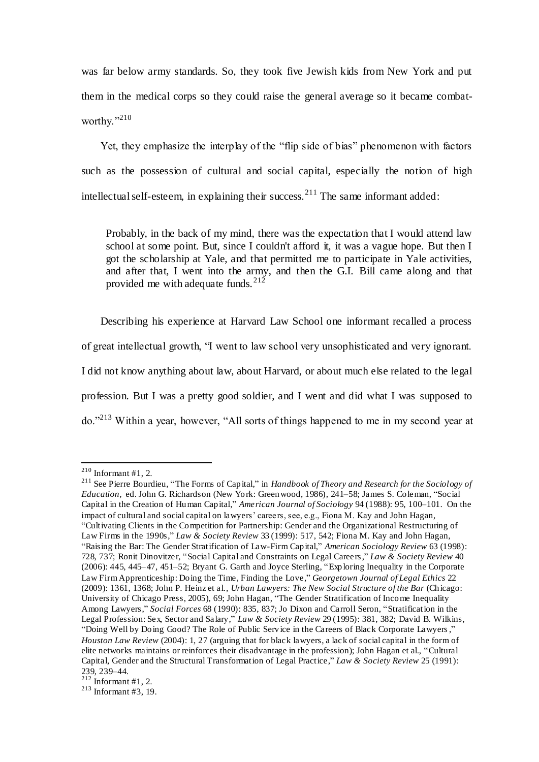was far below army standards. So, they took five Jewish kids from New York and put them in the medical corps so they could raise the general average so it became combatworthy."210

 Yet, they emphasize the interplay of the "flip side of bias" phenomenon with factors such as the possession of cultural and social capital, especially the notion of high intellectual self-esteem, in explaining their success.<sup>211</sup> The same informant added:

Probably, in the back of my mind, there was the expectation that I would attend law school at some point. But, since I couldn't afford it, it was a vague hope. But then I got the scholarship at Yale, and that permitted me to participate in Yale activities, and after that, I went into the army, and then the G.I. Bill came along and that provided me with adequate funds.  $2^{12}$ 

 Describing his experience at Harvard Law School one informant recalled a process of great intellectual growth, "I went to law school very unsophisticated and very ignorant. I did not know anything about law, about Harvard, or about much else related to the legal profession. But I was a pretty good soldier, and I went and did what I was supposed to do."<sup>213</sup> Within a year, however, "All sorts of things happened to me in my second year at

 $\overline{a}$ 

<sup>211</sup> See Pierre Bourdieu, "The Forms of Capital," in *Handbook of Theory and Research for the Sociology of Education,* ed. John G. Richardson (New York: Greenwood, 1986), 241–58; James S. Coleman, "Social Capital in the Creation of Human Capital," *American Journal of Sociology* 94 (1988): 95, 100–101. On the impact of cultural and social capital on lawyers' careers, see, e.g., Fiona M. Kay and John Hagan, "Cultivating Clients in the Competition for Partnership: Gender and the Organizational Restructuring of Law Firms in the 1990s," *Law & Society Review* 33 (1999): 517, 542; Fiona M. Kay and John Hagan, "Raising the Bar: The Gender Stratification of Law-Firm Capital," *American Sociology Review* 63 (1998): 728, 737; Ronit Dinovitzer, "Social Capital and Constraints on Legal Careers," *Law & Society Review* 40 (2006): 445, 445–47, 451–52; Bryant G. Garth and Joyce Sterling, "Exploring Inequality in the Corporate Law Firm Apprenticeship: Doing the Time, Finding the Love," *Georgetown Journal of Legal Ethics* 22 (2009): 1361, 1368; John P. Heinz et al., *Urban Lawyers: The New Social Structure of the Bar* (Chicago: University of Chicago Press, 2005), 69; John Hagan, "The Gender Stratification of Income Inequality Among Lawyers," *Social Forces* 68 (1990): 835, 837; Jo Dixon and Carroll Seron, "Stratification in the Legal Profession: Sex, Sector and Salary," *Law & Society Review* 29 (1995): 381, 382; David B. Wilkins, "Doing Well by Doing Good? The Role of Public Service in the Careers of Black Corporate Lawyers," *Houston Law Review* (2004): 1, 27 (arguing that for black lawyers, a lack of social capital in the form of elite networks maintains or reinforces their disadvantage in the profession); John Hagan et al., "Cultural Capital, Gender and the Structural Transformation of Legal Practice," *Law & Society Review* 25 (1991): 239, 239–44.

 $^{210}$  Informant #1, 2.

 $212$  Informant #1, 2.

 $213$  Informant #3, 19.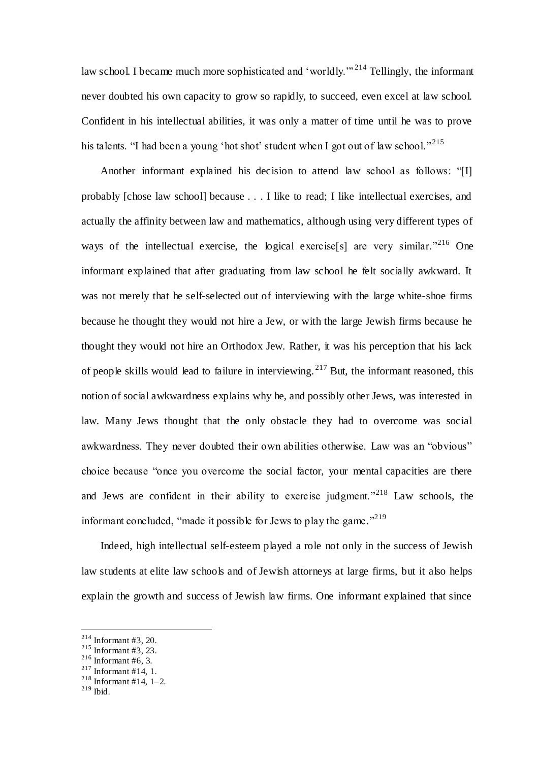law school. I became much more sophisticated and 'worldly."<sup>214</sup> Tellingly, the informant never doubted his own capacity to grow so rapidly, to succeed, even excel at law school. Confident in his intellectual abilities, it was only a matter of time until he was to prove his talents. "I had been a young 'hot shot' student when I got out of law school."<sup>215</sup>

 Another informant explained his decision to attend law school as follows: "[I] probably [chose law school] because . . . I like to read; I like intellectual exercises, and actually the affinity between law and mathematics, although using very different types of ways of the intellectual exercise, the logical exercise [s] are very similar.<sup> $n^{216}$ </sup> One informant explained that after graduating from law school he felt socially awkward. It was not merely that he self-selected out of interviewing with the large white-shoe firms because he thought they would not hire a Jew, or with the large Jewish firms because he thought they would not hire an Orthodox Jew. Rather, it was his perception that his lack of people skills would lead to failure in interviewing.<sup>217</sup> But, the informant reasoned, this notion of social awkwardness explains why he, and possibly other Jews, was interested in law. Many Jews thought that the only obstacle they had to overcome was social awkwardness. They never doubted their own abilities otherwise. Law was an "obvious" choice because "once you overcome the social factor, your mental capacities are there and Jews are confident in their ability to exercise judgment."<sup>218</sup> Law schools, the informant concluded, "made it possible for Jews to play the game."<sup>219</sup>

 Indeed, high intellectual self-esteem played a role not only in the success of Jewish law students at elite law schools and of Jewish attorneys at large firms, but it also helps explain the growth and success of Jewish law firms. One informant explained that since

 $214$  Informant #3, 20.

 $215$  Informant #3, 23.

 $216$  Informant #6, 3.

 $217$  Informant #14, 1.

 $218$  Informant #14, 1-2.

 $^{219}$  Ibid.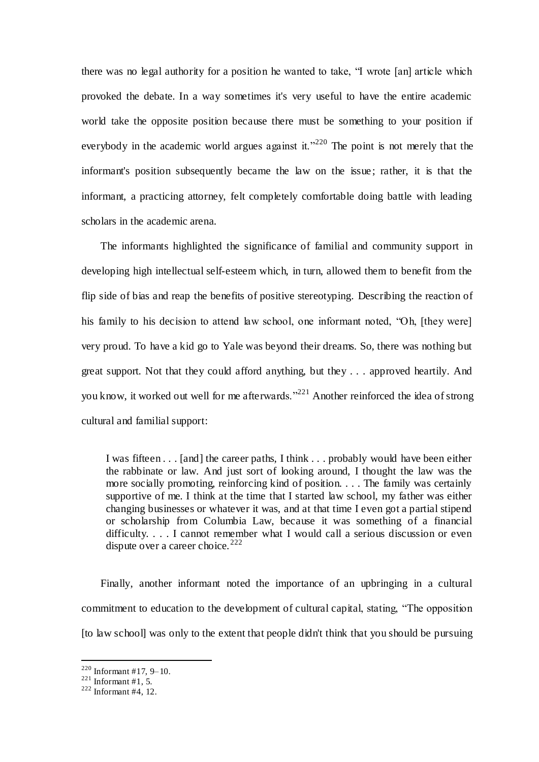there was no legal authority for a position he wanted to take, "I wrote [an] article which provoked the debate. In a way sometimes it's very useful to have the entire academic world take the opposite position because there must be something to your position if everybody in the academic world argues against it."<sup>220</sup> The point is not merely that the informant's position subsequently became the law on the issue ; rather, it is that the informant, a practicing attorney, felt completely comfortable doing battle with leading scholars in the academic arena.

 The informants highlighted the significance of familial and community support in developing high intellectual self-esteem which, in turn, allowed them to benefit from the flip side of bias and reap the benefits of positive stereotyping. Describing the reaction of his family to his decision to attend law school, one informant noted, "Oh, [they were] very proud. To have a kid go to Yale was beyond their dreams. So, there was nothing but great support. Not that they could afford anything, but they . . . approved heartily. And you know, it worked out well for me afterwards."<sup>221</sup> Another reinforced the idea of strong cultural and familial support:

I was fifteen . . . [and] the career paths, I think . . . probably would have been either the rabbinate or law. And just sort of looking around, I thought the law was the more socially promoting, reinforcing kind of position. . . . The family was certainly supportive of me. I think at the time that I started law school, my father was either changing businesses or whatever it was, and at that time I even got a partial stipend or scholarship from Columbia Law, because it was something of a financial difficulty. . . . I cannot remember what I would call a serious discussion or even dispute over a career choice.  $222$ 

 Finally, another informant noted the importance of an upbringing in a cultural commitment to education to the development of cultural capital, stating, "The opposition [to law school] was only to the extent that people didn't think that you should be pursuing

<sup>&</sup>lt;sup>220</sup> Informant #17, 9–10.

 $^{221}$  Informant #1, 5.

 $222$  Informant #4, 12.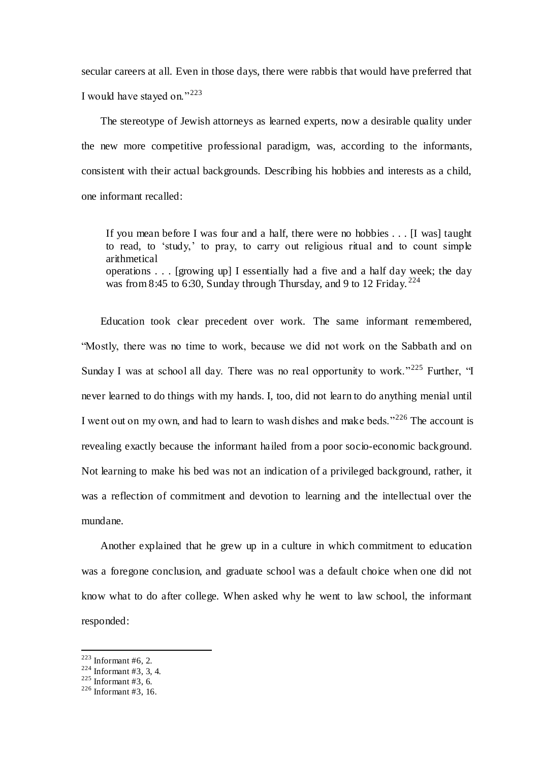secular careers at all. Even in those days, there were rabbis that would have preferred that I would have stayed on."<sup>223</sup>

 The stereotype of Jewish attorneys as learned experts, now a desirable quality under the new more competitive professional paradigm, was, according to the informants, consistent with their actual backgrounds. Describing his hobbies and interests as a child, one informant recalled:

If you mean before I was four and a half, there were no hobbies . . . [I was] taught to read, to 'study,' to pray, to carry out religious ritual and to count simple arithmetical operations . . . [growing up] I essentially had a five and a half day week; the day was from 8:45 to 6:30, Sunday through Thursday, and 9 to 12 Friday.  $224$ 

 Education took clear precedent over work. The same informant remembered, "Mostly, there was no time to work, because we did not work on the Sabbath and on Sunday I was at school all day. There was no real opportunity to work."<sup>225</sup> Further, "I never learned to do things with my hands. I, too, did not learn to do anything menial until I went out on my own, and had to learn to wash dishes and make beds." $^{226}$  The account is revealing exactly because the informant hailed from a poor socio-economic background. Not learning to make his bed was not an indication of a privileged background, rather, it was a reflection of commitment and devotion to learning and the intellectual over the mundane.

 Another explained that he grew up in a culture in which commitment to education was a foregone conclusion, and graduate school was a default choice when one did not know what to do after college. When asked why he went to law school, the informant responded:

 $223$  Informant #6, 2.

 $224$  Informant #3, 3, 4.

 $225$  Informant #3, 6.

<sup>226</sup> Informant #3, 16.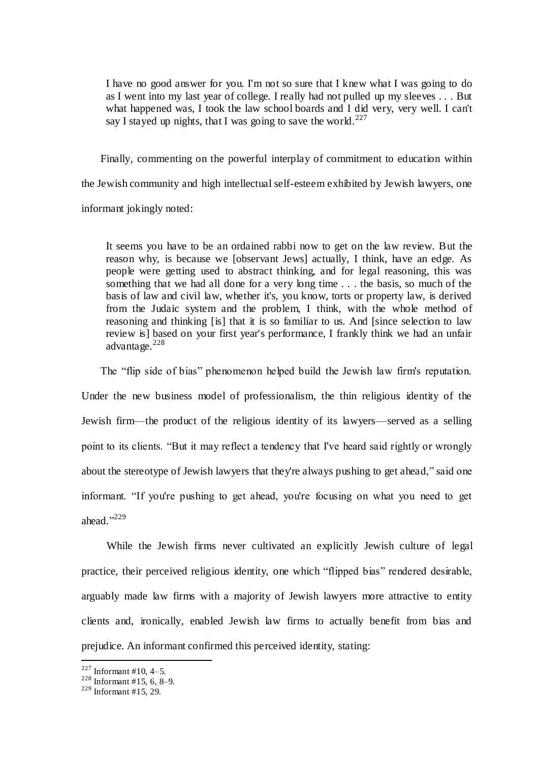I have no good answer for you. I'm not so sure that I knew what I was going to do as I went into my last year of college. I really had not pulled up my sleeves . . . But what happened was, I took the law school boards and I did very, very well. I can't say I stayed up nights, that I was going to save the world. $^{227}$ 

 Finally, commenting on the powerful interplay of commitment to education within the Jewish community and high intellectual self-esteem exhibited by Jewish lawyers, one informant jokingly noted:

It seems you have to be an ordained rabbi now to get on the law review. But the reason why, is because we [observant Jews] actually, I think, have an edge. As people were getting used to abstract thinking, and for legal reasoning, this was something that we had all done for a very long time . . . the basis, so much of the basis of law and civil law, whether it's, you know, torts or property law, is derived from the Judaic system and the problem, I think, with the whole method of reasoning and thinking [is] that it is so familiar to us. And [since selection to law review is] based on your first year's performance, I frankly think we had an unfair advantage.<sup>228</sup>

The "flip side of bias" phenomenon helped build the Jewish law firm's reputation.

Under the new business model of professionalism, the thin religious identity of the Jewish firm—the product of the religious identity of its lawyers—served as a selling point to its clients. "But it may reflect a tendency that I've heard said rightly or wrongly about the stereotype of Jewish lawyers that they're always pushing to get ahead," said one informant. "If you're pushing to get ahead, you're focusing on what you need to get ahead." 229

 While the Jewish firms never cultivated an explicitly Jewish culture of legal practice, their perceived religious identity, one which "flipped bias" rendered desirable, arguably made law firms with a majority of Jewish lawyers more attractive to entity clients and, ironically, enabled Jewish law firms to actually benefit from bias and prejudice. An informant confirmed this perceived identity, stating:

 $227$  Informant #10, 4–5.

 $228$  Informant #15, 6, 8–9.

 $229$  Informant #15, 29.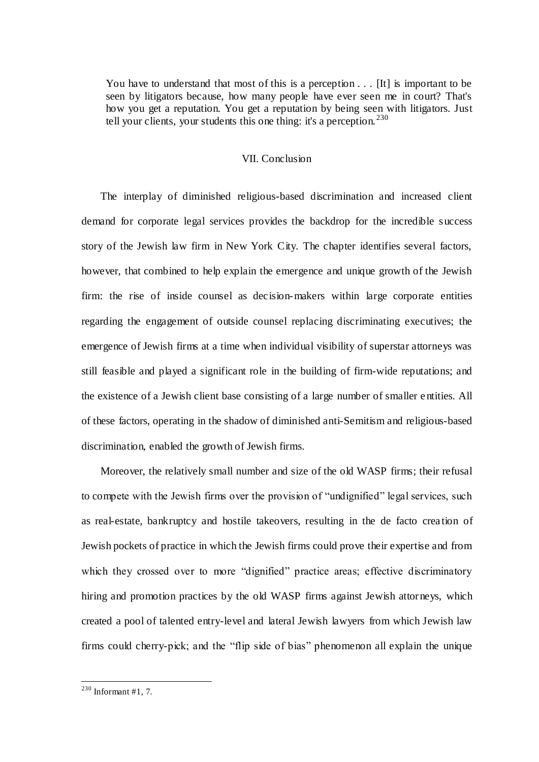You have to understand that most of this is a perception . . . [It] is important to be seen by litigators because, how many people have ever seen me in court? That's how you get a reputation. You get a reputation by being seen with litigators. Just tell your clients, your students this one thing: it's a perception.  $230$ 

#### VII. Conclusion

 The interplay of diminished religious-based discrimination and increased client demand for corporate legal services provides the backdrop for the incredible success story of the Jewish law firm in New York City. The chapter identifies several factors, however, that combined to help explain the emergence and unique growth of the Jewish firm: the rise of inside counsel as decision-makers within large corporate entities regarding the engagement of outside counsel replacing discriminating executives; the emergence of Jewish firms at a time when individual visibility of superstar attorneys was still feasible and played a significant role in the building of firm-wide reputations; and the existence of a Jewish client base consisting of a large number of smaller e ntities. All of these factors, operating in the shadow of diminished anti-Semitism and religious-based discrimination, enabled the growth of Jewish firms.

 Moreover, the relatively small number and size of the old WASP firms; their refusal to compete with the Jewish firms over the provision of "undignified" legal services, such as real-estate, bankruptcy and hostile takeovers, resulting in the de facto crea tion of Jewish pockets of practice in which the Jewish firms could prove their expertise and from which they crossed over to more "dignified" practice areas; effective discriminatory hiring and promotion practices by the old WASP firms against Jewish attorneys, which created a pool of talented entry-level and lateral Jewish lawyers from which Jewish law firms could cherry-pick; and the "flip side of bias" phenomenon all explain the unique

 $^{230}$  Informant #1, 7.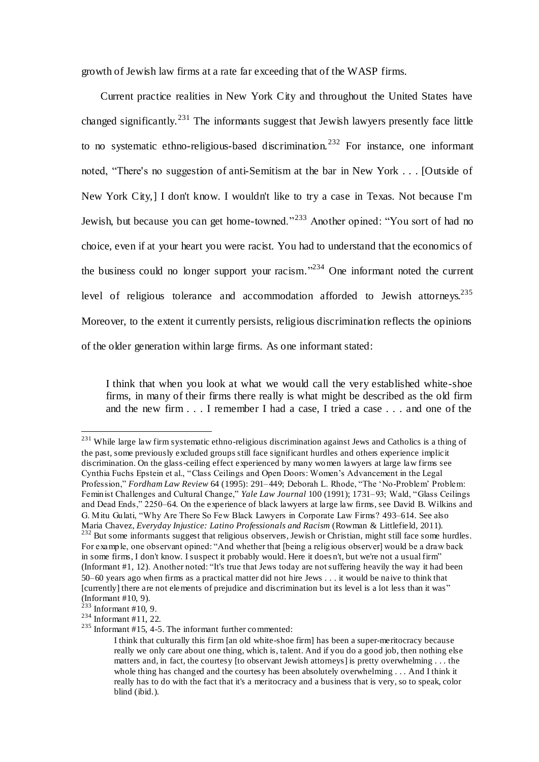growth of Jewish law firms at a rate far exceeding that of the WASP firms.

 Current practice realities in New York City and throughout the United States have changed significantly.<sup>231</sup> The informants suggest that Jewish lawyers presently face little to no systematic ethno-religious-based discrimination.<sup>232</sup> For instance, one informant noted, "There's no suggestion of anti-Semitism at the bar in New York . . . [Outside of New York City,] I don't know. I wouldn't like to try a case in Texas. Not because I'm Jewish, but because you can get home-towned."<sup>233</sup> Another opined: "You sort of had no choice, even if at your heart you were racist. You had to understand that the economics of the business could no longer support your racism."<sup>234</sup> One informant noted the current level of religious tolerance and accommodation afforded to Jewish attorneys.<sup>235</sup> Moreover, to the extent it currently persists, religious discrimination reflects the opinions of the older generation within large firms. As one informant stated:

I think that when you look at what we would call the very established white-shoe firms, in many of their firms there really is what might be described as the old firm and the new firm . . . I remember I had a case, I tried a case . . . and one of the

<sup>&</sup>lt;sup>231</sup> While large law firm systematic ethno-religious discrimination against Jews and Catholics is a thing of the past, some previously excluded groups still face significant hurdles and others experience implicit discrimination. On the glass-ceiling effect experienced by many women lawyers at large law firms see Cynthia Fuchs Epstein et al., "Class Ceilings and Open Doors: Women's Advancement in the Legal Profession," *Fordham Law Review* 64 (1995): 291–449; Deborah L. Rhode, "The 'No-Problem' Problem: Feminist Challenges and Cultural Change," *Yale Law Journal* 100 (1991); 1731–93; Wald, "Glass Ceilings and Dead Ends," 2250–64. On the experience of black lawyers at large law firms, see David B. Wilkins and G. Mitu Gulati, "Why Are There So Few Black Lawyers in Corporate Law Firms? 493–614. See also Maria Chavez, *Everyday Injustice: Latino Professionals and Racism* (Rowman & Littlefield, 2011). <sup>232</sup> But some informants suggest that religious observers, Jewish or Christian, might still face some hurdles. For example, one observant opined: "And whether that [being a religious observer] would be a draw back in some firms, I don't know. I suspect it probably would. Here it does n't, but we're not a usual firm" (Informant #1, 12). Another noted: "It's true that Jews today are not suffering heavily the way it had been 50–60 years ago when firms as a practical matter did not hire Jews . . . it would be naive to think that [currently] there are not elements of prejudice and discrimination but its level is a lot less than it was"

<sup>(</sup>Informant #10, 9).

 $2^{23}$  Informant #10, 9.  $234$  Informant #11, 22.

<sup>235</sup> Informant #15, 4-5. The informant further commented:

I think that culturally this firm [an old white-shoe firm] has been a super-meritocracy because really we only care about one thing, which is, talent. And if you do a good job, then nothing else matters and, in fact, the courtesy [to observant Jewish attorneys] is pretty overwhelming . . . the whole thing has changed and the courtesy has been absolutely overwhelming . . . And I think it really has to do with the fact that it's a meritocracy and a business that is very, so to speak, color blind (ibid.).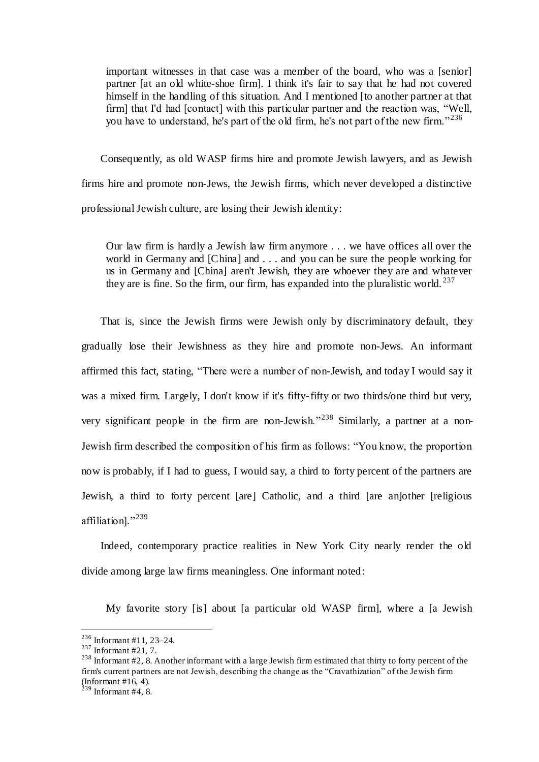important witnesses in that case was a member of the board, who was a [senior] partner [at an old white-shoe firm]. I think it's fair to say that he had not covered himself in the handling of this situation. And I mentioned [to another partner at that firm] that I'd had [contact] with this particular partner and the reaction was, "Well, you have to understand, he's part of the old firm, he's not part of the new firm."<sup>236</sup>

 Consequently, as old WASP firms hire and promote Jewish lawyers, and as Jewish firms hire and promote non-Jews, the Jewish firms, which never developed a distinctive professional Jewish culture, are losing their Jewish identity:

Our law firm is hardly a Jewish law firm anymore . . . we have offices all over the world in Germany and [China] and . . . and you can be sure the people working for us in Germany and [China] aren't Jewish, they are whoever they are and whatever they are is fine. So the firm, our firm, has expanded into the pluralistic world.  $237$ 

 That is, since the Jewish firms were Jewish only by discriminatory default, they gradually lose their Jewishness as they hire and promote non-Jews. An informant affirmed this fact, stating, "There were a number of non-Jewish, and today I would say it was a mixed firm. Largely, I don't know if it's fifty-fifty or two thirds/one third but very, very significant people in the firm are non-Jewish."<sup>238</sup> Similarly, a partner at a non-Jewish firm described the composition of his firm as follows: "You know, the proportion now is probably, if I had to guess, I would say, a third to forty percent of the partners are Jewish, a third to forty percent [are] Catholic, and a third [are an]other [religious affiliation]."<sup>239</sup>

 Indeed, contemporary practice realities in New York City nearly render the old divide among large law firms meaningless. One informant noted:

My favorite story [is] about [a particular old WASP firm], where a [a Jewish

<sup>236</sup> Informant #11, 23–24.

 $237$  Informant #21, 7.

<sup>&</sup>lt;sup>238</sup> Informant #2, 8. Another informant with a large Jewish firm estimated that thirty to forty percent of the firm's current partners are not Jewish, describing the change as the "Cravathization" of the Jewish firm (Informant #16, 4).

 $^{239}$  Informant #4, 8.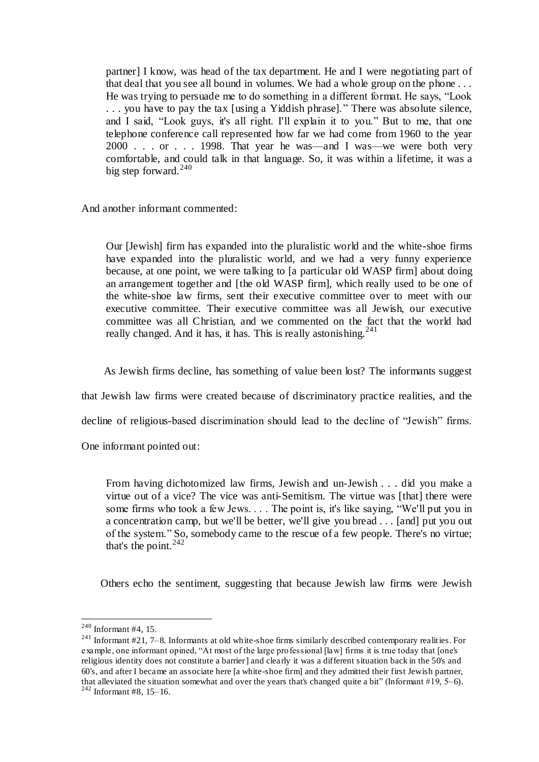partner] I know, was head of the tax department. He and I were negotiating part of that deal that you see all bound in volumes. We had a whole group on the phone . . . He was trying to persuade me to do something in a different format. He says, "Look . . . you have to pay the tax [using a Yiddish phrase]. " There was absolute silence, and I said, "Look guys, it's all right. I'll explain it to you." But to me, that one telephone conference call represented how far we had come from 1960 to the year 2000 . . . or . . . 1998. That year he was—and I was—we were both very comfortable, and could talk in that language. So, it was within a lifetime, it was a big step forward. $240$ 

And another informant commented:

Our [Jewish] firm has expanded into the pluralistic world and the white-shoe firms have expanded into the pluralistic world, and we had a very funny experience because, at one point, we were talking to [a particular old WASP firm] about doing an arrangement together and [the old WASP firm], which really used to be one of the white-shoe law firms, sent their executive committee over to meet with our executive committee. Their executive committee was all Jewish, our executive committee was all Christian, and we commented on the fact that the world had really changed. And it has, it has. This is really astonishing.<sup>241</sup>

As Jewish firms decline, has something of value been lost? The informants suggest

that Jewish law firms were created because of discriminatory practice realities, and the

decline of religious-based discrimination should lead to the decline of "Jewish" firms.

One informant pointed out:

From having dichotomized law firms, Jewish and un-Jewish . . . did you make a virtue out of a vice? The vice was anti-Semitism. The virtue was [that] there were some firms who took a few Jews. . . . The point is, it's like saying, "We'll put you in a concentration camp, but we'll be better, we'll give you bread . . . [and] put you out of the system." So, somebody came to the rescue of a few people. There's no virtue; that's the point. 242

Others echo the sentiment, suggesting that because Jewish law firms were Jewish

 $240$  Informant #4, 15.

<sup>241</sup> Informant #21, 7–8. Informants at old white-shoe firms similarly described contemporary realities. For example, one informant opined, "At most of the large professional [law] firms it is true today that [one's religious identity does not constitute a barrier] and clearly it was a different situation back in the 50's and 60's, and after I became an associate here [a white-shoe firm] and they admitted their first Jewish partner, that alleviated the situation somewhat and over the years that's changed quite a bit" (Informant  $#19, 5-6$ ).

 $242$  Informant #8, 15-16.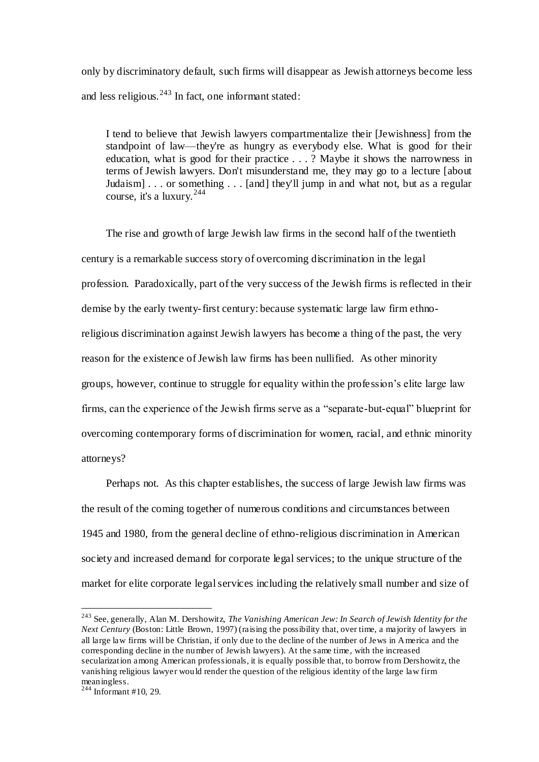only by discriminatory default, such firms will disappear as Jewish attorneys become less and less religious. $243$  In fact, one informant stated:

I tend to believe that Jewish lawyers compartmentalize their [Jewishness] from the standpoint of law—they're as hungry as everybody else. What is good for their education, what is good for their practice . . . ? Maybe it shows the narrowness in terms of Jewish lawyers. Don't misunderstand me, they may go to a lecture [about Judaism] . . . or something . . . [and] they'll jump in and what not, but as a regular course, it's a luxury. 244

The rise and growth of large Jewish law firms in the second half of the twentieth century is a remarkable success story of overcoming discrimination in the legal profession. Paradoxically, part of the very success of the Jewish firms is reflected in their demise by the early twenty-first century: because systematic large law firm ethnoreligious discrimination against Jewish lawyers has become a thing of the past, the very reason for the existence of Jewish law firms has been nullified. As other minority groups, however, continue to struggle for equality within the profession's elite large law firms, can the experience of the Jewish firms serve as a "separate-but-equal" blueprint for overcoming contemporary forms of discrimination for women, racial, and ethnic minority attorneys?

Perhaps not. As this chapter establishes, the success of large Jewish law firms was the result of the coming together of numerous conditions and circumstances between 1945 and 1980, from the general decline of ethno-religious discrimination in American society and increased demand for corporate legal services; to the unique structure of the market for elite corporate legal services including the relatively small number and size of

<sup>243</sup> See, generally, Alan M. Dershowitz, *The Vanishing American Jew: In Search of Jewish Identity for the Next Century (Boston: Little Brown, 1997) (raising the possibility that, over time, a majority of lawyers in* all large law firms will be Christian, if only due to the decline of the number of Jews in America and the corresponding decline in the number of Jewish lawyers). At the same time, with the increased secularization among American professionals, it is equally possible that, to borrow from Dershowitz, the vanishing religious lawyer would render the question of the religious identity of the large law firm meaningless.

 $244$  Informant #10, 29.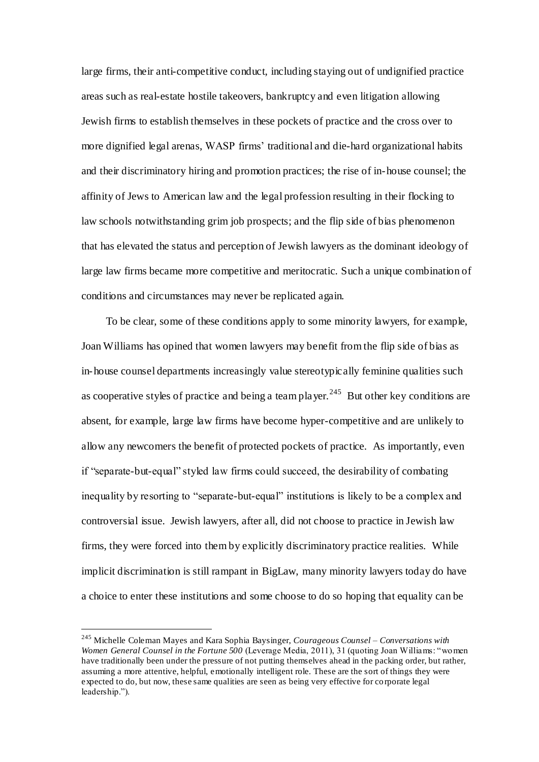large firms, their anti-competitive conduct, including staying out of undignified practice areas such as real-estate hostile takeovers, bankruptcy and even litigation allowing Jewish firms to establish themselves in these pockets of practice and the cross over to more dignified legal arenas, WASP firms' traditional and die-hard organizational habits and their discriminatory hiring and promotion practices; the rise of in-house counsel; the affinity of Jews to American law and the legal profession resulting in their flocking to law schools notwithstanding grim job prospects; and the flip side of bias phenomenon that has elevated the status and perception of Jewish lawyers as the dominant ideology of large law firms became more competitive and meritocratic. Such a unique combination of conditions and circumstances may never be replicated again.

To be clear, some of these conditions apply to some minority lawyers, for example, Joan Williams has opined that women lawyers may benefit from the flip side of bias as in-house counsel departments increasingly value stereotypically feminine qualities such as cooperative styles of practice and being a team player.<sup>245</sup> But other key conditions are absent, for example, large law firms have become hyper-competitive and are unlikely to allow any newcomers the benefit of protected pockets of practice. As importantly, even if "separate-but-equal" styled law firms could succeed, the desirability of combating inequality by resorting to "separate-but-equal" institutions is likely to be a complex and controversial issue. Jewish lawyers, after all, did not choose to practice in Jewish law firms, they were forced into them by explicitly discriminatory practice realities. While implicit discrimination is still rampant in BigLaw, many minority lawyers today do have a choice to enter these institutions and some choose to do so hoping that equality can be

<sup>245</sup> Michelle Coleman Mayes and Kara Sophia Baysinger, *Courageous Counsel – Conversations with Women General Counsel in the Fortune 500* (Leverage Media, 2011), 31 (quoting Joan Williams: "women have traditionally been under the pressure of not putting themselves ahead in the packing order, but rather, assuming a more attentive, helpful, emotionally intelligent role. These are the sort of things they were expected to do, but now, these same qualities are seen as being very effective for corporate legal leadership.").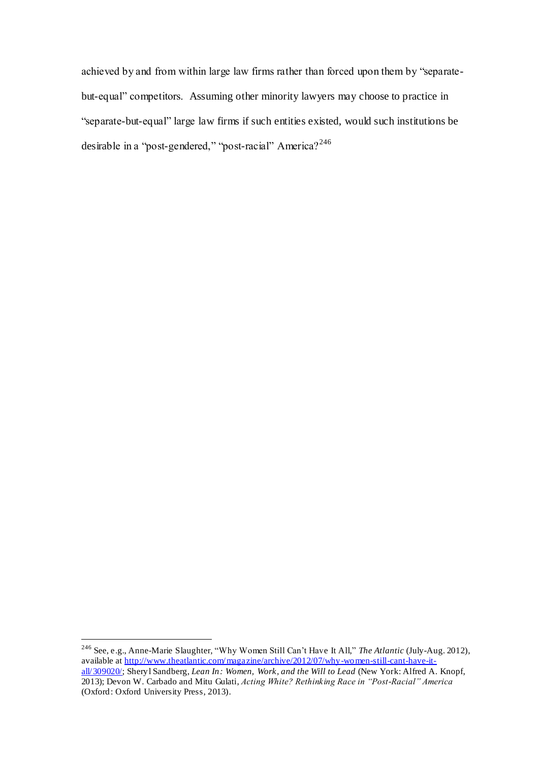achieved by and from within large law firms rather than forced upon them by "separatebut-equal" competitors. Assuming other minority lawyers may choose to practice in "separate-but-equal" large law firms if such entities existed, would such institutions be desirable in a "post-gendered," "post-racial" America?<sup>246</sup>

<sup>246</sup> See, e.g., Anne-Marie Slaughter, "Why Women Still Can't Have It All," *The Atlantic* (July-Aug. 2012), available at <u>http://www.theatlantic.com/magazine/archive/2012/07/why-women-still-cant-have-it-</u> [all/309020/;](http://www.theatlantic.com/magazine/archive/2012/07/why-women-still-cant-have-it-all/309020/) Sheryl Sandberg, *Lean In: Women, Work, and the Will to Lead* (New York: Alfred A. Knopf, 2013); Devon W. Carbado and Mitu Gulati, *Acting White? Rethinking Race in "Post-Racial" America* (Oxford: Oxford University Press, 2013).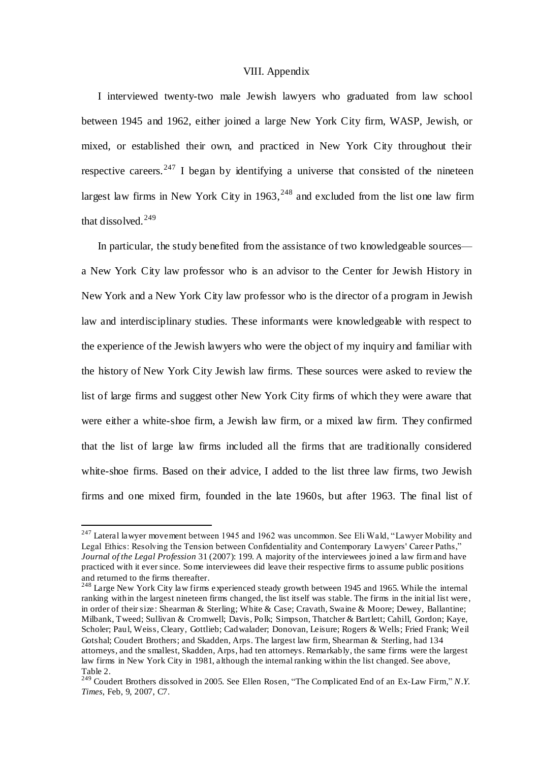#### VIII. Appendix

I interviewed twenty-two male Jewish lawyers who graduated from law school between 1945 and 1962, either joined a large New York City firm, WASP, Jewish, or mixed, or established their own, and practiced in New York City throughout their respective careers.<sup>247</sup> I began by identifying a universe that consisted of the nineteen largest law firms in New York City in  $1963$ ,  $^{248}$  and excluded from the list one law firm that dissolved. $249$ 

In particular, the study benefited from the assistance of two knowledgeable sources a New York City law professor who is an advisor to the Center for Jewish History in New York and a New York City law professor who is the director of a program in Jewish law and interdisciplinary studies. These informants were knowledgeable with respect to the experience of the Jewish lawyers who were the object of my inquiry and familiar with the history of New York City Jewish law firms. These sources were asked to review the list of large firms and suggest other New York City firms of which they were aware that were either a white-shoe firm, a Jewish law firm, or a mixed law firm. They confirmed that the list of large law firms included all the firms that are traditionally considered white-shoe firms. Based on their advice, I added to the list three law firms, two Jewish firms and one mixed firm, founded in the late 1960s, but after 1963. The final list of

 $247$  Lateral lawyer movement between 1945 and 1962 was uncommon. See Eli Wald, "Lawyer Mobility and Legal Ethics: Resolving the Tension between Confidentiality and Contemporary Lawyers' Career Paths," *Journal of the Legal Profession* 31 (2007): 199. A majority of the interviewees joined a law firm and have practiced with it ever since. Some interviewees did leave their respective firms to assume public positions and returned to the firms thereafter.

<sup>&</sup>lt;sup>248</sup> Large New York City law firms experienced steady growth between 1945 and 1965. While the internal ranking within the largest nineteen firms changed, the list itself was stable. The firms in the initial list were, in order of their size: Shearman & Sterling; White & Case; Cravath, Swaine & Moore; Dewey, Ballantine; Milbank, Tweed; Sullivan & Cromwell; Davis, Polk; Simpson, Thatcher & Bartlett; Cahill, Gordon; Kaye, Scholer; Paul, Weiss, Cleary, Gottlieb; Cadwalader; Donovan, Leisure; Rogers & Wells; Fried Frank; Weil Gotshal; Coudert Brothers; and Skadden, Arps. The largest law firm, Shearman & Sterling, had 134 attorneys, and the smallest, Skadden, Arps, had ten attorneys. Remarkably, the same firms were the largest law firms in New York City in 1981, although the internal ranking within the list changed. See above, Table 2.

<sup>249</sup> Coudert Brothers dissolved in 2005. See Ellen Rosen, "The Complicated End of an Ex-Law Firm," *N.Y. Times*, Feb, 9, 2007, C7.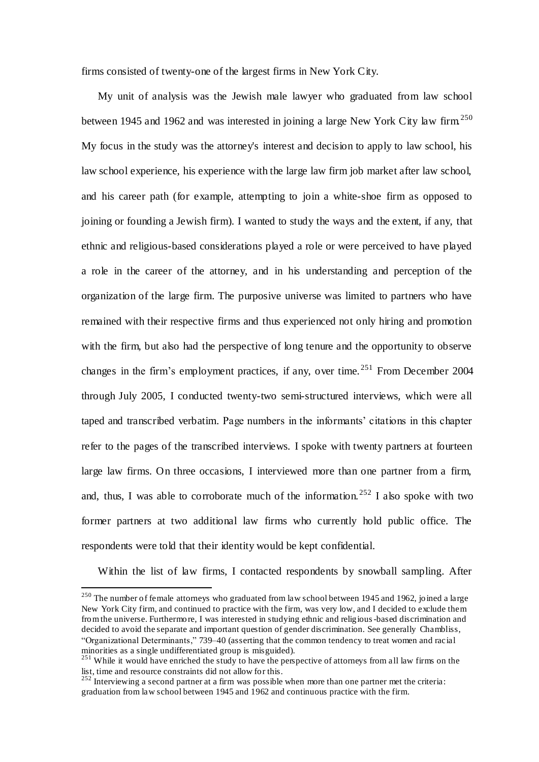firms consisted of twenty-one of the largest firms in New York City.

My unit of analysis was the Jewish male lawyer who graduated from law school between 1945 and 1962 and was interested in joining a large New York City law firm.<sup>250</sup> My focus in the study was the attorney's interest and decision to apply to law school, his law school experience, his experience with the large law firm job market after law school, and his career path (for example, attempting to join a white-shoe firm as opposed to joining or founding a Jewish firm). I wanted to study the ways and the extent, if any, that ethnic and religious-based considerations played a role or were perceived to have played a role in the career of the attorney, and in his understanding and perception of the organization of the large firm. The purposive universe was limited to partners who have remained with their respective firms and thus experienced not only hiring and promotion with the firm, but also had the perspective of long tenure and the opportunity to observe changes in the firm's employment practices, if any, over time.  $251$  From December 2004 through July 2005, I conducted twenty-two semi-structured interviews, which were all taped and transcribed verbatim. Page numbers in the informants' citations in this chapter refer to the pages of the transcribed interviews. I spoke with twenty partners at fourteen large law firms. On three occasions, I interviewed more than one partner from a firm, and, thus, I was able to corroborate much of the information.<sup>252</sup> I also spoke with two former partners at two additional law firms who currently hold public office. The respondents were told that their identity would be kept confidential.

Within the list of law firms, I contacted respondents by snowball sampling. After

<sup>&</sup>lt;sup>250</sup> The number of female attorneys who graduated from law school between 1945 and 1962, joined a large New York City firm, and continued to practice with the firm, was very low, and I decided to exclude them from the universe. Furthermore, I was interested in studying ethnic and religious-based discrimination and decided to avoid the separate and important question of gender discrimination. See generally Chambliss, "Organizational Determinants," 739–40 (asserting that the common tendency to treat women and racial minorities as a single undifferentiated group is misguided).

 $251$  While it would have enriched the study to have the perspective of attorneys from all law firms on the list, time and resource constraints did not allow for this.

 $^{252}$  Interviewing a second partner at a firm was possible when more than one partner met the criteria: graduation from law school between 1945 and 1962 and continuous practice with the firm.